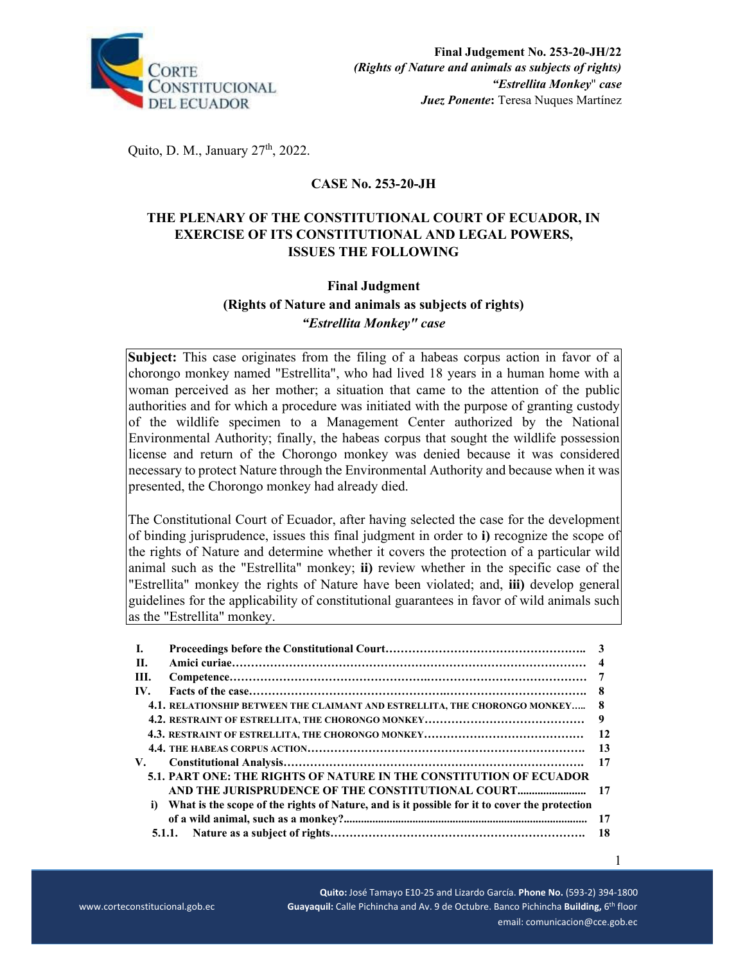

Quito, D. M., January 27<sup>th</sup>, 2022.

# **CASE No. 253-20-JH**

# **THE PLENARY OF THE CONSTITUTIONAL COURT OF ECUADOR, IN EXERCISE OF ITS CONSTITUTIONAL AND LEGAL POWERS, ISSUES THE FOLLOWING**

### **Final Judgment**

**(Rights of Nature and animals as subjects of rights)**  *"Estrellita Monkey" case* 

**Subject:** This case originates from the filing of a habeas corpus action in favor of a chorongo monkey named "Estrellita", who had lived 18 years in a human home with a woman perceived as her mother; a situation that came to the attention of the public authorities and for which a procedure was initiated with the purpose of granting custody of the wildlife specimen to a Management Center authorized by the National Environmental Authority; finally, the habeas corpus that sought the wildlife possession license and return of the Chorongo monkey was denied because it was considered necessary to protect Nature through the Environmental Authority and because when it was presented, the Chorongo monkey had already died.

The Constitutional Court of Ecuador, after having selected the case for the development of binding jurisprudence, issues this final judgment in order to **i)** recognize the scope of the rights of Nature and determine whether it covers the protection of a particular wild animal such as the "Estrellita" monkey; **ii)** review whether in the specific case of the "Estrellita" monkey the rights of Nature have been violated; and, **iii)** develop general guidelines for the applicability of constitutional guarantees in favor of wild animals such as the "Estrellita" monkey.

| <b>I.</b> |                                                                                              |     |
|-----------|----------------------------------------------------------------------------------------------|-----|
| П.        |                                                                                              |     |
| III.      |                                                                                              |     |
| IV.       |                                                                                              | -8  |
|           | 4.1. RELATIONSHIP BETWEEN THE CLAIMANT AND ESTRELLITA, THE CHORONGO MONKEY                   | -8  |
|           |                                                                                              | 9   |
|           |                                                                                              | 12  |
|           |                                                                                              | 13  |
| V.        |                                                                                              | 17  |
|           | 5.1. PART ONE: THE RIGHTS OF NATURE IN THE CONSTITUTION OF ECUADOR                           |     |
|           |                                                                                              |     |
| i)        | What is the scope of the rights of Nature, and is it possible for it to cover the protection |     |
|           |                                                                                              | 17  |
|           |                                                                                              | -18 |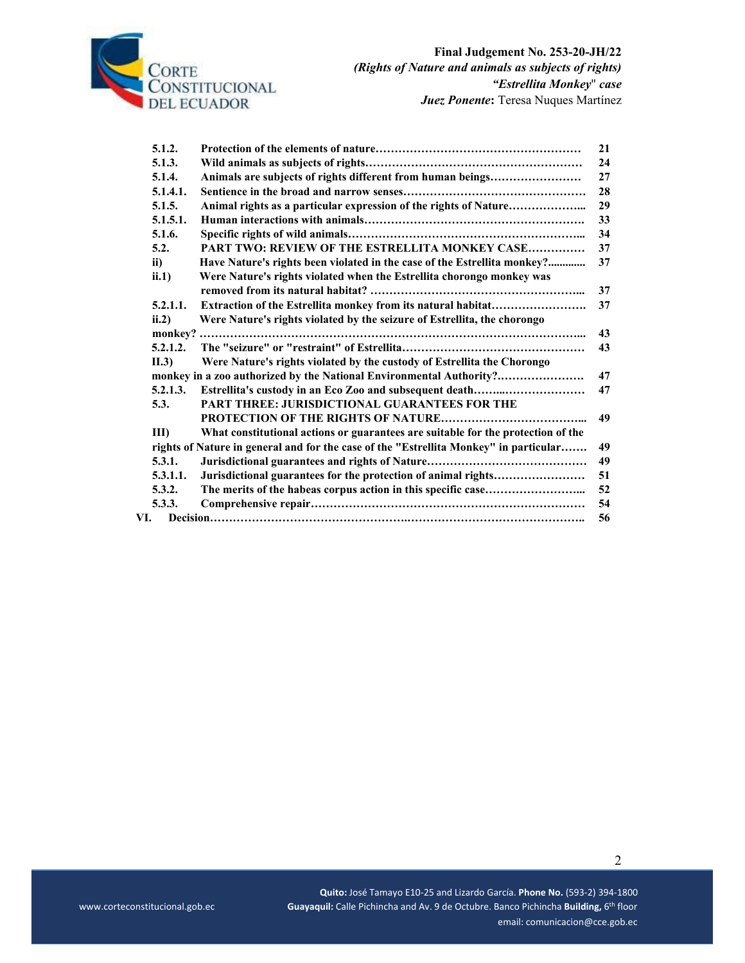

|     | 5.1.2.         |                                                                                       | 21 |
|-----|----------------|---------------------------------------------------------------------------------------|----|
|     | 5.1.3.         |                                                                                       | 24 |
|     | 5.1.4.         | Animals are subjects of rights different from human beings                            | 27 |
|     | 5.1.4.1.       |                                                                                       | 28 |
|     | 5.1.5.         | Animal rights as a particular expression of the rights of Nature                      | 29 |
|     | 5.1.5.1.       |                                                                                       | 33 |
|     | 5.1.6.         |                                                                                       | 34 |
|     | 5.2.           | PART TWO: REVIEW OF THE ESTRELLITA MONKEY CASE                                        | 37 |
|     | ii)            | Have Nature's rights been violated in the case of the Estrellita monkey?              | 37 |
|     | ii.1)          | Were Nature's rights violated when the Estrellita chorongo monkey was                 |    |
|     |                |                                                                                       | 37 |
|     | 5.2.1.1.       | Extraction of the Estrellita monkey from its natural habitat                          | 37 |
|     | ii.2)          | Were Nature's rights violated by the seizure of Estrellita, the chorongo              |    |
|     |                |                                                                                       | 43 |
|     | 5.2.1.2.       |                                                                                       | 43 |
|     | II.3)          | Were Nature's rights violated by the custody of Estrellita the Chorongo               |    |
|     |                | monkey in a zoo authorized by the National Environmental Authority?                   | 47 |
|     | 5.2.1.3.       | Estrellita's custody in an Eco Zoo and subsequent death                               | 47 |
|     | 5.3.           | <b>PART THREE: JURISDICTIONAL GUARANTEES FOR THE</b>                                  |    |
|     |                |                                                                                       | 49 |
|     | $\mathbf{III}$ | What constitutional actions or guarantees are suitable for the protection of the      |    |
|     |                | rights of Nature in general and for the case of the "Estrellita Monkey" in particular | 49 |
|     | 5.3.1.         |                                                                                       | 49 |
|     | 5.3.1.1.       | Jurisdictional guarantees for the protection of animal rights                         | 51 |
|     | 5.3.2.         |                                                                                       | 52 |
|     | 5.3.3.         |                                                                                       | 54 |
| VI. |                |                                                                                       | 56 |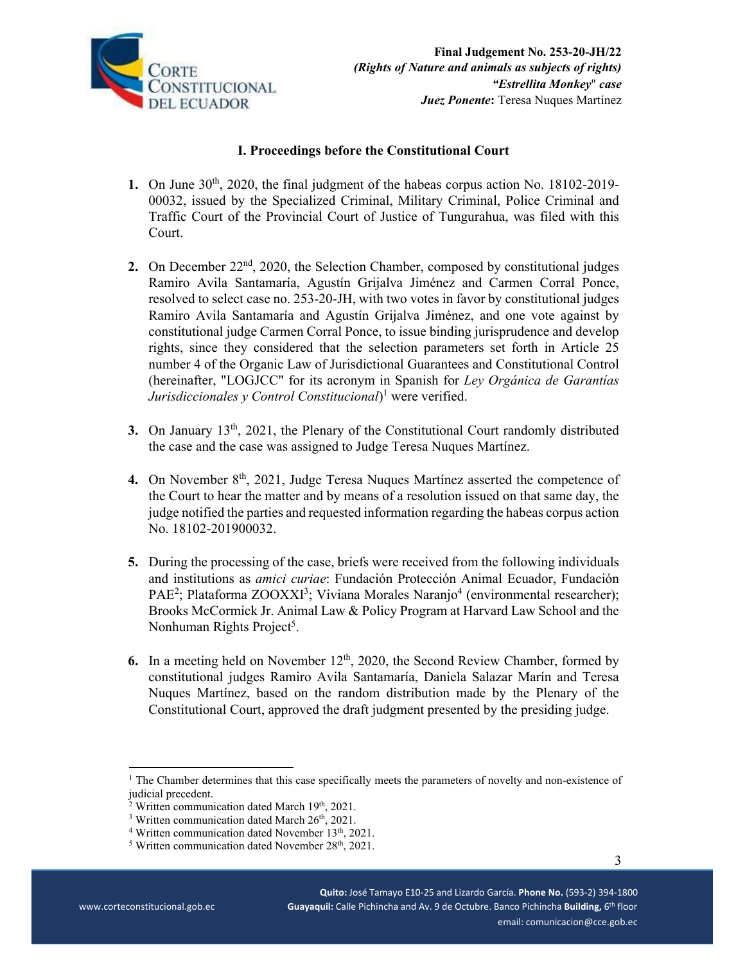

## **I. Proceedings before the Constitutional Court**

- **1.** On June 30<sup>th</sup>, 2020, the final judgment of the habeas corpus action No. 18102-2019-00032, issued by the Specialized Criminal, Military Criminal, Police Criminal and Traffic Court of the Provincial Court of Justice of Tungurahua, was filed with this Court.
- **2.** On December 22<sup>nd</sup>, 2020, the Selection Chamber, composed by constitutional judges Ramiro Avila Santamaría, Agustín Grijalva Jiménez and Carmen Corral Ponce, resolved to select case no. 253-20-JH, with two votes in favor by constitutional judges Ramiro Avila Santamaría and Agustín Grijalva Jiménez, and one vote against by constitutional judge Carmen Corral Ponce, to issue binding jurisprudence and develop rights, since they considered that the selection parameters set forth in Article 25 number 4 of the Organic Law of Jurisdictional Guarantees and Constitutional Control (hereinafter, "LOGJCC" for its acronym in Spanish for *Ley Orgánica de Garantías Jurisdiccionales y Control Constitucional*) 1 were verified.
- **3.** On January 13<sup>th</sup>, 2021, the Plenary of the Constitutional Court randomly distributed the case and the case was assigned to Judge Teresa Nuques Martínez.
- 4. On November 8<sup>th</sup>, 2021, Judge Teresa Nuques Martínez asserted the competence of the Court to hear the matter and by means of a resolution issued on that same day, the judge notified the parties and requested information regarding the habeas corpus action No. 18102-201900032.
- **5.** During the processing of the case, briefs were received from the following individuals and institutions as *amici curiae*: Fundación Protección Animal Ecuador, Fundación PAE<sup>2</sup>; Plataforma ZOOXXI<sup>3</sup>; Viviana Morales Naranjo<sup>4</sup> (environmental researcher); Brooks McCormick Jr. Animal Law & Policy Program at Harvard Law School and the Nonhuman Rights Project<sup>5</sup>.
- **6.** In a meeting held on November 12<sup>th</sup>, 2020, the Second Review Chamber, formed by constitutional judges Ramiro Avila Santamaría, Daniela Salazar Marín and Teresa Nuques Martínez, based on the random distribution made by the Plenary of the Constitutional Court, approved the draft judgment presented by the presiding judge.

<sup>&</sup>lt;sup>1</sup> The Chamber determines that this case specifically meets the parameters of novelty and non-existence of judicial precedent.

<sup>&</sup>lt;sup>2</sup> Written communication dated March 19<sup>th</sup>, 2021.<br><sup>3</sup> Written communication dated March 26<sup>th</sup> 2021.

 $3$  Written communication dated March  $26<sup>th</sup>$ ,  $2021$ .

 $4$  Written communication dated November 13<sup>th</sup>, 2021.

 $5$  Written communication dated November 28<sup>th</sup>, 2021.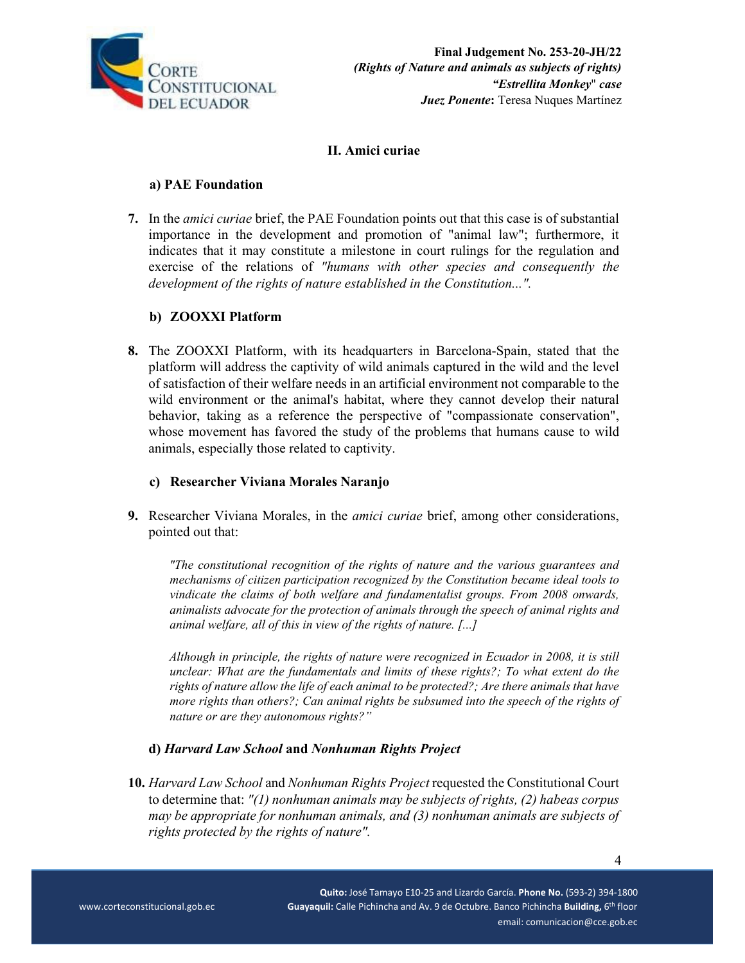

## **II. Amici curiae**

#### **a) PAE Foundation**

**7.** In the *amici curiae* brief, the PAE Foundation points out that this case is of substantial importance in the development and promotion of "animal law"; furthermore, it indicates that it may constitute a milestone in court rulings for the regulation and exercise of the relations of *"humans with other species and consequently the development of the rights of nature established in the Constitution...".* 

### **b) ZOOXXI Platform**

**8.** The ZOOXXI Platform, with its headquarters in Barcelona-Spain, stated that the platform will address the captivity of wild animals captured in the wild and the level of satisfaction of their welfare needs in an artificial environment not comparable to the wild environment or the animal's habitat, where they cannot develop their natural behavior, taking as a reference the perspective of "compassionate conservation", whose movement has favored the study of the problems that humans cause to wild animals, especially those related to captivity.

#### **c) Researcher Viviana Morales Naranjo**

**9.** Researcher Viviana Morales, in the *amici curiae* brief, among other considerations, pointed out that:

*"The constitutional recognition of the rights of nature and the various guarantees and mechanisms of citizen participation recognized by the Constitution became ideal tools to vindicate the claims of both welfare and fundamentalist groups. From 2008 onwards, animalists advocate for the protection of animals through the speech of animal rights and animal welfare, all of this in view of the rights of nature. [...]* 

*Although in principle, the rights of nature were recognized in Ecuador in 2008, it is still unclear: What are the fundamentals and limits of these rights?; To what extent do the rights of nature allow the life of each animal to be protected?; Are there animals that have more rights than others?; Can animal rights be subsumed into the speech of the rights of nature or are they autonomous rights?"*

### **d)** *Harvard Law School* **and** *Nonhuman Rights Project*

**10.** *Harvard Law School* and *Nonhuman Rights Project* requested the Constitutional Court to determine that: *"(1) nonhuman animals may be subjects of rights, (2) habeas corpus may be appropriate for nonhuman animals, and (3) nonhuman animals are subjects of rights protected by the rights of nature".*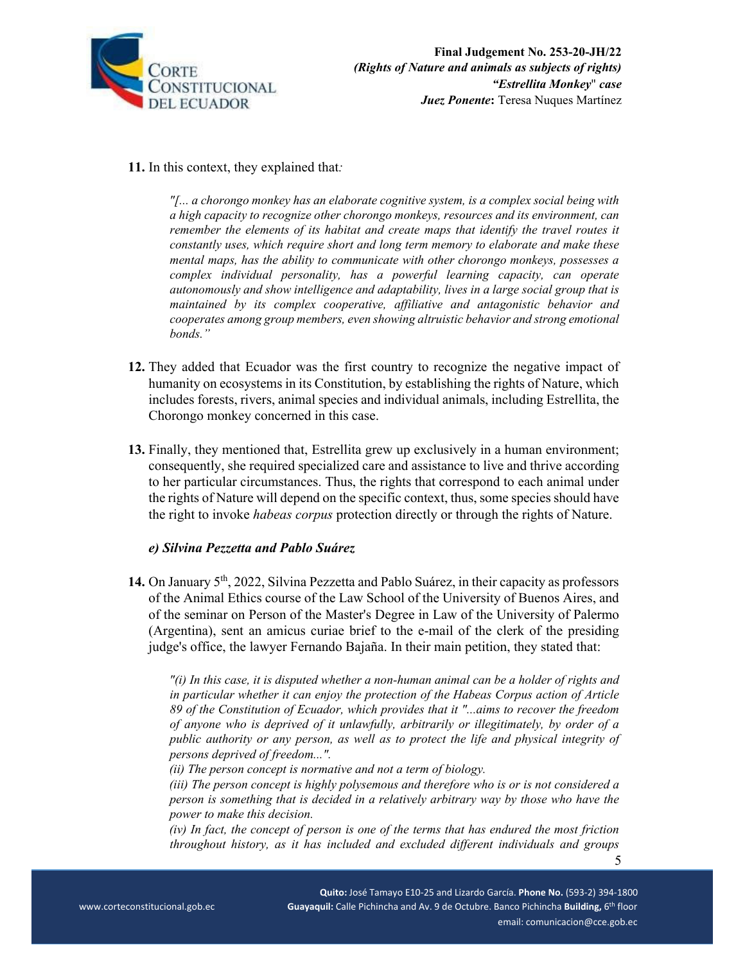

**11.** In this context, they explained that*:* 

*"[... a chorongo monkey has an elaborate cognitive system, is a complex social being with a high capacity to recognize other chorongo monkeys, resources and its environment, can remember the elements of its habitat and create maps that identify the travel routes it constantly uses, which require short and long term memory to elaborate and make these mental maps, has the ability to communicate with other chorongo monkeys, possesses a complex individual personality, has a powerful learning capacity, can operate autonomously and show intelligence and adaptability, lives in a large social group that is maintained by its complex cooperative, affiliative and antagonistic behavior and cooperates among group members, even showing altruistic behavior and strong emotional bonds."* 

- **12.** They added that Ecuador was the first country to recognize the negative impact of humanity on ecosystems in its Constitution, by establishing the rights of Nature, which includes forests, rivers, animal species and individual animals, including Estrellita, the Chorongo monkey concerned in this case.
- **13.** Finally, they mentioned that, Estrellita grew up exclusively in a human environment; consequently, she required specialized care and assistance to live and thrive according to her particular circumstances. Thus, the rights that correspond to each animal under the rights of Nature will depend on the specific context, thus, some species should have the right to invoke *habeas corpus* protection directly or through the rights of Nature.

### *e) Silvina Pezzetta and Pablo Suárez*

**14.** On January 5th, 2022, Silvina Pezzetta and Pablo Suárez, in their capacity as professors of the Animal Ethics course of the Law School of the University of Buenos Aires, and of the seminar on Person of the Master's Degree in Law of the University of Palermo (Argentina), sent an amicus curiae brief to the e-mail of the clerk of the presiding judge's office, the lawyer Fernando Bajaña. In their main petition, they stated that:

*"(i) In this case, it is disputed whether a non-human animal can be a holder of rights and in particular whether it can enjoy the protection of the Habeas Corpus action of Article 89 of the Constitution of Ecuador, which provides that it "...aims to recover the freedom of anyone who is deprived of it unlawfully, arbitrarily or illegitimately, by order of a public authority or any person, as well as to protect the life and physical integrity of persons deprived of freedom...".* 

*(ii) The person concept is normative and not a term of biology.* 

5

*(iii) The person concept is highly polysemous and therefore who is or is not considered a person is something that is decided in a relatively arbitrary way by those who have the power to make this decision.* 

*(iv) In fact, the concept of person is one of the terms that has endured the most friction throughout history, as it has included and excluded different individuals and groups*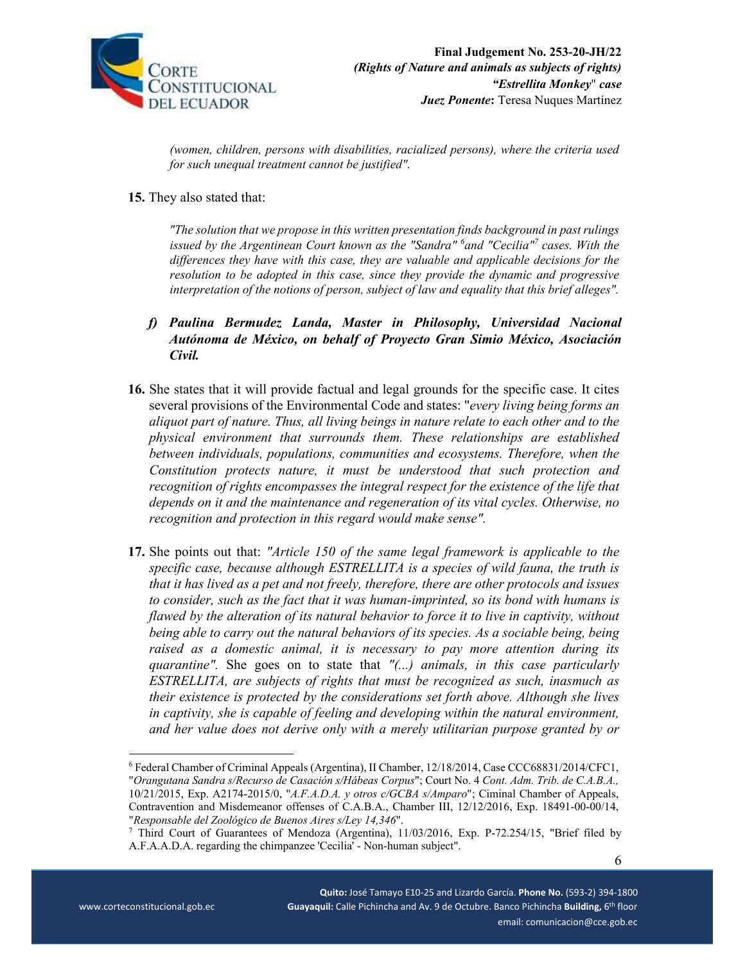

*(women, children, persons with disabilities, racialized persons), where the criteria used for such unequal treatment cannot be justified".* 

**15.** They also stated that:

*"The solution that we propose in this written presentation finds background in past rulings issued by the Argentinean Court known as the "Sandra"*  $^6$ and "Cecilia"<sup>7</sup> cases. With the *differences they have with this case, they are valuable and applicable decisions for the resolution to be adopted in this case, since they provide the dynamic and progressive interpretation of the notions of person, subject of law and equality that this brief alleges".* 

- *f) Paulina Bermudez Landa, Master in Philosophy, Universidad Nacional Autónoma de México, on behalf of Proyecto Gran Simio México, Asociación Civil.*
- **16.** She states that it will provide factual and legal grounds for the specific case. It cites several provisions of the Environmental Code and states: "*every living being forms an aliquot part of nature. Thus, all living beings in nature relate to each other and to the physical environment that surrounds them. These relationships are established between individuals, populations, communities and ecosystems. Therefore, when the Constitution protects nature, it must be understood that such protection and recognition of rights encompasses the integral respect for the existence of the life that depends on it and the maintenance and regeneration of its vital cycles. Otherwise, no recognition and protection in this regard would make sense".*
- **17.** She points out that: *"Article 150 of the same legal framework is applicable to the specific case, because although ESTRELLITA is a species of wild fauna, the truth is that it has lived as a pet and not freely, therefore, there are other protocols and issues to consider, such as the fact that it was human-imprinted, so its bond with humans is flawed by the alteration of its natural behavior to force it to live in captivity, without being able to carry out the natural behaviors of its species. As a sociable being, being raised as a domestic animal, it is necessary to pay more attention during its quarantine".* She goes on to state that *"(...) animals, in this case particularly ESTRELLITA, are subjects of rights that must be recognized as such, inasmuch as their existence is protected by the considerations set forth above. Although she lives in captivity, she is capable of feeling and developing within the natural environment, and her value does not derive only with a merely utilitarian purpose granted by or*

<sup>6</sup> Federal Chamber of Criminal Appeals (Argentina), II Chamber, 12/18/2014, Case CCC68831/2014/CFC1, "*Orangutana Sandra s/Recurso de Casación s/Hábeas Corpus*"; Court No. 4 *Cont. Adm. Trib. de C.A.B.A.,* 10/21/2015, Exp. A2174-2015/0, "*A.F.A.D.A. y otros c/GCBA s/Amparo*"; Ciminal Chamber of Appeals, Contravention and Misdemeanor offenses of C.A.B.A., Chamber III, 12/12/2016, Exp. 18491-00-00/14, "*Responsable del Zoológico de Buenos Aires s/Ley 14,346*". 7

Third Court of Guarantees of Mendoza (Argentina), 11/03/2016, Exp. P-72.254/15, "Brief filed by A.F.A.A.D.A. regarding the chimpanzee 'Cecilia' - Non-human subject".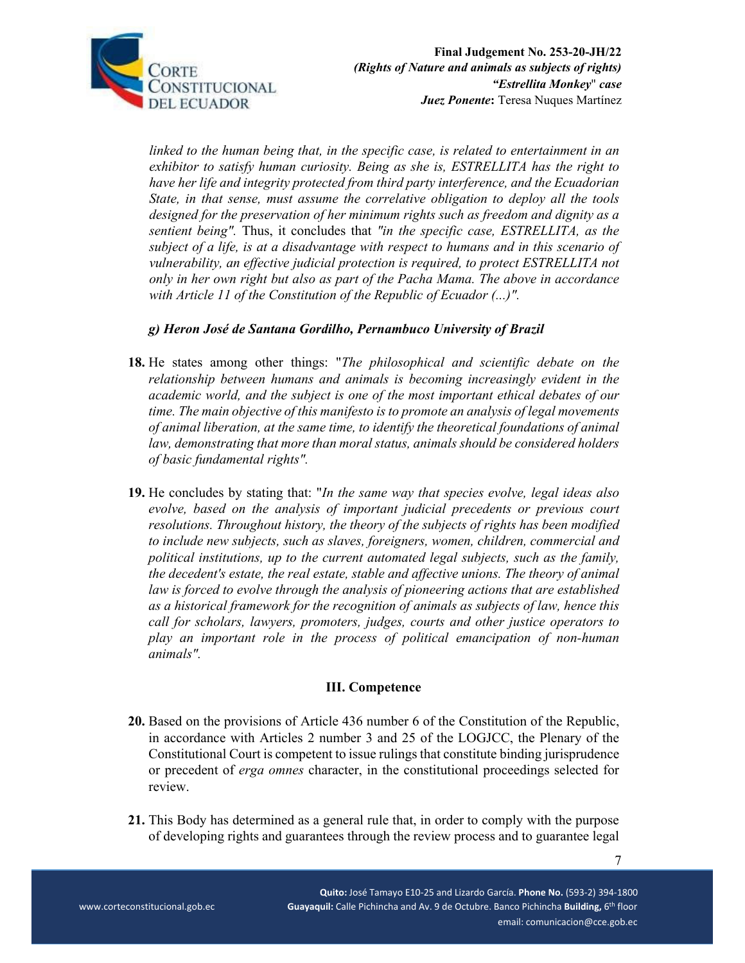

*linked to the human being that, in the specific case, is related to entertainment in an exhibitor to satisfy human curiosity. Being as she is, ESTRELLITA has the right to have her life and integrity protected from third party interference, and the Ecuadorian State, in that sense, must assume the correlative obligation to deploy all the tools designed for the preservation of her minimum rights such as freedom and dignity as a sentient being".* Thus, it concludes that *"in the specific case, ESTRELLITA, as the subject of a life, is at a disadvantage with respect to humans and in this scenario of vulnerability, an effective judicial protection is required, to protect ESTRELLITA not only in her own right but also as part of the Pacha Mama. The above in accordance with Article 11 of the Constitution of the Republic of Ecuador (...)".* 

## *g) Heron José de Santana Gordilho, Pernambuco University of Brazil*

- **18.** He states among other things: "*The philosophical and scientific debate on the relationship between humans and animals is becoming increasingly evident in the academic world, and the subject is one of the most important ethical debates of our time. The main objective of this manifesto is to promote an analysis of legal movements of animal liberation, at the same time, to identify the theoretical foundations of animal*  law, demonstrating that more than moral status, animals should be considered holders *of basic fundamental rights".*
- **19.** He concludes by stating that: "*In the same way that species evolve, legal ideas also evolve, based on the analysis of important judicial precedents or previous court resolutions. Throughout history, the theory of the subjects of rights has been modified to include new subjects, such as slaves, foreigners, women, children, commercial and political institutions, up to the current automated legal subjects, such as the family, the decedent's estate, the real estate, stable and affective unions. The theory of animal law is forced to evolve through the analysis of pioneering actions that are established as a historical framework for the recognition of animals as subjects of law, hence this call for scholars, lawyers, promoters, judges, courts and other justice operators to play an important role in the process of political emancipation of non-human animals".*

### **III. Competence**

- **20.** Based on the provisions of Article 436 number 6 of the Constitution of the Republic, in accordance with Articles 2 number 3 and 25 of the LOGJCC, the Plenary of the Constitutional Court is competent to issue rulings that constitute binding jurisprudence or precedent of *erga omnes* character, in the constitutional proceedings selected for review.
- **21.** This Body has determined as a general rule that, in order to comply with the purpose of developing rights and guarantees through the review process and to guarantee legal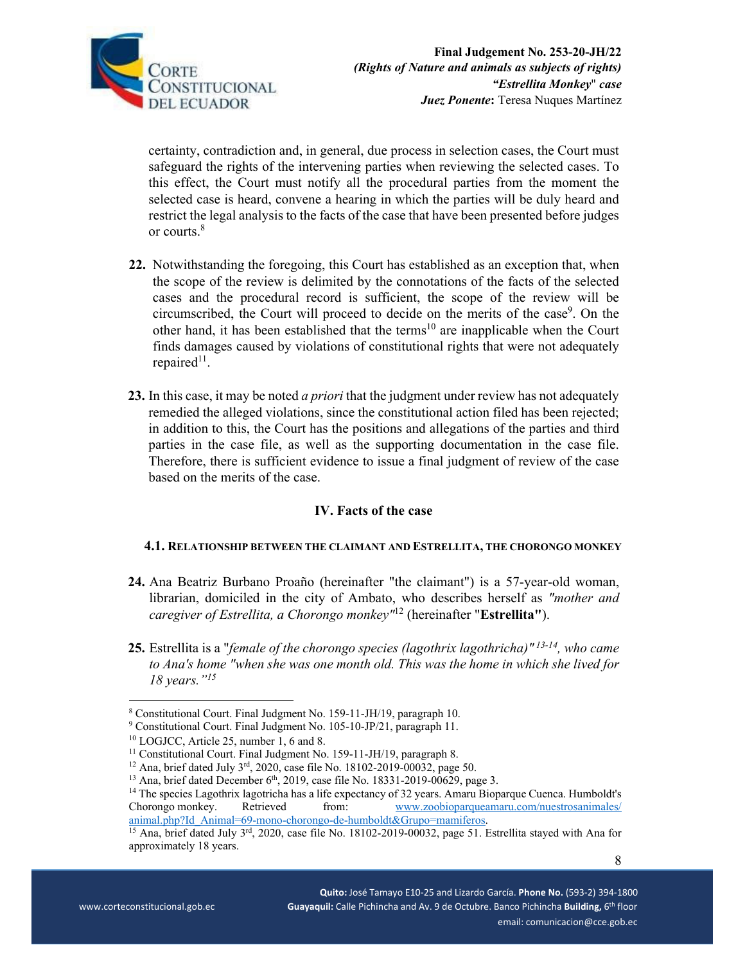

certainty, contradiction and, in general, due process in selection cases, the Court must safeguard the rights of the intervening parties when reviewing the selected cases. To this effect, the Court must notify all the procedural parties from the moment the selected case is heard, convene a hearing in which the parties will be duly heard and restrict the legal analysis to the facts of the case that have been presented before judges or courts.8

- **22.** Notwithstanding the foregoing, this Court has established as an exception that, when the scope of the review is delimited by the connotations of the facts of the selected cases and the procedural record is sufficient, the scope of the review will be circumscribed, the Court will proceed to decide on the merits of the case<sup>9</sup>. On the other hand, it has been established that the terms<sup>10</sup> are inapplicable when the Court finds damages caused by violations of constitutional rights that were not adequately repaired<sup>11</sup>.
- **23.** In this case, it may be noted *a priori* that the judgment under review has not adequately remedied the alleged violations, since the constitutional action filed has been rejected; in addition to this, the Court has the positions and allegations of the parties and third parties in the case file, as well as the supporting documentation in the case file. Therefore, there is sufficient evidence to issue a final judgment of review of the case based on the merits of the case.

### **IV. Facts of the case**

### **4.1. RELATIONSHIP BETWEEN THE CLAIMANT AND ESTRELLITA, THE CHORONGO MONKEY**

- **24.** Ana Beatriz Burbano Proaño (hereinafter "the claimant") is a 57-year-old woman, librarian, domiciled in the city of Ambato, who describes herself as *"mother and caregiver of Estrellita, a Chorongo monkey"*12 (hereinafter "**Estrellita"**).
- **25.** Estrellita is a "*female of the chorongo species (lagothrix lagothricha)" 13-14, who came to Ana's home "when she was one month old. This was the home in which she lived for 18 years."15*

<sup>8</sup> Constitutional Court. Final Judgment No. 159-11-JH/19, paragraph 10.

<sup>&</sup>lt;sup>9</sup> Constitutional Court. Final Judgment No. 105-10-JP/21, paragraph 11.

<sup>10</sup> LOGJCC, Article 25, number 1, 6 and 8.

<sup>&</sup>lt;sup>11</sup> Constitutional Court. Final Judgment No. 159-11-JH/19, paragraph 8.

<sup>&</sup>lt;sup>12</sup> Ana, brief dated July 3<sup>rd</sup>, 2020, case file No. 18102-2019-00032, page 50.<br><sup>13</sup> Ana, brief dated December 6<sup>th</sup>, 2019, case file No. 18331-2019-00629, page 3.<br><sup>14</sup> The species Lagothrix lagotricha has a life expecta Chorongo monkey. Retrieved from: www.zoobioparqueamaru.com/nuestrosanimales/<br>animal.php?Id Animal=69-mono-chorongo-de-humboldt&Grupo=mamiferos.

<sup>&</sup>lt;sup>15</sup> Ana, brief dated July 3<sup>rd</sup>, 2020, case file No. 18102-2019-00032, page 51. Estrellita stayed with Ana for approximately 18 years.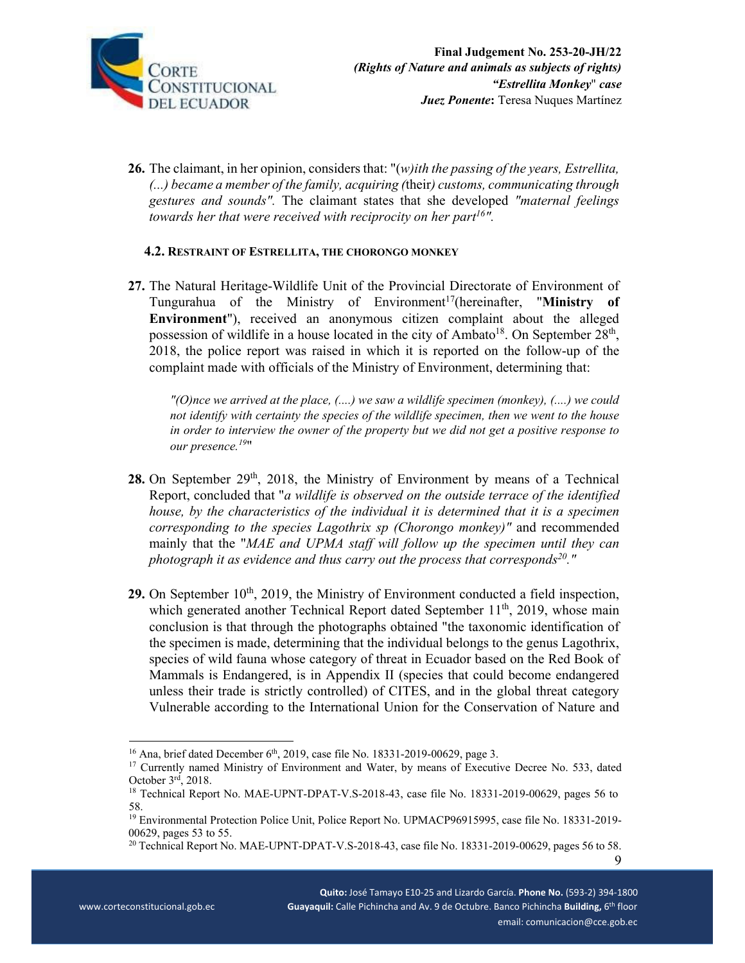

**26.** The claimant, in her opinion, considers that: "(*w)ith the passing of the years, Estrellita, (...) became a member of the family, acquiring (*their*) customs, communicating through gestures and sounds".* The claimant states that she developed *"maternal feelings towards her that were received with reciprocity on her part<sup>16</sup>''.* 

#### **4.2. RESTRAINT OF ESTRELLITA, THE CHORONGO MONKEY**

**27.** The Natural Heritage-Wildlife Unit of the Provincial Directorate of Environment of Tungurahua of the Ministry of Environment<sup>17</sup>(hereinafter, "Ministry of **Environment**"), received an anonymous citizen complaint about the alleged possession of wildlife in a house located in the city of Ambato<sup>18</sup>. On September  $28<sup>th</sup>$ , 2018, the police report was raised in which it is reported on the follow-up of the complaint made with officials of the Ministry of Environment, determining that:

 *"(O)nce we arrived at the place, (....) we saw a wildlife specimen (monkey), (....) we could not identify with certainty the species of the wildlife specimen, then we went to the house in order to interview the owner of the property but we did not get a positive response to our presence.<sup>19</sup>*"

- 28. On September 29<sup>th</sup>, 2018, the Ministry of Environment by means of a Technical Report, concluded that "*a wildlife is observed on the outside terrace of the identified house, by the characteristics of the individual it is determined that it is a specimen corresponding to the species Lagothrix sp (Chorongo monkey)"* and recommended mainly that the "*MAE and UPMA staff will follow up the specimen until they can photograph it as evidence and thus carry out the process that corresponds*<sup>20</sup>."
- 29. On September 10<sup>th</sup>, 2019, the Ministry of Environment conducted a field inspection, which generated another Technical Report dated September  $11<sup>th</sup>$ , 2019, whose main conclusion is that through the photographs obtained "the taxonomic identification of the specimen is made, determining that the individual belongs to the genus Lagothrix, species of wild fauna whose category of threat in Ecuador based on the Red Book of Mammals is Endangered, is in Appendix II (species that could become endangered unless their trade is strictly controlled) of CITES, and in the global threat category Vulnerable according to the International Union for the Conservation of Nature and

9

<sup>&</sup>lt;sup>16</sup> Ana, brief dated December 6<sup>th</sup>, 2019, case file No. 18331-2019-00629, page 3.<br><sup>17</sup> Currently named Ministry of Environment and Water, by means of Executive Decree No. 533, dated October  $3^{rd}$ , 2018.<br><sup>18</sup> Technical Report No. MAE-UPNT-DPAT-V.S-2018-43, case file No. 18331-2019-00629, pages 56 to

<sup>58.</sup> 

<sup>19</sup> Environmental Protection Police Unit, Police Report No. UPMACP96915995, case file No. 18331-2019- 00629, pages 53 to 55.

<sup>&</sup>lt;sup>20</sup> Technical Report No. MAE-UPNT-DPAT-V.S-2018-43, case file No. 18331-2019-00629, pages 56 to 58.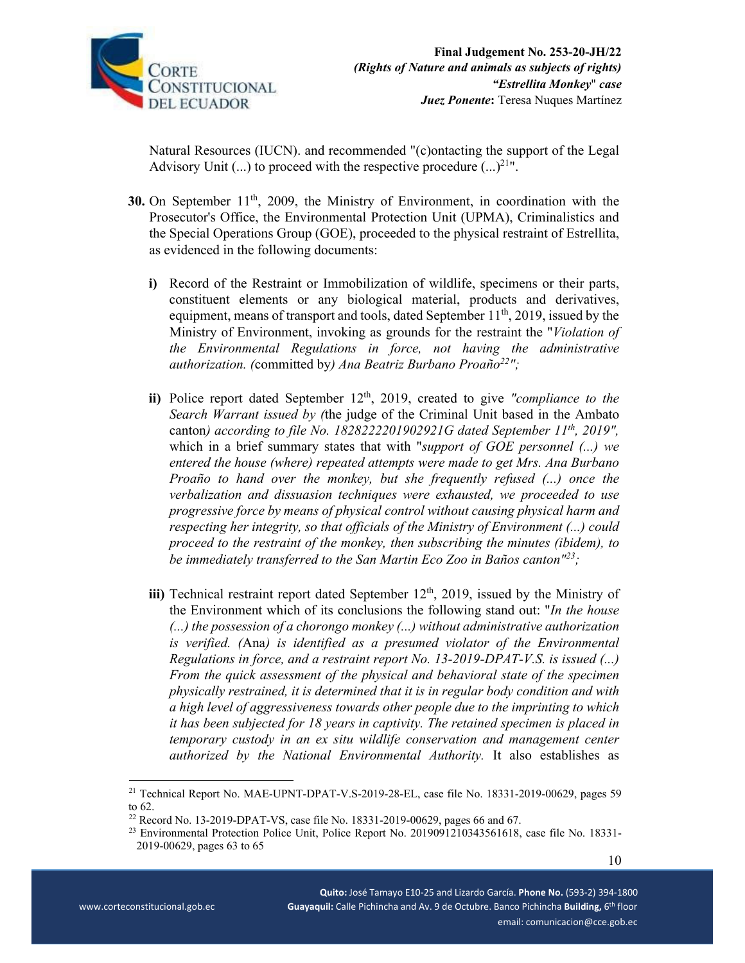

Natural Resources (IUCN). and recommended "(c)ontacting the support of the Legal Advisory Unit  $(...)$  to proceed with the respective procedure  $(...)^{21}$ ".

- **30.** On September 11<sup>th</sup>, 2009, the Ministry of Environment, in coordination with the Prosecutor's Office, the Environmental Protection Unit (UPMA), Criminalistics and the Special Operations Group (GOE), proceeded to the physical restraint of Estrellita, as evidenced in the following documents:
	- **i)** Record of the Restraint or Immobilization of wildlife, specimens or their parts, constituent elements or any biological material, products and derivatives, equipment, means of transport and tools, dated September  $11<sup>th</sup>$ , 2019, issued by the Ministry of Environment, invoking as grounds for the restraint the "*Violation of the Environmental Regulations in force, not having the administrative authorization. (*committed by*) Ana Beatriz Burbano Proaño22";*
	- ii) Police report dated September 12<sup>th</sup>, 2019, created to give "compliance to the *Search Warrant issued by (*the judge of the Criminal Unit based in the Ambato canton*) according to file No. 1828222201902921G dated September 11th, 2019",*  which in a brief summary states that with "*support of GOE personnel (...) we entered the house (where) repeated attempts were made to get Mrs. Ana Burbano Proaño to hand over the monkey, but she frequently refused (...) once the verbalization and dissuasion techniques were exhausted, we proceeded to use progressive force by means of physical control without causing physical harm and respecting her integrity, so that officials of the Ministry of Environment (...) could proceed to the restraint of the monkey, then subscribing the minutes (ibidem), to be immediately transferred to the San Martin Eco Zoo in Baños canton"23;*
	- **iii)** Technical restraint report dated September  $12<sup>th</sup>$ , 2019, issued by the Ministry of the Environment which of its conclusions the following stand out: "*In the house (...) the possession of a chorongo monkey (...) without administrative authorization is verified. (*Ana*) is identified as a presumed violator of the Environmental Regulations in force, and a restraint report No. 13-2019-DPAT-V.S. is issued (...) From the quick assessment of the physical and behavioral state of the specimen physically restrained, it is determined that it is in regular body condition and with a high level of aggressiveness towards other people due to the imprinting to which it has been subjected for 18 years in captivity. The retained specimen is placed in temporary custody in an ex situ wildlife conservation and management center authorized by the National Environmental Authority.* It also establishes as

<sup>21</sup> Technical Report No. MAE-UPNT-DPAT-V.S-2019-28-EL, case file No. 18331-2019-00629, pages 59 to 62.

<sup>&</sup>lt;sup>22</sup> Record No. 13-2019-DPAT-VS, case file No. 18331-2019-00629, pages 66 and 67.

<sup>&</sup>lt;sup>23</sup> Environmental Protection Police Unit, Police Report No. 2019091210343561618, case file No. 18331-2019-00629, pages 63 to 65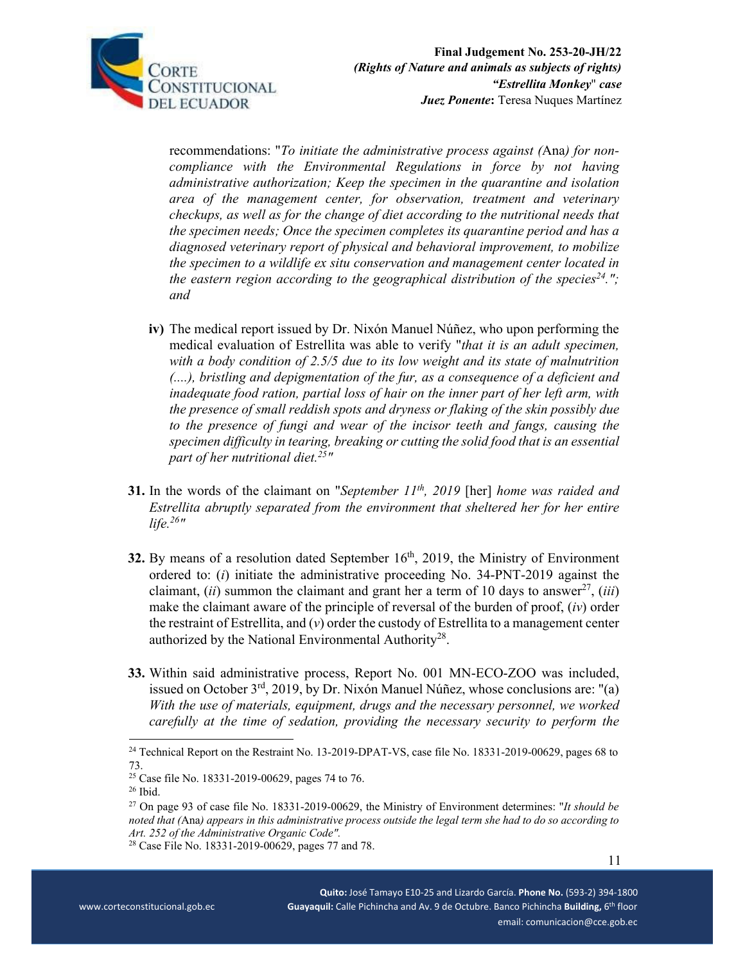

recommendations: "*To initiate the administrative process against (*Ana*) for noncompliance with the Environmental Regulations in force by not having administrative authorization; Keep the specimen in the quarantine and isolation area of the management center, for observation, treatment and veterinary checkups, as well as for the change of diet according to the nutritional needs that the specimen needs; Once the specimen completes its quarantine period and has a diagnosed veterinary report of physical and behavioral improvement, to mobilize the specimen to a wildlife ex situ conservation and management center located in the eastern region according to the geographical distribution of the species*<sup>24</sup>."; *and*

- **iv)** The medical report issued by Dr. Nixón Manuel Núñez, who upon performing the medical evaluation of Estrellita was able to verify "*that it is an adult specimen, with a body condition of 2.5/5 due to its low weight and its state of malnutrition (....), bristling and depigmentation of the fur, as a consequence of a deficient and inadequate food ration, partial loss of hair on the inner part of her left arm, with the presence of small reddish spots and dryness or flaking of the skin possibly due to the presence of fungi and wear of the incisor teeth and fangs, causing the specimen difficulty in tearing, breaking or cutting the solid food that is an essential part of her nutritional diet.25"*
- **31.** In the words of the claimant on "*September 11th, 2019* [her] *home was raided and Estrellita abruptly separated from the environment that sheltered her for her entire life.26"*
- **32.** By means of a resolution dated September  $16<sup>th</sup>$ , 2019, the Ministry of Environment ordered to: (*i*) initiate the administrative proceeding No. 34-PNT-2019 against the claimant, *(ii)* summon the claimant and grant her a term of 10 days to answer<sup>27</sup>, *(iii)* make the claimant aware of the principle of reversal of the burden of proof, (*iv*) order the restraint of Estrellita, and  $(v)$  order the custody of Estrellita to a management center authorized by the National Environmental Authority<sup>28</sup>.
- **33.** Within said administrative process, Report No. 001 MN-ECO-ZOO was included, issued on October 3rd, 2019, by Dr. Nixón Manuel Núñez, whose conclusions are: "(a) *With the use of materials, equipment, drugs and the necessary personnel, we worked carefully at the time of sedation, providing the necessary security to perform the*

<sup>24</sup> Technical Report on the Restraint No. 13-2019-DPAT-VS, case file No. 18331-2019-00629, pages 68 to 73.

<sup>25</sup> Case file No. 18331-2019-00629, pages 74 to 76.

<sup>26</sup> Ibid.

<sup>27</sup> On page 93 of case file No. 18331-2019-00629, the Ministry of Environment determines: "*It should be noted that (*Ana*) appears in this administrative process outside the legal term she had to do so according to Art. 252 of the Administrative Organic Code".* 

<sup>28</sup> Case File No. 18331-2019-00629, pages 77 and 78.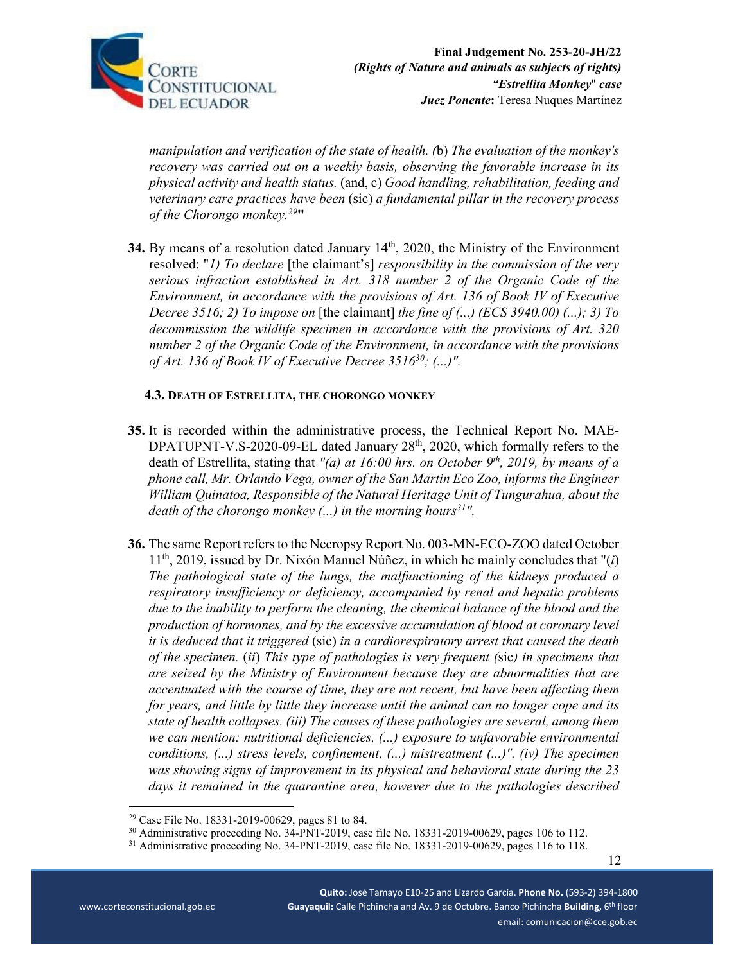

*manipulation and verification of the state of health. (*b) *The evaluation of the monkey's recovery was carried out on a weekly basis, observing the favorable increase in its physical activity and health status.* (and, c) *Good handling, rehabilitation, feeding and veterinary care practices have been* (sic) *a fundamental pillar in the recovery process of the Chorongo monkey.29***"** 

**34.** By means of a resolution dated January 14<sup>th</sup>, 2020, the Ministry of the Environment resolved: "*1) To declare* [the claimant's] *responsibility in the commission of the very serious infraction established in Art. 318 number 2 of the Organic Code of the Environment, in accordance with the provisions of Art. 136 of Book IV of Executive Decree 3516; 2) To impose on* [the claimant] *the fine of (...) (ECS 3940.00) (...); 3) To decommission the wildlife specimen in accordance with the provisions of Art. 320 number 2 of the Organic Code of the Environment, in accordance with the provisions of Art. 136 of Book IV of Executive Decree 351630; (...)".* 

### **4.3. DEATH OF ESTRELLITA, THE CHORONGO MONKEY**

- **35.** It is recorded within the administrative process, the Technical Report No. MAE-DPATUPNT-V.S-2020-09-EL dated January 28<sup>th</sup>, 2020, which formally refers to the death of Estrellita, stating that "(a) at 16:00 hrs. on October 9<sup>th</sup>, 2019, by means of a *phone call, Mr. Orlando Vega, owner of the San Martin Eco Zoo, informs the Engineer William Quinatoa, Responsible of the Natural Heritage Unit of Tungurahua, about the death of the chorongo monkey (...) in the morning hours*<sup>31</sup>".
- **36.** The same Report refers to the Necropsy Report No. 003-MN-ECO-ZOO dated October  $11<sup>th</sup>$ , 2019, issued by Dr. Nixón Manuel Núñez, in which he mainly concludes that " $(i)$ *The pathological state of the lungs, the malfunctioning of the kidneys produced a respiratory insufficiency or deficiency, accompanied by renal and hepatic problems due to the inability to perform the cleaning, the chemical balance of the blood and the production of hormones, and by the excessive accumulation of blood at coronary level it is deduced that it triggered* (sic) *in a cardiorespiratory arrest that caused the death of the specimen.* (*ii*) *This type of pathologies is very frequent (*sic*) in specimens that are seized by the Ministry of Environment because they are abnormalities that are accentuated with the course of time, they are not recent, but have been affecting them for years, and little by little they increase until the animal can no longer cope and its state of health collapses. (iii) The causes of these pathologies are several, among them we can mention: nutritional deficiencies, (...) exposure to unfavorable environmental conditions, (...) stress levels, confinement, (...) mistreatment (...)". (iv) The specimen was showing signs of improvement in its physical and behavioral state during the 23 days it remained in the quarantine area, however due to the pathologies described*

<sup>29</sup> Case File No. 18331-2019-00629, pages 81 to 84.

<sup>&</sup>lt;sup>30</sup> Administrative proceeding No. 34-PNT-2019, case file No. 18331-2019-00629, pages 106 to 112.

<sup>&</sup>lt;sup>31</sup> Administrative proceeding No. 34-PNT-2019, case file No. 18331-2019-00629, pages 116 to 118.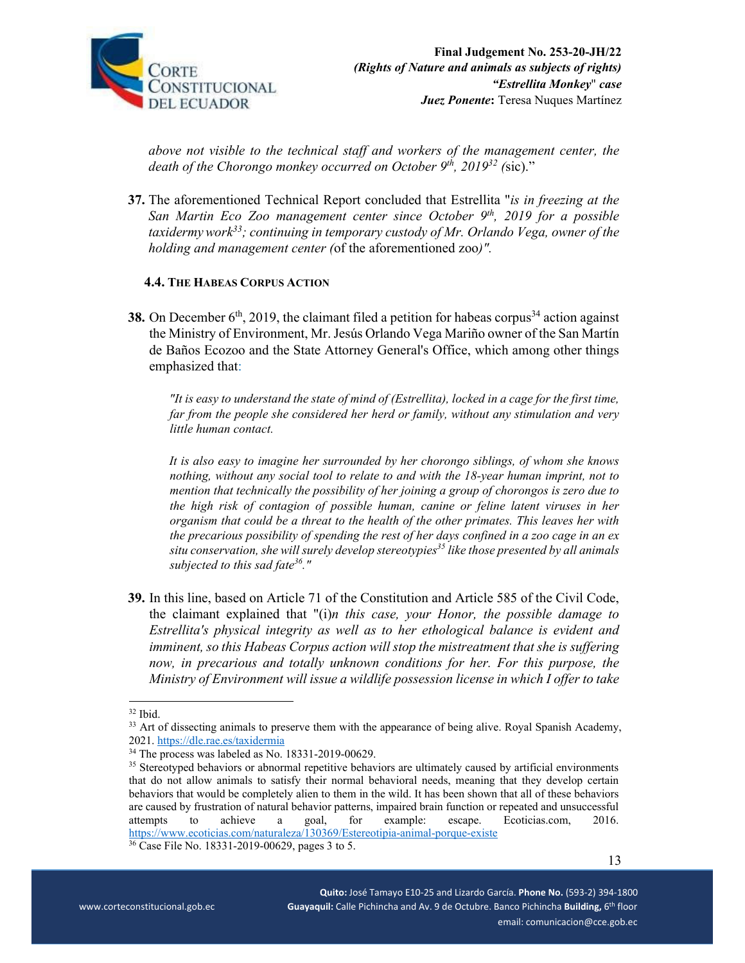

*above not visible to the technical staff and workers of the management center, the death of the Chorongo monkey occurred on October 9th, 201932 (*sic)."

**37.** The aforementioned Technical Report concluded that Estrellita "*is in freezing at the San Martin Eco Zoo management center since October 9th, 2019 for a possible taxidermywork33; continuing in temporary custody of Mr. Orlando Vega, owner of the holding and management center (*of the aforementioned zoo*)".*

#### **4.4. THE HABEAS CORPUS ACTION**

**38.** On December  $6<sup>th</sup>$ , 2019, the claimant filed a petition for habeas corpus<sup>34</sup> action against the Ministry of Environment, Mr. Jesús Orlando Vega Mariño owner of the San Martín de Baños Ecozoo and the State Attorney General's Office, which among other things emphasized that:

*"It is easy to understand the state of mind of (Estrellita), locked in a cage for the first time, far from the people she considered her herd or family, without any stimulation and very little human contact.* 

*It is also easy to imagine her surrounded by her chorongo siblings, of whom she knows nothing, without any social tool to relate to and with the 18-year human imprint, not to mention that technically the possibility of her joining a group of chorongos is zero due to the high risk of contagion of possible human, canine or feline latent viruses in her organism that could be a threat to the health of the other primates. This leaves her with the precarious possibility of spending the rest of her days confined in a zoo cage in an ex*  situ conservation, she will surely develop stereotypies<sup>35</sup> like those presented by all animals *subjected to this sad fate36."*

**39.** In this line, based on Article 71 of the Constitution and Article 585 of the Civil Code, the claimant explained that "(i)*n this case, your Honor, the possible damage to Estrellita's physical integrity as well as to her ethological balance is evident and imminent, so this Habeas Corpus action will stop the mistreatment that she is suffering now, in precarious and totally unknown conditions for her. For this purpose, the Ministry of Environment will issue a wildlife possession license in which I offer to take* 

 $32$  Ibid.

<sup>&</sup>lt;sup>33</sup> Art of dissecting animals to preserve them with the appearance of being alive. Royal Spanish Academy, 2021. https://dle.rae.es/taxidermia

 $34$  The process was labeled as No. 18331-2019-00629.

<sup>&</sup>lt;sup>35</sup> Stereotyped behaviors or abnormal repetitive behaviors are ultimately caused by artificial environments that do not allow animals to satisfy their normal behavioral needs, meaning that they develop certain behaviors that would be completely alien to them in the wild. It has been shown that all of these behaviors are caused by frustration of natural behavior patterns, impaired brain function or repeated and unsuccessful attempts to achieve a goal, for example: escape. Ecoticias.com, 2016. https://www.ecoticias.com/naturaleza/130369/Estereotipia-animal-porque-existe

<sup>36</sup> Case File No. 18331-2019-00629, pages 3 to 5.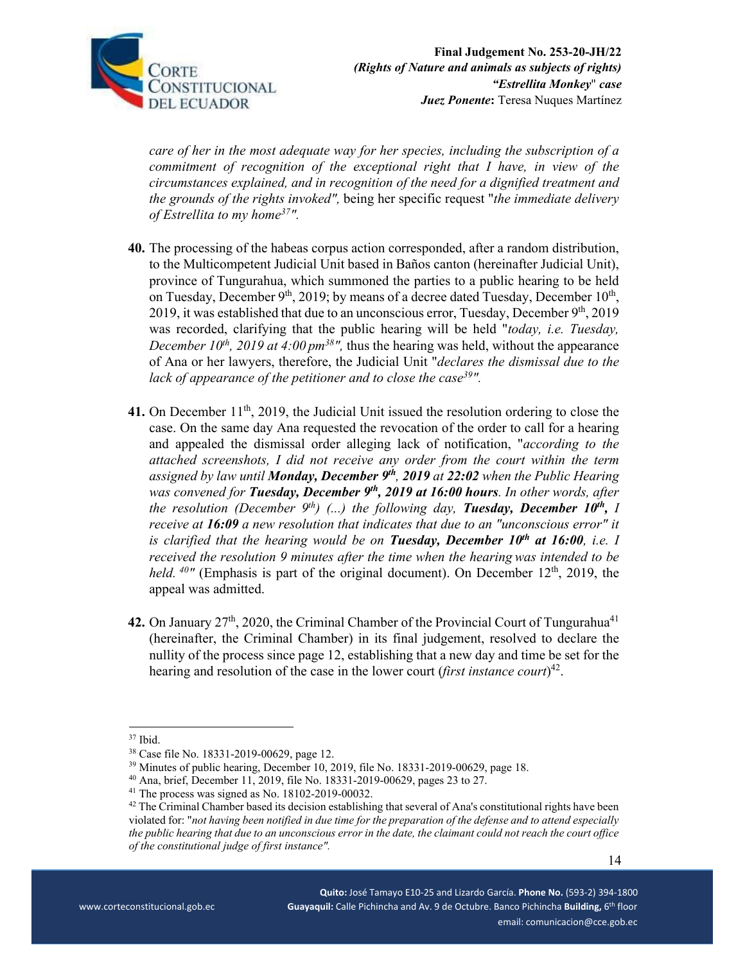

*care of her in the most adequate way for her species, including the subscription of a commitment of recognition of the exceptional right that I have, in view of the circumstances explained, and in recognition of the need for a dignified treatment and the grounds of the rights invoked",* being her specific request "*the immediate delivery of Estrellita to my home37".* 

- **40.** The processing of the habeas corpus action corresponded, after a random distribution, to the Multicompetent Judicial Unit based in Baños canton (hereinafter Judicial Unit), province of Tungurahua, which summoned the parties to a public hearing to be held on Tuesday, December  $9<sup>th</sup>$ , 2019; by means of a decree dated Tuesday, December 10<sup>th</sup>, 2019, it was established that due to an unconscious error, Tuesday, December  $9<sup>th</sup>$ , 2019 was recorded, clarifying that the public hearing will be held "*today, i.e. Tuesday, December 10<sup>th</sup>*, 2019 at 4:00  $pm^{38}$ ", thus the hearing was held, without the appearance of Ana or her lawyers, therefore, the Judicial Unit "*declares the dismissal due to the lack of appearance of the petitioner and to close the case*<sup>39</sup>*"*.
- 41. On December 11<sup>th</sup>, 2019, the Judicial Unit issued the resolution ordering to close the case. On the same day Ana requested the revocation of the order to call for a hearing and appealed the dismissal order alleging lack of notification, "*according to the attached screenshots, I did not receive any order from the court within the term assigned by law until Monday, December 9th, 2019 at 22:02 when the Public Hearing was convened for Tuesday, December 9<sup>th</sup>, 2019 at 16:00 hours. In other words, after the resolution (December 9<sup>th</sup>)* (...) the following day, **Tuesday, December 10<sup>th</sup>,** *I receive at 16:09 a new resolution that indicates that due to an "unconscious error" it is clarified that the hearing would be on Tuesday, December 10th at 16:00, i.e. I received the resolution 9 minutes after the time when the hearing was intended to be held.* <sup>40</sup> (Emphasis is part of the original document). On December 12<sup>th</sup>, 2019, the appeal was admitted.
- 42. On January 27<sup>th</sup>, 2020, the Criminal Chamber of the Provincial Court of Tungurahua<sup>41</sup> (hereinafter, the Criminal Chamber) in its final judgement, resolved to declare the nullity of the process since page 12, establishing that a new day and time be set for the hearing and resolution of the case in the lower court (*first instance court*) 42.

40 Ana, brief, December 11, 2019, file No. 18331-2019-00629, pages 23 to 27.

<sup>37</sup> Ibid.

<sup>38</sup> Case file No. 18331-2019-00629, page 12.

<sup>&</sup>lt;sup>39</sup> Minutes of public hearing, December 10, 2019, file No. 18331-2019-00629, page 18.

 $41$  The process was signed as No. 18102-2019-00032.

 $42$  The Criminal Chamber based its decision establishing that several of Ana's constitutional rights have been violated for: "*not having been notified in due time for the preparation of the defense and to attend especially the public hearing that due to an unconscious error in the date, the claimant could not reach the court office of the constitutional judge of first instance".*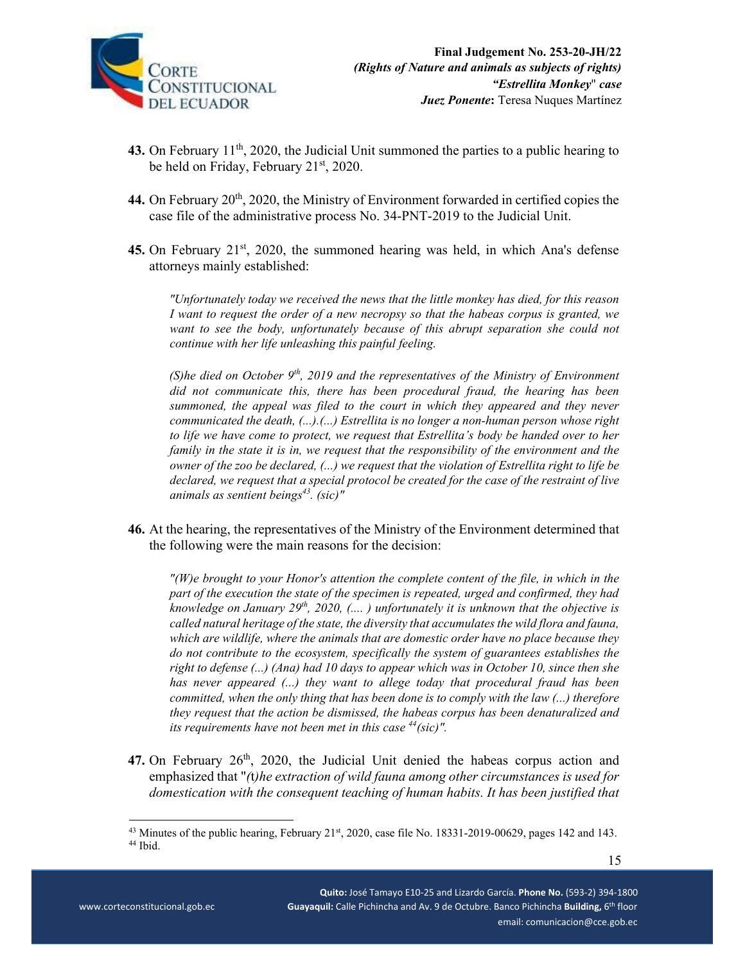

- 43. On February 11<sup>th</sup>, 2020, the Judicial Unit summoned the parties to a public hearing to be held on Friday, February 21<sup>st</sup>, 2020.
- 44. On February 20<sup>th</sup>, 2020, the Ministry of Environment forwarded in certified copies the case file of the administrative process No. 34-PNT-2019 to the Judicial Unit.
- 45. On February 21<sup>st</sup>, 2020, the summoned hearing was held, in which Ana's defense attorneys mainly established:

*"Unfortunately today we received the news that the little monkey has died, for this reason I want to request the order of a new necropsy so that the habeas corpus is granted, we want to see the body, unfortunately because of this abrupt separation she could not continue with her life unleashing this painful feeling.*

*(S)he died on October 9th, 2019 and the representatives of the Ministry of Environment did not communicate this, there has been procedural fraud, the hearing has been summoned, the appeal was filed to the court in which they appeared and they never communicated the death, (...).(...) Estrellita is no longer a non-human person whose right to life we have come to protect, we request that Estrellita's body be handed over to her family in the state it is in, we request that the responsibility of the environment and the owner of the zoo be declared, (...) we request that the violation of Estrellita right to life be declared, we request that a special protocol be created for the case of the restraint of live animals as sentient beings*<sup>43</sup>. (sic)"

**46.** At the hearing, the representatives of the Ministry of the Environment determined that the following were the main reasons for the decision:

*"(W)e brought to your Honor's attention the complete content of the file, in which in the part of the execution the state of the specimen is repeated, urged and confirmed, they had knowledge on January 29th, 2020, (.... ) unfortunately it is unknown that the objective is called natural heritage of the state, the diversity that accumulates the wild flora and fauna, which are wildlife, where the animals that are domestic order have no place because they do not contribute to the ecosystem, specifically the system of guarantees establishes the right to defense (...) (Ana) had 10 days to appear which was in October 10, since then she has never appeared (...) they want to allege today that procedural fraud has been committed, when the only thing that has been done is to comply with the law (...) therefore they request that the action be dismissed, the habeas corpus has been denaturalized and its requirements have not been met in this case 44(sic)".* 

47. On February 26<sup>th</sup>, 2020, the Judicial Unit denied the habeas corpus action and emphasized that "*(*t*)he extraction of wild fauna among other circumstances is used for domestication with the consequent teaching of human habits. It has been justified that* 

<sup>&</sup>lt;sup>43</sup> Minutes of the public hearing, February 21<sup>st</sup>, 2020, case file No. 18331-2019-00629, pages 142 and 143.<br><sup>44</sup> Ibid.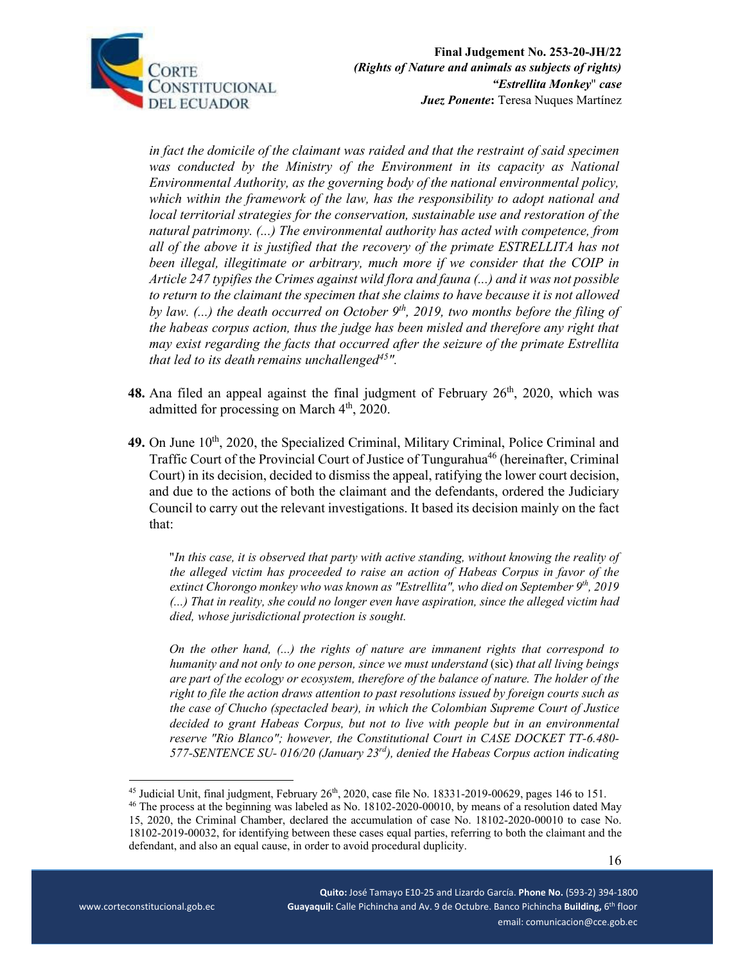

*in fact the domicile of the claimant was raided and that the restraint of said specimen* was conducted by the Ministry of the Environment in its capacity as National *Environmental Authority, as the governing body of the national environmental policy, which within the framework of the law, has the responsibility to adopt national and local territorial strategies for the conservation, sustainable use and restoration of the natural patrimony. (...) The environmental authority has acted with competence, from all of the above it is justified that the recovery of the primate ESTRELLITA has not been illegal, illegitimate or arbitrary, much more if we consider that the COIP in Article 247 typifies the Crimes against wild flora and fauna (...) and it was not possible to return to the claimant the specimen that she claims to have because it is not allowed*  by law. (...) the death occurred on October 9<sup>th</sup>, 2019, two months before the filing of *the habeas corpus action, thus the judge has been misled and therefore any right that may exist regarding the facts that occurred after the seizure of the primate Estrellita that led to its death remains unchallenged45".* 

- 48. Ana filed an appeal against the final judgment of February 26<sup>th</sup>, 2020, which was admitted for processing on March 4<sup>th</sup>, 2020.
- 49. On June 10<sup>th</sup>, 2020, the Specialized Criminal, Military Criminal, Police Criminal and Traffic Court of the Provincial Court of Justice of Tungurahua<sup>46</sup> (hereinafter, Criminal Court) in its decision, decided to dismiss the appeal, ratifying the lower court decision, and due to the actions of both the claimant and the defendants, ordered the Judiciary Council to carry out the relevant investigations. It based its decision mainly on the fact that:

"*In this case, it is observed that party with active standing, without knowing the reality of the alleged victim has proceeded to raise an action of Habeas Corpus in favor of the extinct Chorongo monkey who was known as "Estrellita", who died on September 9th, 2019 (...) That in reality, she could no longer even have aspiration, since the alleged victim had died, whose jurisdictional protection is sought.* 

*On the other hand, (...) the rights of nature are immanent rights that correspond to humanity and not only to one person, since we must understand* (sic) *that all living beings are part of the ecology or ecosystem, therefore of the balance of nature. The holder of the right to file the action draws attention to past resolutions issued by foreign courts such as the case of Chucho (spectacled bear), in which the Colombian Supreme Court of Justice decided to grant Habeas Corpus, but not to live with people but in an environmental reserve "Rio Blanco"; however, the Constitutional Court in CASE DOCKET TT-6.480- 577-SENTENCE SU- 016/20 (January 23rd), denied the Habeas Corpus action indicating* 

<sup>&</sup>lt;sup>45</sup> Judicial Unit, final judgment, February 26<sup>th</sup>, 2020, case file No. 18331-2019-00629, pages 146 to 151.<br><sup>46</sup> The process at the beginning was labeled as No. 18102-2020-00010, by means of a resolution dated May

<sup>15, 2020,</sup> the Criminal Chamber, declared the accumulation of case No. 18102-2020-00010 to case No. 18102-2019-00032, for identifying between these cases equal parties, referring to both the claimant and the defendant, and also an equal cause, in order to avoid procedural duplicity.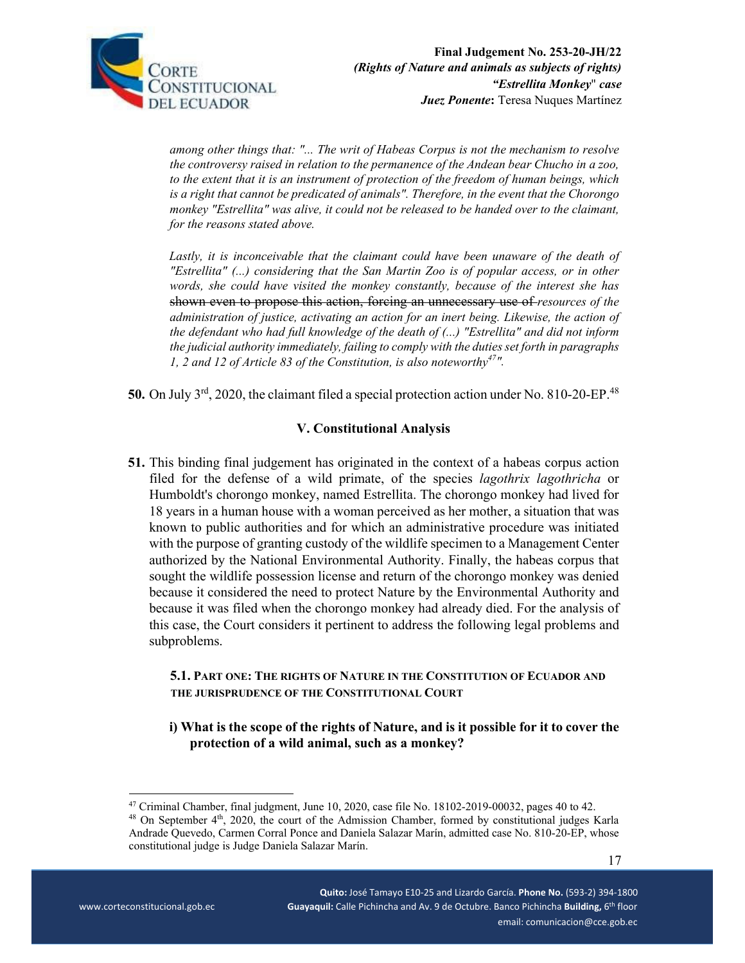

*among other things that: "... The writ of Habeas Corpus is not the mechanism to resolve the controversy raised in relation to the permanence of the Andean bear Chucho in a zoo, to the extent that it is an instrument of protection of the freedom of human beings, which is a right that cannot be predicated of animals". Therefore, in the event that the Chorongo monkey "Estrellita" was alive, it could not be released to be handed over to the claimant, for the reasons stated above.* 

Lastly, it is inconceivable that the claimant could have been unaware of the death of *"Estrellita" (...) considering that the San Martin Zoo is of popular access, or in other words, she could have visited the monkey constantly, because of the interest she has*  shown even to propose this action, forcing an unnecessary use of *resources of the administration of justice, activating an action for an inert being. Likewise, the action of the defendant who had full knowledge of the death of (...) "Estrellita" and did not inform the judicial authority immediately, failing to comply with the duties set forth in paragraphs 1, 2 and 12 of Article 83 of the Constitution, is also noteworthy47".* 

50. On July 3<sup>rd</sup>, 2020, the claimant filed a special protection action under No. 810-20-EP.<sup>48</sup>

# **V. Constitutional Analysis**

**51.** This binding final judgement has originated in the context of a habeas corpus action filed for the defense of a wild primate, of the species *lagothrix lagothricha* or Humboldt's chorongo monkey, named Estrellita. The chorongo monkey had lived for 18 years in a human house with a woman perceived as her mother, a situation that was known to public authorities and for which an administrative procedure was initiated with the purpose of granting custody of the wildlife specimen to a Management Center authorized by the National Environmental Authority. Finally, the habeas corpus that sought the wildlife possession license and return of the chorongo monkey was denied because it considered the need to protect Nature by the Environmental Authority and because it was filed when the chorongo monkey had already died. For the analysis of this case, the Court considers it pertinent to address the following legal problems and subproblems.

## **5.1. PART ONE: THE RIGHTS OF NATURE IN THE CONSTITUTION OF ECUADOR AND THE JURISPRUDENCE OF THE CONSTITUTIONAL COURT**

# **i) What is the scope of the rights of Nature, and is it possible for it to cover the protection of a wild animal, such as a monkey?**

 $48$  On September  $4<sup>th</sup>$ , 2020, the court of the Admission Chamber, formed by constitutional judges Karla Andrade Quevedo, Carmen Corral Ponce and Daniela Salazar Marín, admitted case No. 810-20-EP, whose constitutional judge is Judge Daniela Salazar Marín.

<sup>&</sup>lt;sup>47</sup> Criminal Chamber, final judgment, June 10, 2020, case file No. 18102-2019-00032, pages 40 to 42.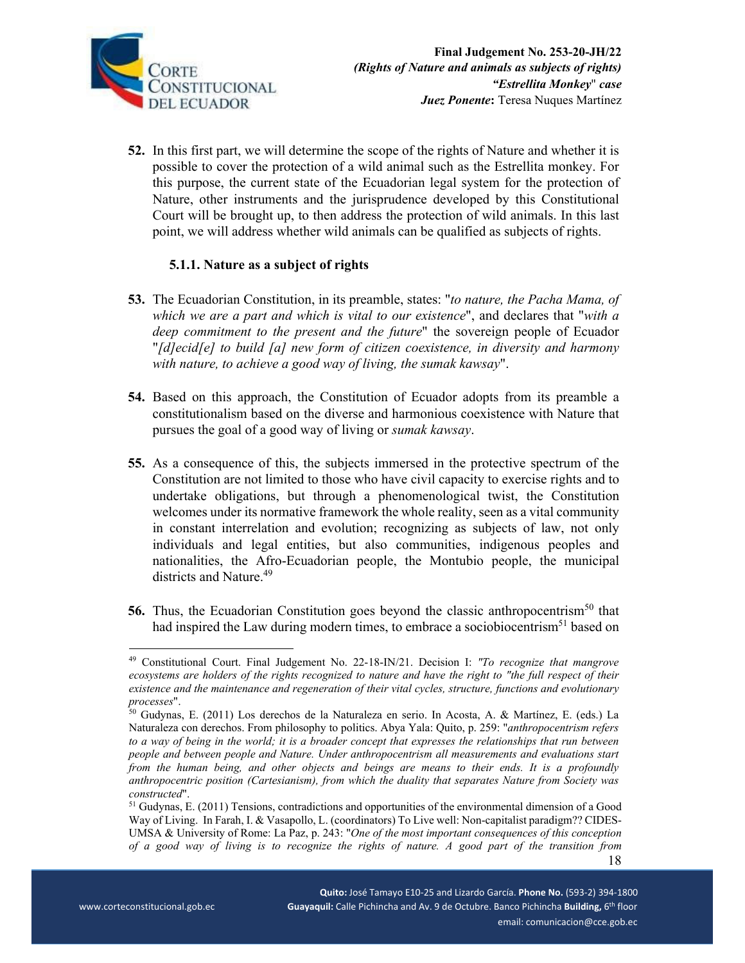

**52.** In this first part, we will determine the scope of the rights of Nature and whether it is possible to cover the protection of a wild animal such as the Estrellita monkey. For this purpose, the current state of the Ecuadorian legal system for the protection of Nature, other instruments and the jurisprudence developed by this Constitutional Court will be brought up, to then address the protection of wild animals. In this last point, we will address whether wild animals can be qualified as subjects of rights.

### **5.1.1. Nature as a subject of rights**

- **53.** The Ecuadorian Constitution, in its preamble, states: "*to nature, the Pacha Mama, of which we are a part and which is vital to our existence*", and declares that "*with a deep commitment to the present and the future*" the sovereign people of Ecuador "*[d]ecid[e] to build [a] new form of citizen coexistence, in diversity and harmony with nature, to achieve a good way of living, the sumak kawsay*".
- **54.** Based on this approach, the Constitution of Ecuador adopts from its preamble a constitutionalism based on the diverse and harmonious coexistence with Nature that pursues the goal of a good way of living or *sumak kawsay*.
- **55.** As a consequence of this, the subjects immersed in the protective spectrum of the Constitution are not limited to those who have civil capacity to exercise rights and to undertake obligations, but through a phenomenological twist, the Constitution welcomes under its normative framework the whole reality, seen as a vital community in constant interrelation and evolution; recognizing as subjects of law, not only individuals and legal entities, but also communities, indigenous peoples and nationalities, the Afro-Ecuadorian people, the Montubio people, the municipal districts and Nature.<sup>49</sup>
- **56.** Thus, the Ecuadorian Constitution goes beyond the classic anthropocentrism<sup>50</sup> that had inspired the Law during modern times, to embrace a sociobiocentrism<sup>51</sup> based on

<sup>49</sup> Constitutional Court. Final Judgement No. 22-18-IN/21. Decision I: *"To recognize that mangrove ecosystems are holders of the rights recognized to nature and have the right to "the full respect of their existence and the maintenance and regeneration of their vital cycles, structure, functions and evolutionary* 

<sup>&</sup>lt;sup>50</sup> Gudynas, E. (2011) Los derechos de la Naturaleza en serio. In Acosta, A. & Martínez, E. (eds.) La Naturaleza con derechos. From philosophy to politics. Abya Yala: Quito, p. 259: "*anthropocentrism refers to a way of being in the world; it is a broader concept that expresses the relationships that run between people and between people and Nature. Under anthropocentrism all measurements and evaluations start from the human being, and other objects and beings are means to their ends. It is a profoundly anthropocentric position (Cartesianism), from which the duality that separates Nature from Society was* 

 18 *constructed*".<br><sup>51</sup> Gudynas, E. (2011) Tensions, contradictions and opportunities of the environmental dimension of a Good Way of Living. In Farah, I. & Vasapollo, L. (coordinators) To Live well: Non-capitalist paradigm?? CIDES-UMSA & University of Rome: La Paz, p. 243: "*One of the most important consequences of this conception of a good way of living is to recognize the rights of nature. A good part of the transition from*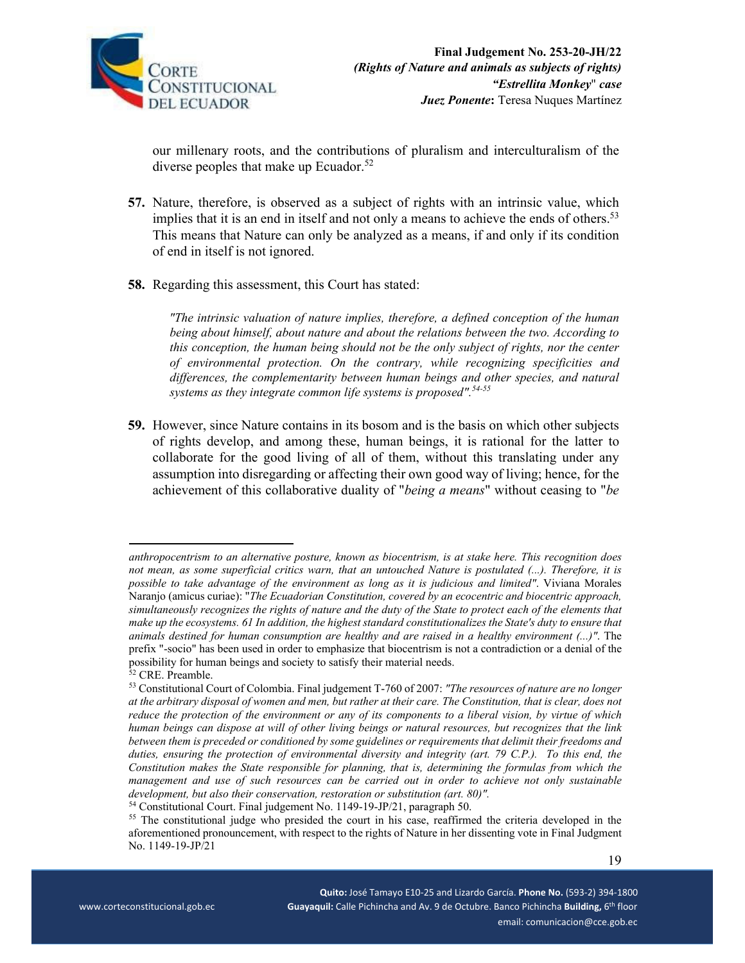

our millenary roots, and the contributions of pluralism and interculturalism of the diverse peoples that make up Ecuador.<sup>52</sup>

- **57.** Nature, therefore, is observed as a subject of rights with an intrinsic value, which implies that it is an end in itself and not only a means to achieve the ends of others.<sup>53</sup> This means that Nature can only be analyzed as a means, if and only if its condition of end in itself is not ignored.
- **58.** Regarding this assessment, this Court has stated:

*"The intrinsic valuation of nature implies, therefore, a defined conception of the human being about himself, about nature and about the relations between the two. According to this conception, the human being should not be the only subject of rights, nor the center of environmental protection. On the contrary, while recognizing specificities and differences, the complementarity between human beings and other species, and natural systems as they integrate common life systems is proposed".54-55*

**59.** However, since Nature contains in its bosom and is the basis on which other subjects of rights develop, and among these, human beings, it is rational for the latter to collaborate for the good living of all of them, without this translating under any assumption into disregarding or affecting their own good way of living; hence, for the achievement of this collaborative duality of "*being a means*" without ceasing to "*be* 

*anthropocentrism to an alternative posture, known as biocentrism, is at stake here. This recognition does not mean, as some superficial critics warn, that an untouched Nature is postulated (...). Therefore, it is possible to take advantage of the environment as long as it is judicious and limited"*. Viviana Morales Naranjo (amicus curiae): "*The Ecuadorian Constitution, covered by an ecocentric and biocentric approach, simultaneously recognizes the rights of nature and the duty of the State to protect each of the elements that make up the ecosystems. 61 In addition, the highest standard constitutionalizes the State's duty to ensure that animals destined for human consumption are healthy and are raised in a healthy environment (...)"*. The prefix "-socio" has been used in order to emphasize that biocentrism is not a contradiction or a denial of the possibility for human beings and society to satisfy their material needs.

<sup>52</sup> CRE. Preamble.

<sup>53</sup> Constitutional Court of Colombia. Final judgement T-760 of 2007: *"The resources of nature are no longer at the arbitrary disposal of women and men, but rather at their care. The Constitution, that is clear, does not reduce the protection of the environment or any of its components to a liberal vision, by virtue of which human beings can dispose at will of other living beings or natural resources, but recognizes that the link between them is preceded or conditioned by some guidelines or requirements that delimit their freedoms and*  duties, ensuring the protection of environmental diversity and integrity (art. 79 C.P.). To this end, the *Constitution makes the State responsible for planning, that is, determining the formulas from which the management and use of such resources can be carried out in order to achieve not only sustainable development, but also their conservation, restoration or substitution (art. 80)".*

<sup>54</sup> Constitutional Court. Final judgement No. 1149-19-JP/21, paragraph 50.

<sup>&</sup>lt;sup>55</sup> The constitutional judge who presided the court in his case, reaffirmed the criteria developed in the aforementioned pronouncement, with respect to the rights of Nature in her dissenting vote in Final Judgment No. 1149-19-JP/21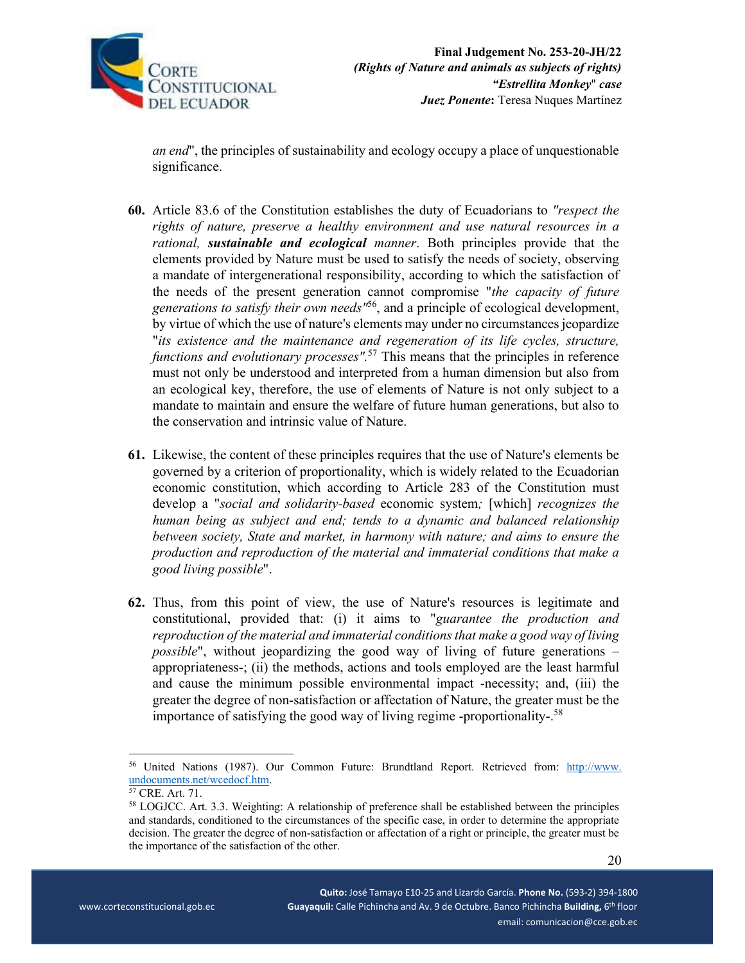

*an end*", the principles of sustainability and ecology occupy a place of unquestionable significance.

- **60.** Article 83.6 of the Constitution establishes the duty of Ecuadorians to *"respect the rights of nature, preserve a healthy environment and use natural resources in a rational, sustainable and ecological manner*. Both principles provide that the elements provided by Nature must be used to satisfy the needs of society, observing a mandate of intergenerational responsibility, according to which the satisfaction of the needs of the present generation cannot compromise "*the capacity of future generations to satisfy their own needs"*56, and a principle of ecological development, by virtue of which the use of nature's elements may under no circumstances jeopardize "*its existence and the maintenance and regeneration of its life cycles, structure, functions and evolutionary processes*".<sup>57</sup> This means that the principles in reference must not only be understood and interpreted from a human dimension but also from an ecological key, therefore, the use of elements of Nature is not only subject to a mandate to maintain and ensure the welfare of future human generations, but also to the conservation and intrinsic value of Nature.
- **61.** Likewise, the content of these principles requires that the use of Nature's elements be governed by a criterion of proportionality, which is widely related to the Ecuadorian economic constitution, which according to Article 283 of the Constitution must develop a "*social and solidarity-based* economic system*;* [which] *recognizes the human being as subject and end; tends to a dynamic and balanced relationship between society, State and market, in harmony with nature; and aims to ensure the production and reproduction of the material and immaterial conditions that make a good living possible*".
- **62.** Thus, from this point of view, the use of Nature's resources is legitimate and constitutional, provided that: (i) it aims to "*guarantee the production and reproduction of the material and immaterial conditions that make a good way of living possible*", without jeopardizing the good way of living of future generations – appropriateness-; (ii) the methods, actions and tools employed are the least harmful and cause the minimum possible environmental impact -necessity; and, (iii) the greater the degree of non-satisfaction or affectation of Nature, the greater must be the importance of satisfying the good way of living regime -proportionality-.<sup>58</sup>

<sup>&</sup>lt;sup>56</sup> United Nations (1987). Our Common Future: Brundtland Report. Retrieved from: http://www. undocuments.net/wcedocf.htm.<br><sup>57</sup> CRE. Art. 71.

<sup>58</sup> LOGJCC. Art. 3.3. Weighting: A relationship of preference shall be established between the principles and standards, conditioned to the circumstances of the specific case, in order to determine the appropriate decision. The greater the degree of non-satisfaction or affectation of a right or principle, the greater must be the importance of the satisfaction of the other.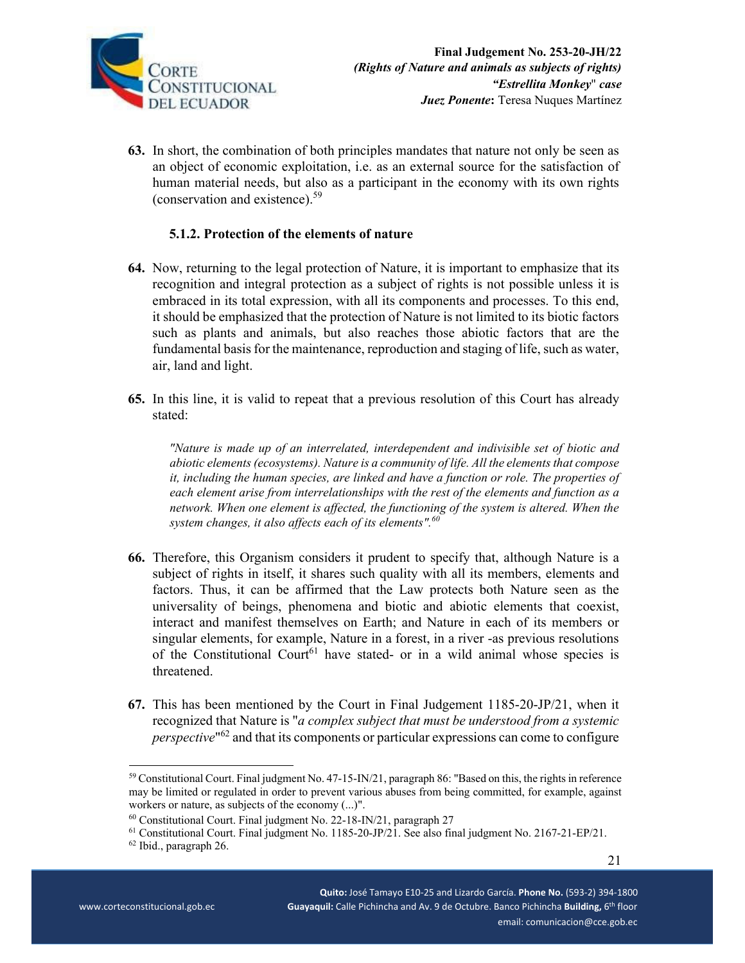

**63.** In short, the combination of both principles mandates that nature not only be seen as an object of economic exploitation, i.e. as an external source for the satisfaction of human material needs, but also as a participant in the economy with its own rights (conservation and existence).59

## **5.1.2. Protection of the elements of nature**

- **64.** Now, returning to the legal protection of Nature, it is important to emphasize that its recognition and integral protection as a subject of rights is not possible unless it is embraced in its total expression, with all its components and processes. To this end, it should be emphasized that the protection of Nature is not limited to its biotic factors such as plants and animals, but also reaches those abiotic factors that are the fundamental basis for the maintenance, reproduction and staging of life, such as water, air, land and light.
- **65.** In this line, it is valid to repeat that a previous resolution of this Court has already stated:

*"Nature is made up of an interrelated, interdependent and indivisible set of biotic and abiotic elements (ecosystems). Nature is a community of life. All the elements that compose it, including the human species, are linked and have a function or role. The properties of each element arise from interrelationships with the rest of the elements and function as a network. When one element is affected, the functioning of the system is altered. When the system changes, it also affects each of its elements".<sup>60</sup>*

- **66.** Therefore, this Organism considers it prudent to specify that, although Nature is a subject of rights in itself, it shares such quality with all its members, elements and factors. Thus, it can be affirmed that the Law protects both Nature seen as the universality of beings, phenomena and biotic and abiotic elements that coexist, interact and manifest themselves on Earth; and Nature in each of its members or singular elements, for example, Nature in a forest, in a river -as previous resolutions of the Constitutional Court<sup>61</sup> have stated- or in a wild animal whose species is threatened.
- **67.** This has been mentioned by the Court in Final Judgement 1185-20-JP/21, when it recognized that Nature is "*a complex subject that must be understood from a systemic perspective*"62 and that its components or particular expressions can come to configure

<sup>59</sup> Constitutional Court. Final judgment No. 47-15-IN/21, paragraph 86: "Based on this, the rights in reference may be limited or regulated in order to prevent various abuses from being committed, for example, against workers or nature, as subjects of the economy  $(...)$ ".<br><sup>60</sup> Constitutional Court. Final judgment No. 22-18-IN/21, paragraph 27

<sup>61</sup> Constitutional Court. Final judgment No. 1185-20-JP/21. See also final judgment No. 2167-21-EP/21.

<sup>62</sup> Ibid., paragraph 26.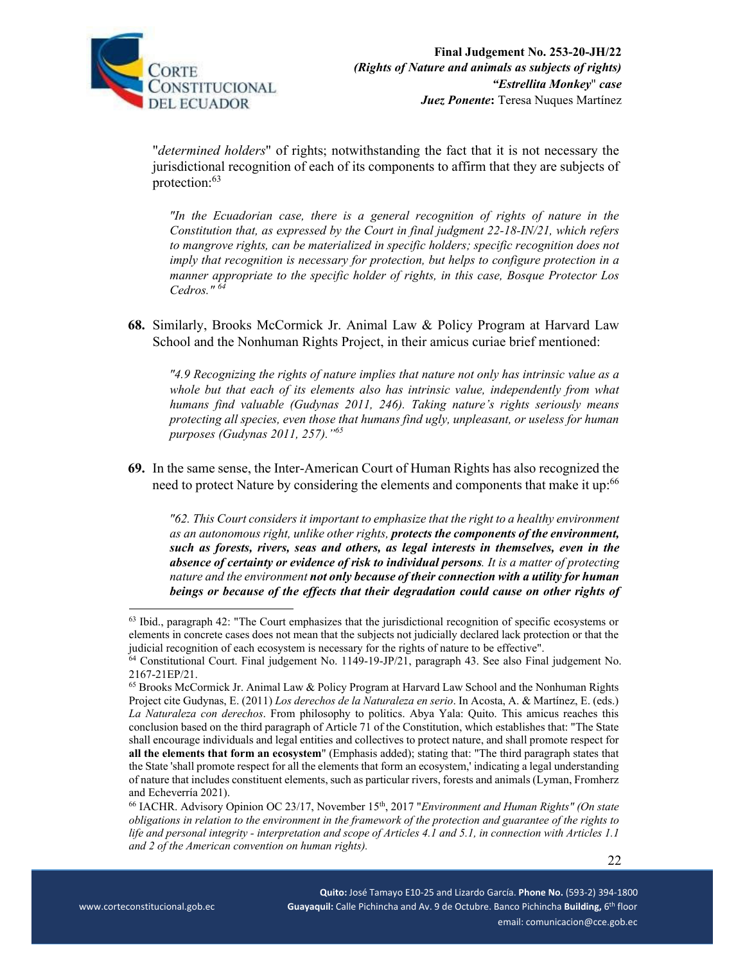

"*determined holders*" of rights; notwithstanding the fact that it is not necessary the jurisdictional recognition of each of its components to affirm that they are subjects of protection:63

*"In the Ecuadorian case, there is a general recognition of rights of nature in the Constitution that, as expressed by the Court in final judgment 22-18-IN/21, which refers to mangrove rights, can be materialized in specific holders; specific recognition does not imply that recognition is necessary for protection, but helps to configure protection in a manner appropriate to the specific holder of rights, in this case, Bosque Protector Los Cedros." <sup>64</sup>*

**68.** Similarly, Brooks McCormick Jr. Animal Law & Policy Program at Harvard Law School and the Nonhuman Rights Project, in their amicus curiae brief mentioned:

*"4.9 Recognizing the rights of nature implies that nature not only has intrinsic value as a whole but that each of its elements also has intrinsic value, independently from what humans find valuable (Gudynas 2011, 246). Taking nature's rights seriously means protecting all species, even those that humans find ugly, unpleasant, or useless for human purposes (Gudynas 2011, 257)."65*

**69.** In the same sense, the Inter-American Court of Human Rights has also recognized the need to protect Nature by considering the elements and components that make it up:<sup>66</sup>

*"62. This Court considers it important to emphasize that the right to a healthy environment as an autonomous right, unlike other rights, protects the components of the environment, such as forests, rivers, seas and others, as legal interests in themselves, even in the absence of certainty or evidence of risk to individual persons. It is a matter of protecting nature and the environment not only because of their connection with a utility for human beings or because of the effects that their degradation could cause on other rights of* 

 $63$  Ibid., paragraph 42: "The Court emphasizes that the jurisdictional recognition of specific ecosystems or elements in concrete cases does not mean that the subjects not judicially declared lack protection or that the judicial recognition of each ecosystem is necessary for the rights of nature to be effective".

<sup>&</sup>lt;sup>64</sup> Constitutional Court. Final judgement No. 1149-19-JP/21, paragraph 43. See also Final judgement No. 2167-21EP/21.

<sup>65</sup> Brooks McCormick Jr. Animal Law & Policy Program at Harvard Law School and the Nonhuman Rights Project cite Gudynas, E. (2011) *Los derechos de la Naturaleza en serio*. In Acosta, A. & Martínez, E. (eds.) *La Naturaleza con derechos*. From philosophy to politics. Abya Yala: Quito. This amicus reaches this conclusion based on the third paragraph of Article 71 of the Constitution, which establishes that: "The State shall encourage individuals and legal entities and collectives to protect nature, and shall promote respect for **all the elements that form an ecosystem**" (Emphasis added); stating that: "The third paragraph states that the State 'shall promote respect for all the elements that form an ecosystem,' indicating a legal understanding of nature that includes constituent elements, such as particular rivers, forests and animals (Lyman, Fromherz and Echeverría 2021).

<sup>66</sup> IACHR. Advisory Opinion OC 23/17, November 15th, 2017 "*Environment and Human Rights" (On state obligations in relation to the environment in the framework of the protection and guarantee of the rights to life and personal integrity - interpretation and scope of Articles 4.1 and 5.1, in connection with Articles 1.1 and 2 of the American convention on human rights).*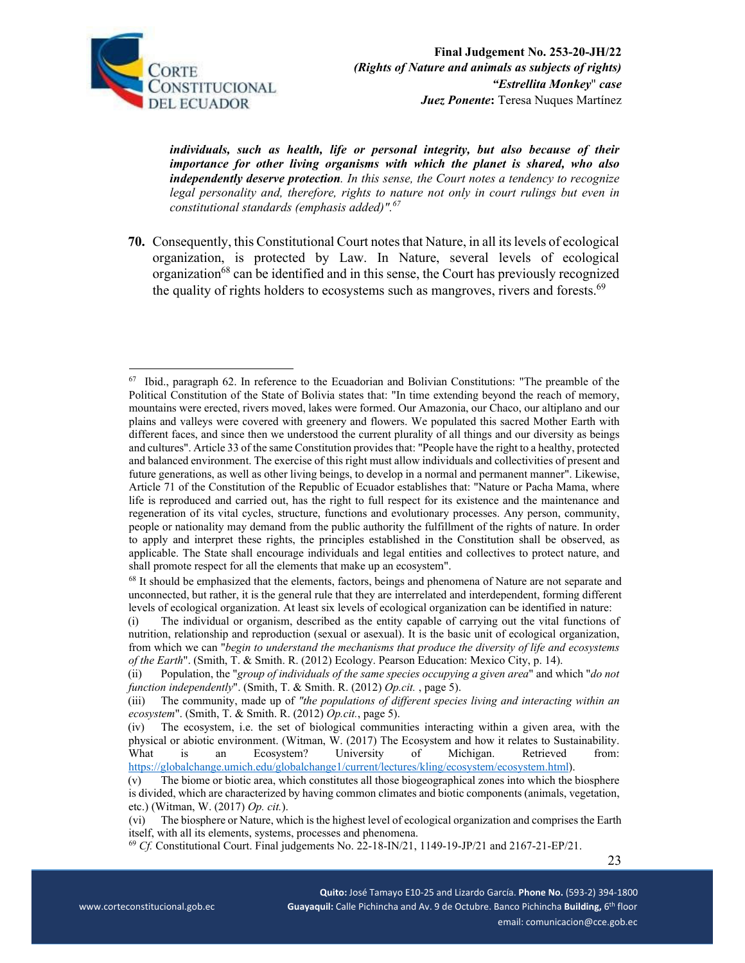

*individuals, such as health, life or personal integrity, but also because of their importance for other living organisms with which the planet is shared, who also independently deserve protection. In this sense, the Court notes a tendency to recognize legal personality and, therefore, rights to nature not only in court rulings but even in constitutional standards (emphasis added)".67*

**70.** Consequently, this Constitutional Court notes that Nature, in all its levels of ecological organization, is protected by Law. In Nature, several levels of ecological organization68 can be identified and in this sense, the Court has previously recognized the quality of rights holders to ecosystems such as mangroves, rivers and forests. $69$ 

 $67$  Ibid., paragraph 62. In reference to the Ecuadorian and Bolivian Constitutions: "The preamble of the Political Constitution of the State of Bolivia states that: "In time extending beyond the reach of memory, mountains were erected, rivers moved, lakes were formed. Our Amazonia, our Chaco, our altiplano and our plains and valleys were covered with greenery and flowers. We populated this sacred Mother Earth with different faces, and since then we understood the current plurality of all things and our diversity as beings and cultures". Article 33 of the same Constitution provides that: "People have the right to a healthy, protected and balanced environment. The exercise of this right must allow individuals and collectivities of present and future generations, as well as other living beings, to develop in a normal and permanent manner". Likewise, Article 71 of the Constitution of the Republic of Ecuador establishes that: "Nature or Pacha Mama, where life is reproduced and carried out, has the right to full respect for its existence and the maintenance and regeneration of its vital cycles, structure, functions and evolutionary processes. Any person, community, people or nationality may demand from the public authority the fulfillment of the rights of nature. In order to apply and interpret these rights, the principles established in the Constitution shall be observed, as applicable. The State shall encourage individuals and legal entities and collectives to protect nature, and shall promote respect for all the elements that make up an ecosystem".

<sup>&</sup>lt;sup>68</sup> It should be emphasized that the elements, factors, beings and phenomena of Nature are not separate and unconnected, but rather, it is the general rule that they are interrelated and interdependent, forming different levels of ecological organization. At least six levels of ecological organization can be identified in nature:

<sup>(</sup>i) The individual or organism, described as the entity capable of carrying out the vital functions of nutrition, relationship and reproduction (sexual or asexual). It is the basic unit of ecological organization, from which we can "*begin to understand the mechanisms that produce the diversity of life and ecosystems of the Earth*". (Smith, T. & Smith. R. (2012) Ecology. Pearson Education: Mexico City, p. 14).

<sup>(</sup>ii) Population, the "*group of individuals of the same species occupying a given area*" and which "*do not function independently*". (Smith, T. & Smith. R. (2012) *Op.cit.* , page 5).

<sup>(</sup>iii) The community, made up of *"the populations of different species living and interacting within an ecosystem*". (Smith, T. & Smith. R. (2012) *Op.cit.*, page 5).

<sup>(</sup>iv) The ecosystem, i.e. the set of biological communities interacting within a given area, with the physical or abiotic environment. (Witman, W. (2017) The Ecosystem and how it relates to Sustainability. What is an Ecosystem? University of Michigan. Retrieved from: https://globalchange.umich.edu/globalchange1/current/lectures/kling/ecosystem/ecosystem.html).

<sup>(</sup>v) The biome or biotic area, which constitutes all those biogeographical zones into which the biosphere is divided, which are characterized by having common climates and biotic components (animals, vegetation, etc.) (Witman, W. (2017) *Op. cit.*).

<sup>(</sup>vi) The biosphere or Nature, which is the highest level of ecological organization and comprises the Earth

itself, with all its elements, systems, processes and phenomena. 69 *Cf.* Constitutional Court. Final judgements No. 22-18-IN/21, 1149-19-JP/21 and 2167-21-EP/21.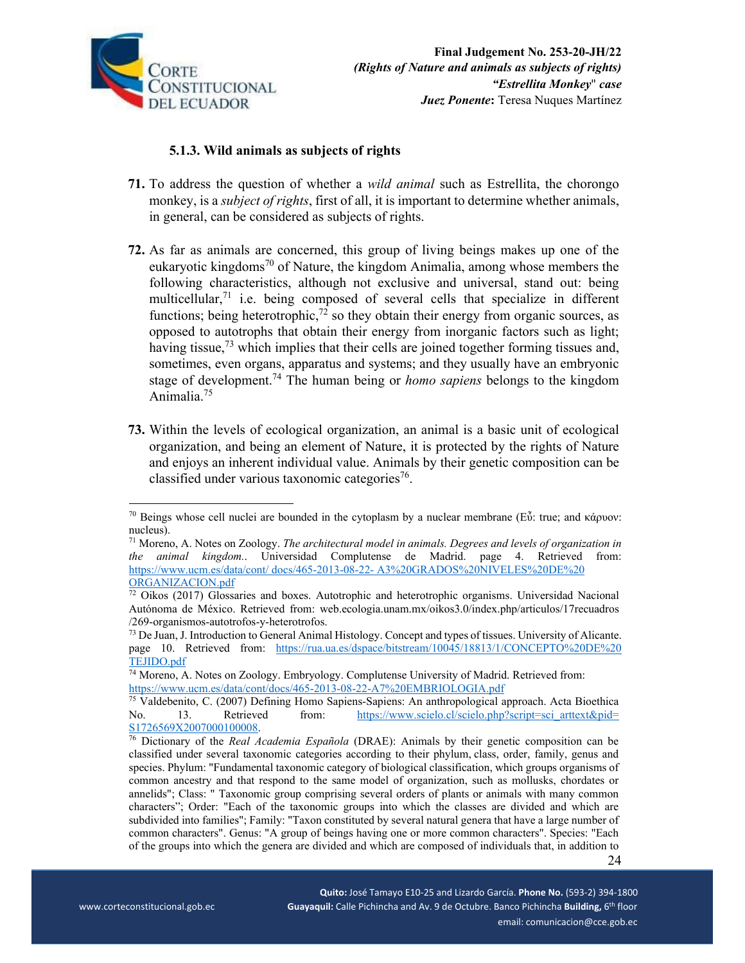

# **5.1.3. Wild animals as subjects of rights**

- **71.** To address the question of whether a *wild animal* such as Estrellita, the chorongo monkey, is a *subject of rights*, first of all, it is important to determine whether animals, in general, can be considered as subjects of rights.
- **72.** As far as animals are concerned, this group of living beings makes up one of the eukaryotic kingdoms<sup>70</sup> of Nature, the kingdom Animalia, among whose members the following characteristics, although not exclusive and universal, stand out: being multicellular, $71$  i.e. being composed of several cells that specialize in different functions; being heterotrophic,<sup>72</sup> so they obtain their energy from organic sources, as opposed to autotrophs that obtain their energy from inorganic factors such as light; having tissue, $73$  which implies that their cells are joined together forming tissues and, sometimes, even organs, apparatus and systems; and they usually have an embryonic stage of development.74 The human being or *homo sapiens* belongs to the kingdom Animalia.75
- **73.** Within the levels of ecological organization, an animal is a basic unit of ecological organization, and being an element of Nature, it is protected by the rights of Nature and enjoys an inherent individual value. Animals by their genetic composition can be classified under various taxonomic categories<sup>76</sup>.

<sup>&</sup>lt;sup>70</sup> Beings whose cell nuclei are bounded in the cytoplasm by a nuclear membrane (Εὖ: true; and κάρυον: nucleus).

<sup>71</sup> Moreno, A. Notes on Zoology. *The architectural model in animals. Degrees and levels of organization in the animal kingdom.*. Universidad Complutense de Madrid. page 4. Retrieved from: https://www.ucm.es/data/cont/ docs/465-2013-08-22- A3%20GRADOS%20NIVELES%20DE%20 ORGANIZACION.pdf

 $\frac{72 \text{ Oikos (2017) Gloss}}{1000 \text{ Gloss}}$  and boxes. Autotrophic and heterotrophic organisms. Universidad Nacional Autónoma de México. Retrieved from: web.ecologia.unam.mx/oikos3.0/index.php/articulos/17recuadros /269-organismos-autotrofos-y-heterotrofos.

<sup>73</sup> De Juan, J. Introduction to General Animal Histology. Concept and types of tissues. University of Alicante. page 10. Retrieved from: https://rua.ua.es/dspace/bitstream/10045/18813/1/CONCEPTO%20DE%20

TEJIDO.pdf<br><sup>74</sup> Moreno, A. Notes on Zoology. Embryology. Complutense University of Madrid. Retrieved from:<br>https://www.ucm.es/data/cont/docs/465-2013-08-22-A7%20EMBRIOLOGIA.pdf

<sup>&</sup>lt;sup>75</sup> Valdebenito, C. (2007) Defining Homo Sapiens-Sapiens: An anthropological approach. Acta Bioethica No. 13. Retrieved from: https://www.scielo.cl/scielo.php?script=sci\_arttext&pid=<br>S1726569X2007000100008.

 24 <sup>76</sup> Dictionary of the *Real Academia Española* (DRAE): Animals by their genetic composition can be classified under several taxonomic categories according to their phylum, class, order, family, genus and species. Phylum: "Fundamental taxonomic category of biological classification, which groups organisms of common ancestry and that respond to the same model of organization, such as mollusks, chordates or annelids"; Class: " Taxonomic group comprising several orders of plants or animals with many common characters"; Order: "Each of the taxonomic groups into which the classes are divided and which are subdivided into families"; Family: "Taxon constituted by several natural genera that have a large number of common characters". Genus: "A group of beings having one or more common characters". Species: "Each of the groups into which the genera are divided and which are composed of individuals that, in addition to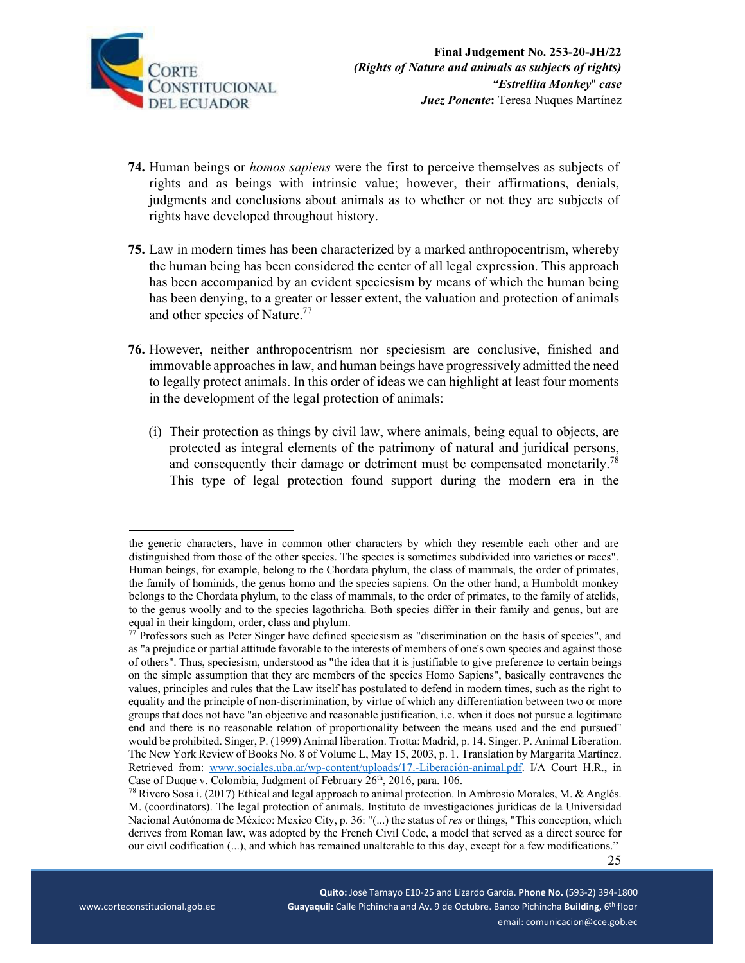

- **74.** Human beings or *homos sapiens* were the first to perceive themselves as subjects of rights and as beings with intrinsic value; however, their affirmations, denials, judgments and conclusions about animals as to whether or not they are subjects of rights have developed throughout history.
- **75.** Law in modern times has been characterized by a marked anthropocentrism, whereby the human being has been considered the center of all legal expression. This approach has been accompanied by an evident speciesism by means of which the human being has been denying, to a greater or lesser extent, the valuation and protection of animals and other species of Nature.<sup>77</sup>
- **76.** However, neither anthropocentrism nor speciesism are conclusive, finished and immovable approaches in law, and human beings have progressively admitted the need to legally protect animals. In this order of ideas we can highlight at least four moments in the development of the legal protection of animals:
	- (i) Their protection as things by civil law, where animals, being equal to objects, are protected as integral elements of the patrimony of natural and juridical persons, and consequently their damage or detriment must be compensated monetarily.<sup>78</sup> This type of legal protection found support during the modern era in the

the generic characters, have in common other characters by which they resemble each other and are distinguished from those of the other species. The species is sometimes subdivided into varieties or races". Human beings, for example, belong to the Chordata phylum, the class of mammals, the order of primates, the family of hominids, the genus homo and the species sapiens. On the other hand, a Humboldt monkey belongs to the Chordata phylum, to the class of mammals, to the order of primates, to the family of atelids, to the genus woolly and to the species lagothricha. Both species differ in their family and genus, but are equal in their kingdom, order, class and phylum.

 $77$  Professors such as Peter Singer have defined speciesism as "discrimination on the basis of species", and as "a prejudice or partial attitude favorable to the interests of members of one's own species and against those of others". Thus, speciesism, understood as "the idea that it is justifiable to give preference to certain beings on the simple assumption that they are members of the species Homo Sapiens", basically contravenes the values, principles and rules that the Law itself has postulated to defend in modern times, such as the right to equality and the principle of non-discrimination, by virtue of which any differentiation between two or more groups that does not have "an objective and reasonable justification, i.e. when it does not pursue a legitimate end and there is no reasonable relation of proportionality between the means used and the end pursued" would be prohibited. Singer, P. (1999) Animal liberation. Trotta: Madrid, p. 14. Singer. P. Animal Liberation. The New York Review of Books No. 8 of Volume L, May 15, 2003, p. 1. Translation by Margarita Martínez. Retrieved from: www.sociales.uba.ar/wp-content/uploads/17.-Liberación-animal.pdf. I/A Court H.R., in Case of Duque v. Colombia, Judgment of February 26<sup>th</sup>, 2016, para. 106.<br><sup>78</sup> Rivero Sosa i. (2017) Ethical and legal approach to animal protection. In Ambrosio Morales, M. & Anglés.

 25 M. (coordinators). The legal protection of animals. Instituto de investigaciones jurídicas de la Universidad Nacional Autónoma de México: Mexico City, p. 36: "(...) the status of *res* or things, "This conception, which derives from Roman law, was adopted by the French Civil Code, a model that served as a direct source for our civil codification (...), and which has remained unalterable to this day, except for a few modifications."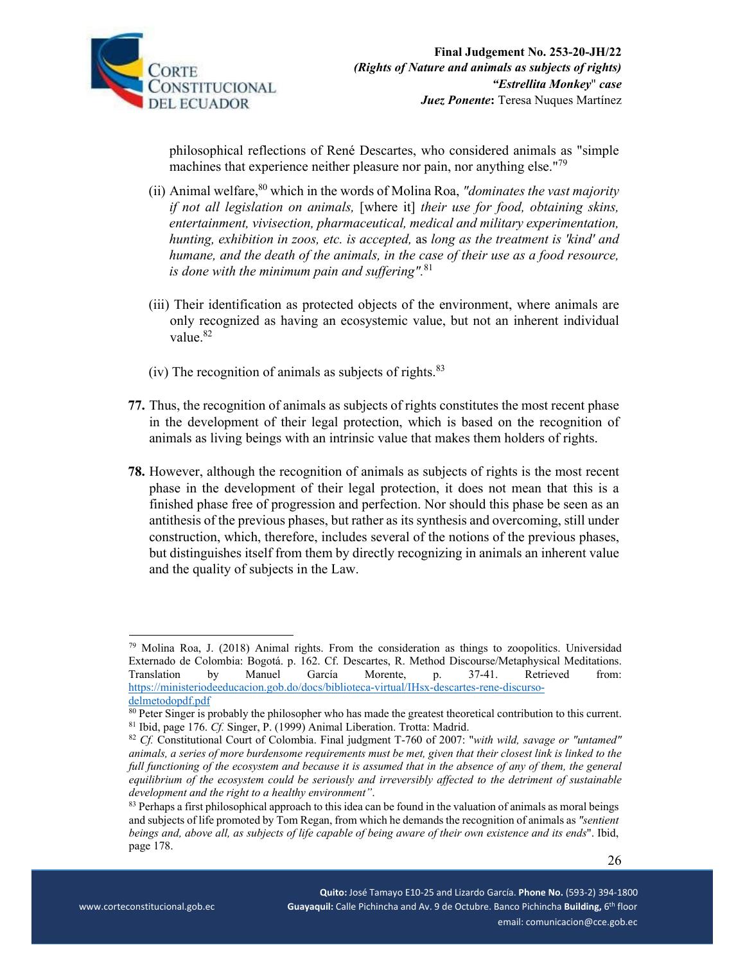

philosophical reflections of René Descartes, who considered animals as "simple machines that experience neither pleasure nor pain, nor anything else."<sup>79</sup>

- (ii) Animal welfare,80 which in the words of Molina Roa, *"dominates the vast majority if not all legislation on animals,* [where it] *their use for food, obtaining skins, entertainment, vivisection, pharmaceutical, medical and military experimentation, hunting, exhibition in zoos, etc. is accepted,* as *long as the treatment is 'kind' and humane, and the death of the animals, in the case of their use as a food resource, is done with the minimum pain and suffering".*81
- (iii) Their identification as protected objects of the environment, where animals are only recognized as having an ecosystemic value, but not an inherent individual value.<sup>82</sup>
- (iv) The recognition of animals as subjects of rights. $83$
- **77.** Thus, the recognition of animals as subjects of rights constitutes the most recent phase in the development of their legal protection, which is based on the recognition of animals as living beings with an intrinsic value that makes them holders of rights.
- **78.** However, although the recognition of animals as subjects of rights is the most recent phase in the development of their legal protection, it does not mean that this is a finished phase free of progression and perfection. Nor should this phase be seen as an antithesis of the previous phases, but rather as its synthesis and overcoming, still under construction, which, therefore, includes several of the notions of the previous phases, but distinguishes itself from them by directly recognizing in animals an inherent value and the quality of subjects in the Law.

 $79$  Molina Roa, J. (2018) Animal rights. From the consideration as things to zoopolitics. Universidad Externado de Colombia: Bogotá. p. 162. Cf. Descartes, R. Method Discourse/Metaphysical Meditations. Translation by Manuel García Morente, p. 37-41. Retrieved from: https://ministeriodeeducacion.gob.do/docs/biblioteca-virtual/IHsx-descartes-rene-discurso-

delmetodopdf.pdf<br><sup>80</sup> Peter Singer is probably the philosopher who has made the greatest theoretical contribution to this current. 81 Ibid, page 176. *Cf.* Singer, P. (1999) Animal Liberation. Trotta: Madrid. 82 *Cf.* Constitutional Court of Colombia. Final judgment T-760 of 2007: "*with wild, savage or "untamed"* 

*animals, a series of more burdensome requirements must be met, given that their closest link is linked to the full functioning of the ecosystem and because it is assumed that in the absence of any of them, the general equilibrium of the ecosystem could be seriously and irreversibly affected to the detriment of sustainable development and the right to a healthy environment"*.<br><sup>83</sup> Perhaps a first philosophical approach to this idea can be found in the valuation of animals as moral beings

and subjects of life promoted by Tom Regan, from which he demands the recognition of animals as *"sentient beings and, above all, as subjects of life capable of being aware of their own existence and its ends*". Ibid, page 178.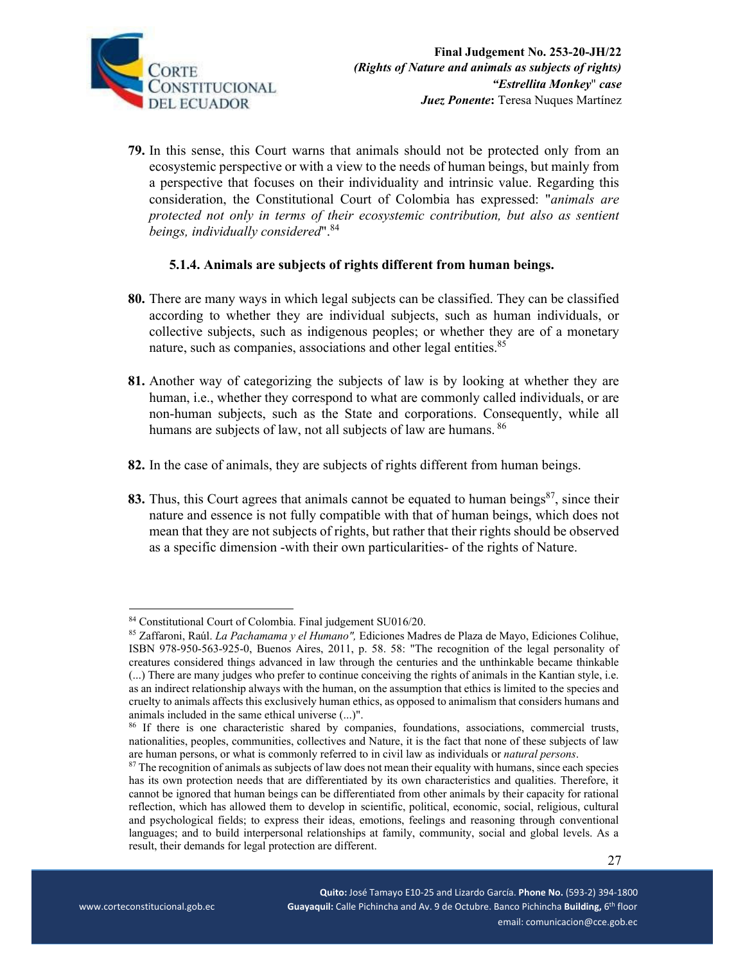

**79.** In this sense, this Court warns that animals should not be protected only from an ecosystemic perspective or with a view to the needs of human beings, but mainly from a perspective that focuses on their individuality and intrinsic value. Regarding this consideration, the Constitutional Court of Colombia has expressed: "*animals are protected not only in terms of their ecosystemic contribution, but also as sentient beings, individually considered*".<sup>84</sup>

## **5.1.4. Animals are subjects of rights different from human beings.**

- **80.** There are many ways in which legal subjects can be classified. They can be classified according to whether they are individual subjects, such as human individuals, or collective subjects, such as indigenous peoples; or whether they are of a monetary nature, such as companies, associations and other legal entities.<sup>85</sup>
- **81.** Another way of categorizing the subjects of law is by looking at whether they are human, i.e., whether they correspond to what are commonly called individuals, or are non-human subjects, such as the State and corporations. Consequently, while all humans are subjects of law, not all subjects of law are humans. <sup>86</sup>
- **82.** In the case of animals, they are subjects of rights different from human beings.
- 83. Thus, this Court agrees that animals cannot be equated to human beings<sup>87</sup>, since their nature and essence is not fully compatible with that of human beings, which does not mean that they are not subjects of rights, but rather that their rights should be observed as a specific dimension -with their own particularities- of the rights of Nature.

<sup>84</sup> Constitutional Court of Colombia. Final judgement SU016/20.

<sup>85</sup> Zaffaroni, Raúl. *La Pachamama y el Humano",* Ediciones Madres de Plaza de Mayo, Ediciones Colihue, ISBN 978-950-563-925-0, Buenos Aires, 2011, p. 58. 58: "The recognition of the legal personality of creatures considered things advanced in law through the centuries and the unthinkable became thinkable (...) There are many judges who prefer to continue conceiving the rights of animals in the Kantian style, i.e. as an indirect relationship always with the human, on the assumption that ethics is limited to the species and cruelty to animals affects this exclusively human ethics, as opposed to animalism that considers humans and animals included in the same ethical universe (...)".

<sup>&</sup>lt;sup>86</sup> If there is one characteristic shared by companies, foundations, associations, commercial trusts, nationalities, peoples, communities, collectives and Nature, it is the fact that none of these subjects of law are human persons, or what is commonly referred to in civil law as individuals or *natural persons*. 87 The recognition of animals as subjects of law does not mean their equality with humans, since each species

has its own protection needs that are differentiated by its own characteristics and qualities. Therefore, it cannot be ignored that human beings can be differentiated from other animals by their capacity for rational reflection, which has allowed them to develop in scientific, political, economic, social, religious, cultural and psychological fields; to express their ideas, emotions, feelings and reasoning through conventional languages; and to build interpersonal relationships at family, community, social and global levels. As a result, their demands for legal protection are different.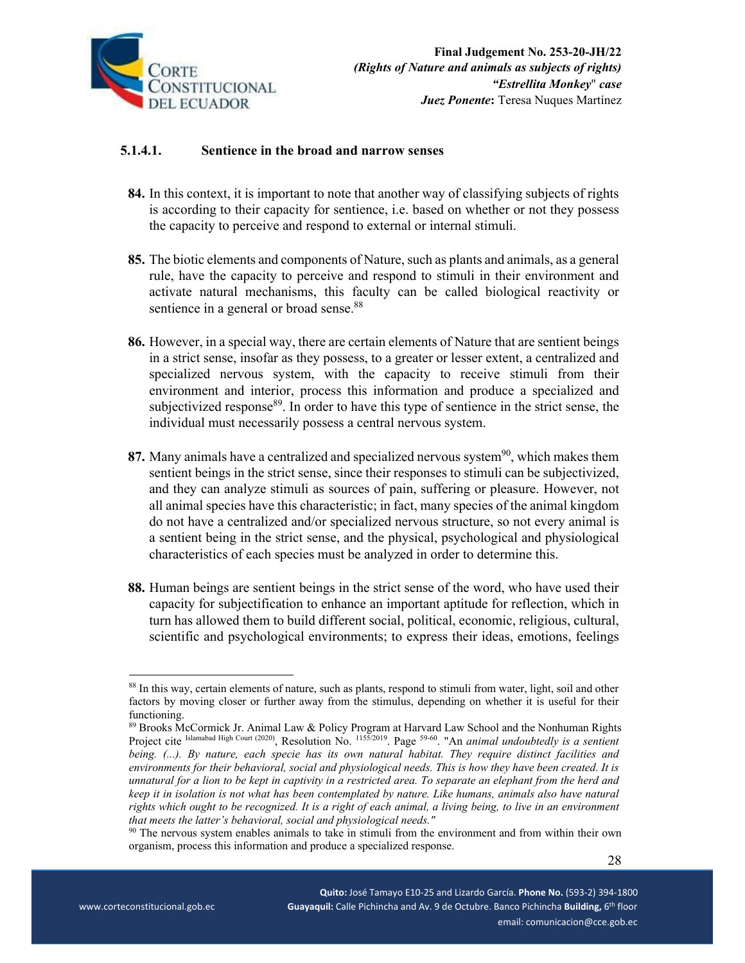

## **5.1.4.1. Sentience in the broad and narrow senses**

- **84.** In this context, it is important to note that another way of classifying subjects of rights is according to their capacity for sentience, i.e. based on whether or not they possess the capacity to perceive and respond to external or internal stimuli.
- **85.** The biotic elements and components of Nature, such as plants and animals, as a general rule, have the capacity to perceive and respond to stimuli in their environment and activate natural mechanisms, this faculty can be called biological reactivity or sentience in a general or broad sense.<sup>88</sup>
- **86.** However, in a special way, there are certain elements of Nature that are sentient beings in a strict sense, insofar as they possess, to a greater or lesser extent, a centralized and specialized nervous system, with the capacity to receive stimuli from their environment and interior, process this information and produce a specialized and subjectivized response<sup>89</sup>. In order to have this type of sentience in the strict sense, the individual must necessarily possess a central nervous system.
- **87.** Many animals have a centralized and specialized nervous system<sup>90</sup>, which makes them sentient beings in the strict sense, since their responses to stimuli can be subjectivized, and they can analyze stimuli as sources of pain, suffering or pleasure. However, not all animal species have this characteristic; in fact, many species of the animal kingdom do not have a centralized and/or specialized nervous structure, so not every animal is a sentient being in the strict sense, and the physical, psychological and physiological characteristics of each species must be analyzed in order to determine this.
- **88.** Human beings are sentient beings in the strict sense of the word, who have used their capacity for subjectification to enhance an important aptitude for reflection, which in turn has allowed them to build different social, political, economic, religious, cultural, scientific and psychological environments; to express their ideas, emotions, feelings

<sup>&</sup>lt;sup>88</sup> In this way, certain elements of nature, such as plants, respond to stimuli from water, light, soil and other factors by moving closer or further away from the stimulus, depending on whether it is useful for their functioning.

<sup>89</sup> Brooks McCormick Jr. Animal Law & Policy Program at Harvard Law School and the Nonhuman Rights Project cite Islamabad High Court (2020), Resolution No. 1155/2019. Page <sup>59-60</sup>. "An *animal undoubtedly is a sentient being. (...). By nature, each specie has its own natural habitat. They require distinct facilities and environments for their behavioral, social and physiological needs. This is how they have been created. It is unnatural for a lion to be kept in captivity in a restricted area. To separate an elephant from the herd and keep it in isolation is not what has been contemplated by nature. Like humans, animals also have natural rights which ought to be recognized. It is a right of each animal, a living being, to live in an environment that meets the latter's behavioral, social and physiological needs."* 

<sup>90</sup> The nervous system enables animals to take in stimuli from the environment and from within their own organism, process this information and produce a specialized response.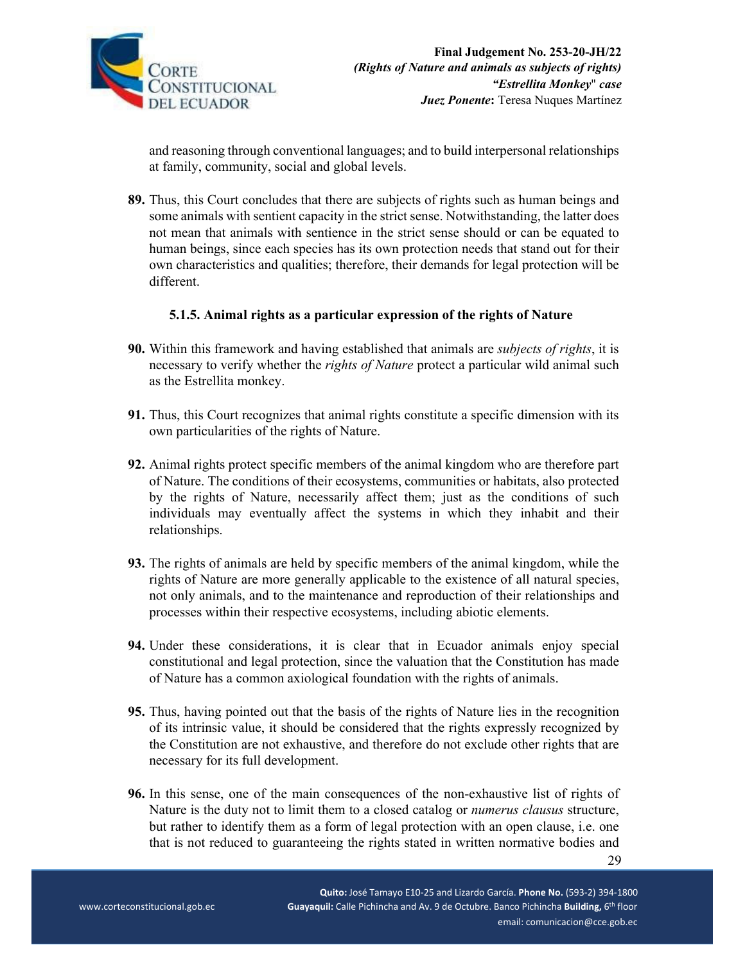

and reasoning through conventional languages; and to build interpersonal relationships at family, community, social and global levels.

**89.** Thus, this Court concludes that there are subjects of rights such as human beings and some animals with sentient capacity in the strict sense. Notwithstanding, the latter does not mean that animals with sentience in the strict sense should or can be equated to human beings, since each species has its own protection needs that stand out for their own characteristics and qualities; therefore, their demands for legal protection will be different.

## **5.1.5. Animal rights as a particular expression of the rights of Nature**

- **90.** Within this framework and having established that animals are *subjects of rights*, it is necessary to verify whether the *rights of Nature* protect a particular wild animal such as the Estrellita monkey.
- **91.** Thus, this Court recognizes that animal rights constitute a specific dimension with its own particularities of the rights of Nature.
- **92.** Animal rights protect specific members of the animal kingdom who are therefore part of Nature. The conditions of their ecosystems, communities or habitats, also protected by the rights of Nature, necessarily affect them; just as the conditions of such individuals may eventually affect the systems in which they inhabit and their relationships.
- **93.** The rights of animals are held by specific members of the animal kingdom, while the rights of Nature are more generally applicable to the existence of all natural species, not only animals, and to the maintenance and reproduction of their relationships and processes within their respective ecosystems, including abiotic elements.
- **94.** Under these considerations, it is clear that in Ecuador animals enjoy special constitutional and legal protection, since the valuation that the Constitution has made of Nature has a common axiological foundation with the rights of animals.
- **95.** Thus, having pointed out that the basis of the rights of Nature lies in the recognition of its intrinsic value, it should be considered that the rights expressly recognized by the Constitution are not exhaustive, and therefore do not exclude other rights that are necessary for its full development.
- **96.** In this sense, one of the main consequences of the non-exhaustive list of rights of Nature is the duty not to limit them to a closed catalog or *numerus clausus* structure, but rather to identify them as a form of legal protection with an open clause, i.e. one that is not reduced to guaranteeing the rights stated in written normative bodies and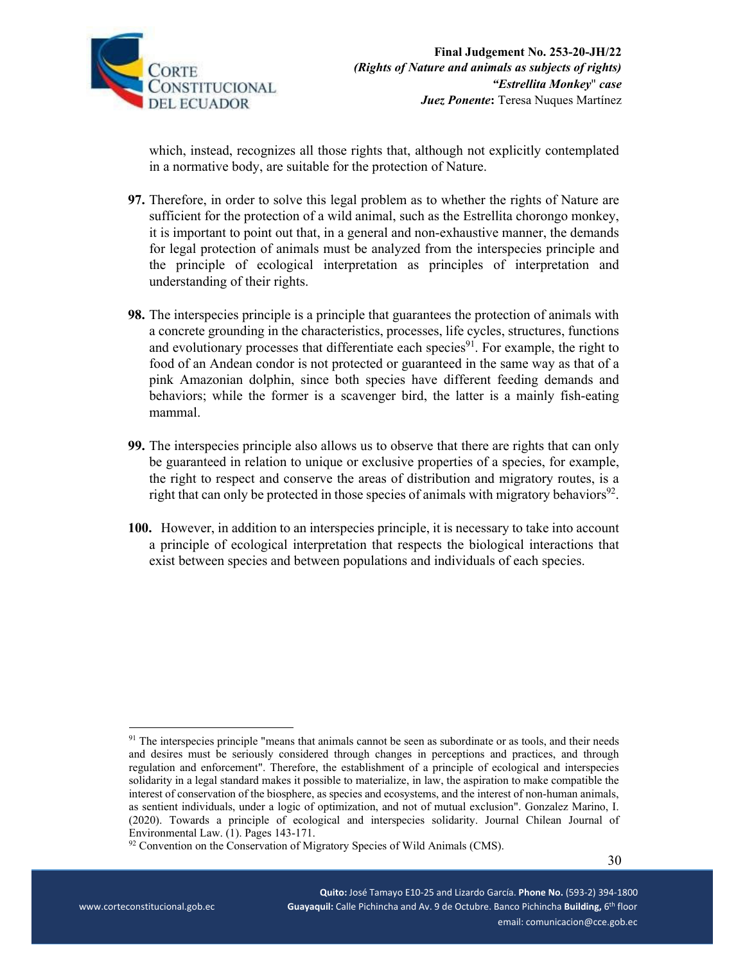

which, instead, recognizes all those rights that, although not explicitly contemplated in a normative body, are suitable for the protection of Nature.

- **97.** Therefore, in order to solve this legal problem as to whether the rights of Nature are sufficient for the protection of a wild animal, such as the Estrellita chorongo monkey, it is important to point out that, in a general and non-exhaustive manner, the demands for legal protection of animals must be analyzed from the interspecies principle and the principle of ecological interpretation as principles of interpretation and understanding of their rights.
- **98.** The interspecies principle is a principle that guarantees the protection of animals with a concrete grounding in the characteristics, processes, life cycles, structures, functions and evolutionary processes that differentiate each species<sup>91</sup>. For example, the right to food of an Andean condor is not protected or guaranteed in the same way as that of a pink Amazonian dolphin, since both species have different feeding demands and behaviors; while the former is a scavenger bird, the latter is a mainly fish-eating mammal.
- **99.** The interspecies principle also allows us to observe that there are rights that can only be guaranteed in relation to unique or exclusive properties of a species, for example, the right to respect and conserve the areas of distribution and migratory routes, is a right that can only be protected in those species of animals with migratory behaviors<sup>92</sup>.
- **100.** However, in addition to an interspecies principle, it is necessary to take into account a principle of ecological interpretation that respects the biological interactions that exist between species and between populations and individuals of each species.

<sup>&</sup>lt;sup>91</sup> The interspecies principle "means that animals cannot be seen as subordinate or as tools, and their needs and desires must be seriously considered through changes in perceptions and practices, and through regulation and enforcement". Therefore, the establishment of a principle of ecological and interspecies solidarity in a legal standard makes it possible to materialize, in law, the aspiration to make compatible the interest of conservation of the biosphere, as species and ecosystems, and the interest of non-human animals, as sentient individuals, under a logic of optimization, and not of mutual exclusion". Gonzalez Marino, I. (2020). Towards a principle of ecological and interspecies solidarity. Journal Chilean Journal of Environmental Law. (1). Pages 143-171.

<sup>&</sup>lt;sup>92</sup> Convention on the Conservation of Migratory Species of Wild Animals (CMS).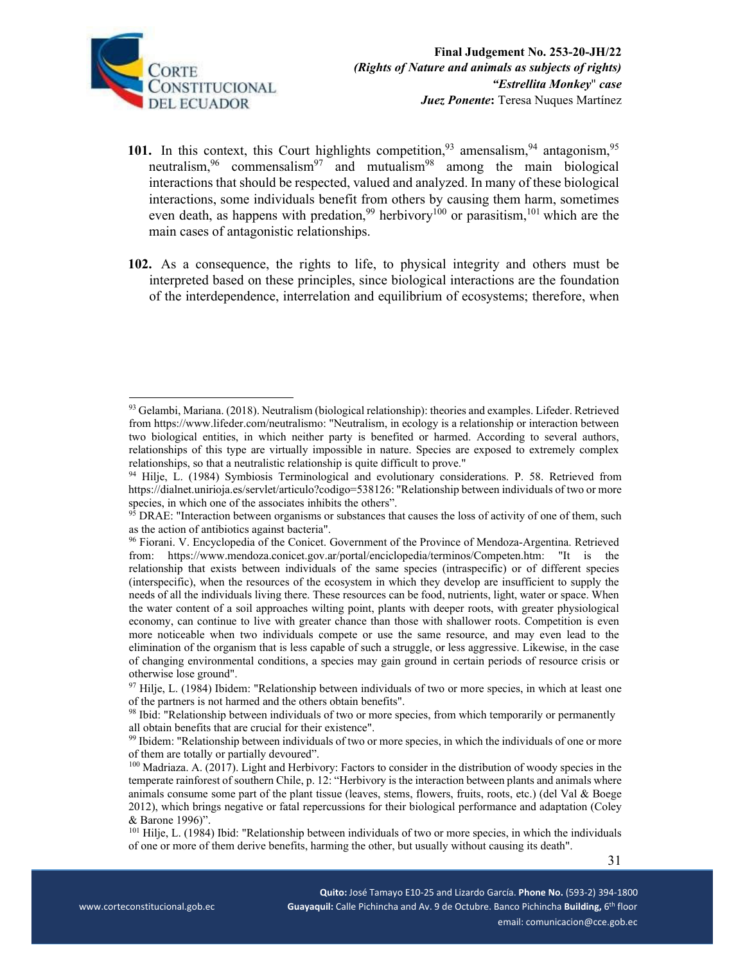

- 101. In this context, this Court highlights competition,<sup>93</sup> amensalism,<sup>94</sup> antagonism,<sup>95</sup> neutralism,  $96$  commensalism<sup>97</sup> and mutualism<sup>98</sup> among the main biological interactions that should be respected, valued and analyzed. In many of these biological interactions, some individuals benefit from others by causing them harm, sometimes even death, as happens with predation,<sup>99</sup> herbivory<sup>100</sup> or parasitism,<sup>101</sup> which are the main cases of antagonistic relationships.
- **102.** As a consequence, the rights to life, to physical integrity and others must be interpreted based on these principles, since biological interactions are the foundation of the interdependence, interrelation and equilibrium of ecosystems; therefore, when

<sup>93</sup> Gelambi, Mariana. (2018). Neutralism (biological relationship): theories and examples. Lifeder. Retrieved from https://www.lifeder.com/neutralismo: "Neutralism, in ecology is a relationship or interaction between two biological entities, in which neither party is benefited or harmed. According to several authors, relationships of this type are virtually impossible in nature. Species are exposed to extremely complex relationships, so that a neutralistic relationship is quite difficult to prove."

<sup>94</sup> Hilje, L. (1984) Symbiosis Terminological and evolutionary considerations. P. 58. Retrieved from https://dialnet.unirioja.es/servlet/articulo?codigo=538126: "Relationship between individuals of two or more species, in which one of the associates inhibits the others".

 $95$  DRAE: "Interaction between organisms or substances that causes the loss of activity of one of them, such as the action of antibiotics against bacteria".

<sup>&</sup>lt;sup>96</sup> Fiorani. V. Encyclopedia of the Conicet. Government of the Province of Mendoza-Argentina. Retrieved from: https://www.mendoza.conicet.gov.ar/portal/enciclopedia/terminos/Competen.htm: "It is the relationship that exists between individuals of the same species (intraspecific) or of different species (interspecific), when the resources of the ecosystem in which they develop are insufficient to supply the needs of all the individuals living there. These resources can be food, nutrients, light, water or space. When the water content of a soil approaches wilting point, plants with deeper roots, with greater physiological economy, can continue to live with greater chance than those with shallower roots. Competition is even more noticeable when two individuals compete or use the same resource, and may even lead to the elimination of the organism that is less capable of such a struggle, or less aggressive. Likewise, in the case of changing environmental conditions, a species may gain ground in certain periods of resource crisis or otherwise lose ground".

<sup>&</sup>lt;sup>97</sup> Hilje, L. (1984) Ibidem: "Relationship between individuals of two or more species, in which at least one of the partners is not harmed and the others obtain benefits".

<sup>&</sup>lt;sup>98</sup> Ibid: "Relationship between individuals of two or more species, from which temporarily or permanently all obtain benefits that are crucial for their existence".

<sup>99</sup> Ibidem: "Relationship between individuals of two or more species, in which the individuals of one or more of them are totally or partially devoured".

<sup>100</sup> Madriaza. A. (2017). Light and Herbivory: Factors to consider in the distribution of woody species in the temperate rainforest of southern Chile, p. 12: "Herbivory is the interaction between plants and animals where animals consume some part of the plant tissue (leaves, stems, flowers, fruits, roots, etc.) (del Val  $\&$  Boege 2012), which brings negative or fatal repercussions for their biological performance and adaptation (Coley & Barone 1996)".

<sup>101</sup> Hilje, L. (1984) Ibid: "Relationship between individuals of two or more species, in which the individuals of one or more of them derive benefits, harming the other, but usually without causing its death".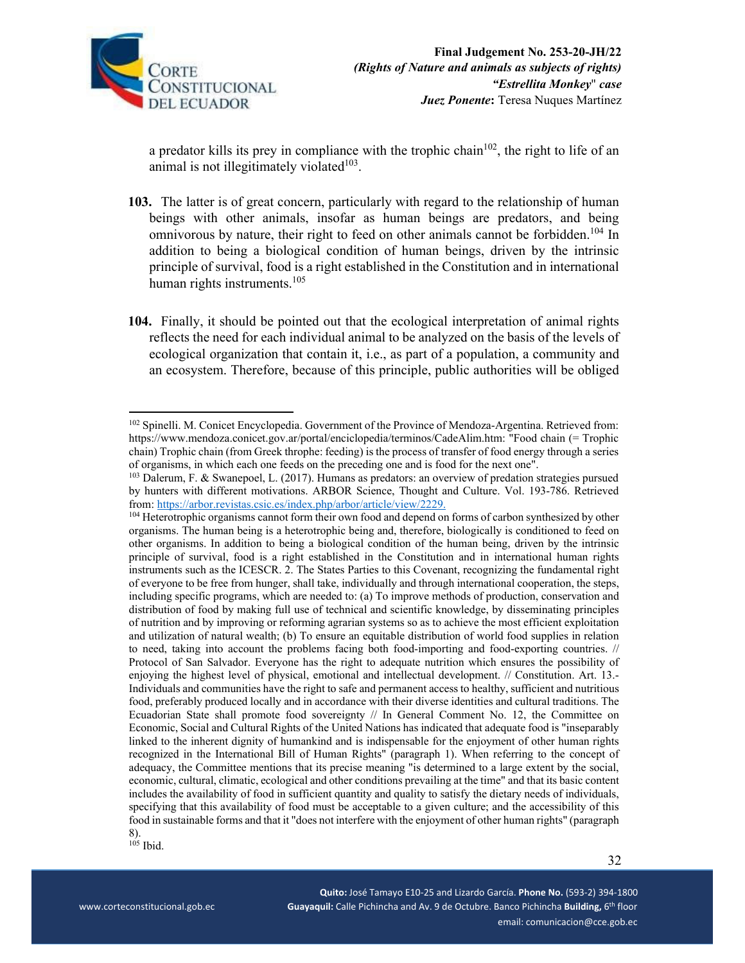

a predator kills its prey in compliance with the trophic chain<sup>102</sup>, the right to life of an animal is not illegitimately violated $103$ .

- **103.** The latter is of great concern, particularly with regard to the relationship of human beings with other animals, insofar as human beings are predators, and being omnivorous by nature, their right to feed on other animals cannot be forbidden.<sup>104</sup> In addition to being a biological condition of human beings, driven by the intrinsic principle of survival, food is a right established in the Constitution and in international human rights instruments.<sup>105</sup>
- **104.** Finally, it should be pointed out that the ecological interpretation of animal rights reflects the need for each individual animal to be analyzed on the basis of the levels of ecological organization that contain it, i.e., as part of a population, a community and an ecosystem. Therefore, because of this principle, public authorities will be obliged

<sup>&</sup>lt;sup>102</sup> Spinelli. M. Conicet Encyclopedia. Government of the Province of Mendoza-Argentina. Retrieved from: https://www.mendoza.conicet.gov.ar/portal/enciclopedia/terminos/CadeAlim.htm: "Food chain (= Trophic chain) Trophic chain (from Greek throphe: feeding) is the process of transfer of food energy through a series of organisms, in which each one feeds on the preceding one and is food for the next one".

<sup>103</sup> Dalerum, F. & Swanepoel, L. (2017). Humans as predators: an overview of predation strategies pursued by hunters with different motivations. ARBOR Science, Thought and Culture. Vol. 193-786. Retrieved from: https://arbor.revistas.csic.es/index.php/arbor/article/view/2229.<br><sup>104</sup> Heterotrophic organisms cannot form their own food and depend on forms of carbon synthesized by other

organisms. The human being is a heterotrophic being and, therefore, biologically is conditioned to feed on other organisms. In addition to being a biological condition of the human being, driven by the intrinsic principle of survival, food is a right established in the Constitution and in international human rights instruments such as the ICESCR. 2. The States Parties to this Covenant, recognizing the fundamental right of everyone to be free from hunger, shall take, individually and through international cooperation, the steps, including specific programs, which are needed to: (a) To improve methods of production, conservation and distribution of food by making full use of technical and scientific knowledge, by disseminating principles of nutrition and by improving or reforming agrarian systems so as to achieve the most efficient exploitation and utilization of natural wealth; (b) To ensure an equitable distribution of world food supplies in relation to need, taking into account the problems facing both food-importing and food-exporting countries. // Protocol of San Salvador. Everyone has the right to adequate nutrition which ensures the possibility of enjoying the highest level of physical, emotional and intellectual development. // Constitution. Art. 13.- Individuals and communities have the right to safe and permanent access to healthy, sufficient and nutritious food, preferably produced locally and in accordance with their diverse identities and cultural traditions. The Ecuadorian State shall promote food sovereignty // In General Comment No. 12, the Committee on Economic, Social and Cultural Rights of the United Nations has indicated that adequate food is "inseparably linked to the inherent dignity of humankind and is indispensable for the enjoyment of other human rights recognized in the International Bill of Human Rights" (paragraph 1). When referring to the concept of adequacy, the Committee mentions that its precise meaning "is determined to a large extent by the social, economic, cultural, climatic, ecological and other conditions prevailing at the time" and that its basic content includes the availability of food in sufficient quantity and quality to satisfy the dietary needs of individuals, specifying that this availability of food must be acceptable to a given culture; and the accessibility of this food in sustainable forms and that it "does not interfere with the enjoyment of other human rights" (paragraph 8).

<sup>105</sup> Ibid.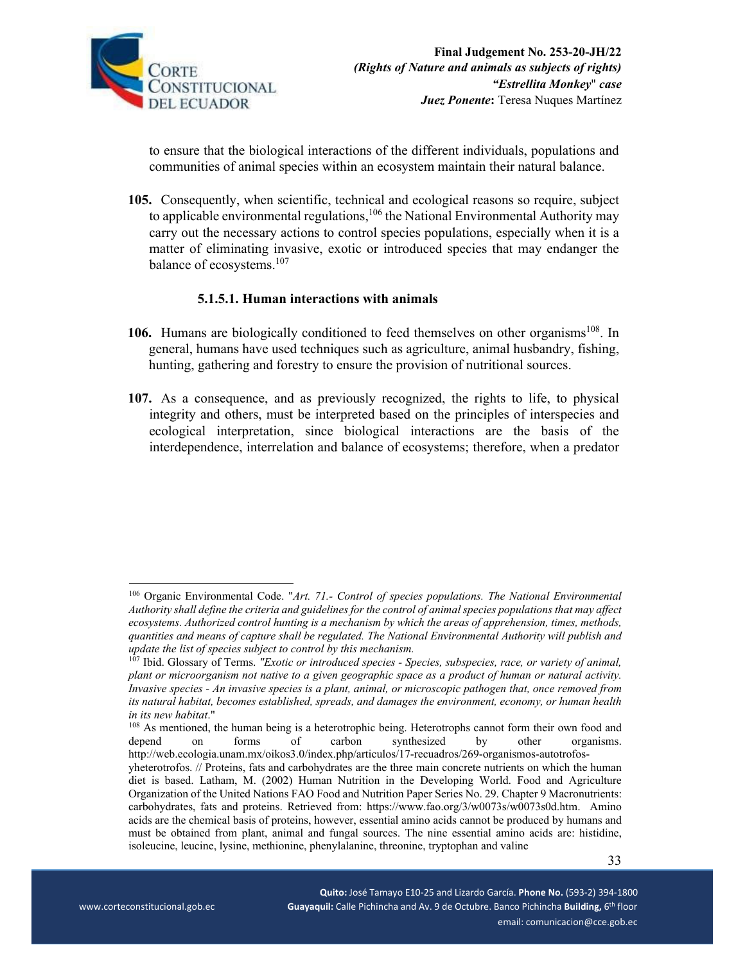

to ensure that the biological interactions of the different individuals, populations and communities of animal species within an ecosystem maintain their natural balance.

**105.** Consequently, when scientific, technical and ecological reasons so require, subject to applicable environmental regulations,<sup>106</sup> the National Environmental Authority may carry out the necessary actions to control species populations, especially when it is a matter of eliminating invasive, exotic or introduced species that may endanger the balance of ecosystems.<sup>107</sup>

## **5.1.5.1. Human interactions with animals**

- **106.** Humans are biologically conditioned to feed themselves on other organisms<sup>108</sup>. In general, humans have used techniques such as agriculture, animal husbandry, fishing, hunting, gathering and forestry to ensure the provision of nutritional sources.
- **107.** As a consequence, and as previously recognized, the rights to life, to physical integrity and others, must be interpreted based on the principles of interspecies and ecological interpretation, since biological interactions are the basis of the interdependence, interrelation and balance of ecosystems; therefore, when a predator

<sup>106</sup> Organic Environmental Code. "*Art. 71.- Control of species populations. The National Environmental Authority shall define the criteria and guidelines for the control of animal species populations that may affect ecosystems. Authorized control hunting is a mechanism by which the areas of apprehension, times, methods, quantities and means of capture shall be regulated. The National Environmental Authority will publish and update the list of species subject to control by this mechanism.*

<sup>&</sup>lt;sup>107</sup> Ibid. Glossary of Terms. *"Exotic or introduced species - Species, subspecies, race, or variety of animal, plant or microorganism not native to a given geographic space as a product of human or natural activity. Invasive species - An invasive species is a plant, animal, or microscopic pathogen that, once removed from its natural habitat, becomes established, spreads, and damages the environment, economy, or human health* 

*in its new habitat*."<br><sup>108</sup> As mentioned, the human being is a heterotrophic being. Heterotrophs cannot form their own food and depend on forms of carbon synthesized by other organisms. http://web.ecologia.unam.mx/oikos3.0/index.php/articulos/17-recuadros/269-organismos-autotrofos-

 33 yheterotrofos. // Proteins, fats and carbohydrates are the three main concrete nutrients on which the human diet is based. Latham, M. (2002) Human Nutrition in the Developing World. Food and Agriculture Organization of the United Nations FAO Food and Nutrition Paper Series No. 29. Chapter 9 Macronutrients: carbohydrates, fats and proteins. Retrieved from: https://www.fao.org/3/w0073s/w0073s0d.htm. Amino acids are the chemical basis of proteins, however, essential amino acids cannot be produced by humans and must be obtained from plant, animal and fungal sources. The nine essential amino acids are: histidine, isoleucine, leucine, lysine, methionine, phenylalanine, threonine, tryptophan and valine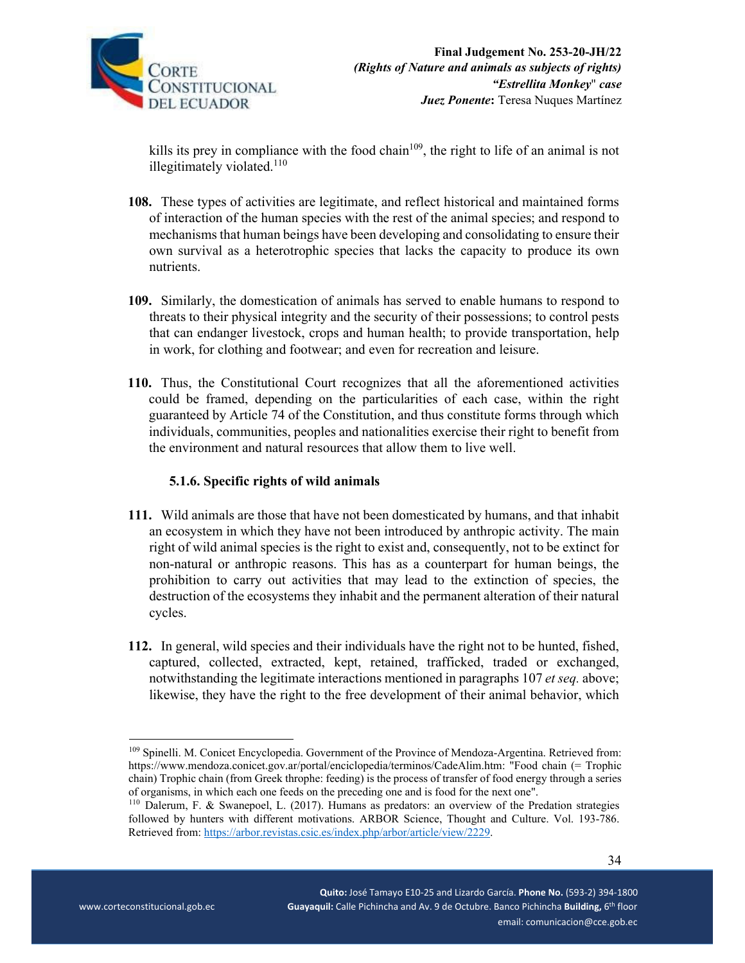

kills its prey in compliance with the food chain<sup>109</sup>, the right to life of an animal is not illegitimately violated. $110$ 

- **108.** These types of activities are legitimate, and reflect historical and maintained forms of interaction of the human species with the rest of the animal species; and respond to mechanisms that human beings have been developing and consolidating to ensure their own survival as a heterotrophic species that lacks the capacity to produce its own nutrients.
- **109.** Similarly, the domestication of animals has served to enable humans to respond to threats to their physical integrity and the security of their possessions; to control pests that can endanger livestock, crops and human health; to provide transportation, help in work, for clothing and footwear; and even for recreation and leisure.
- **110.** Thus, the Constitutional Court recognizes that all the aforementioned activities could be framed, depending on the particularities of each case, within the right guaranteed by Article 74 of the Constitution, and thus constitute forms through which individuals, communities, peoples and nationalities exercise their right to benefit from the environment and natural resources that allow them to live well.

# **5.1.6. Specific rights of wild animals**

- **111.** Wild animals are those that have not been domesticated by humans, and that inhabit an ecosystem in which they have not been introduced by anthropic activity. The main right of wild animal species is the right to exist and, consequently, not to be extinct for non-natural or anthropic reasons. This has as a counterpart for human beings, the prohibition to carry out activities that may lead to the extinction of species, the destruction of the ecosystems they inhabit and the permanent alteration of their natural cycles.
- **112.** In general, wild species and their individuals have the right not to be hunted, fished, captured, collected, extracted, kept, retained, trafficked, traded or exchanged, notwithstanding the legitimate interactions mentioned in paragraphs 107 *et seq.* above; likewise, they have the right to the free development of their animal behavior, which

<sup>&</sup>lt;sup>109</sup> Spinelli. M. Conicet Encyclopedia. Government of the Province of Mendoza-Argentina. Retrieved from: https://www.mendoza.conicet.gov.ar/portal/enciclopedia/terminos/CadeAlim.htm: "Food chain (= Trophic chain) Trophic chain (from Greek throphe: feeding) is the process of transfer of food energy through a series of organisms, in which each one feeds on the preceding one and is food for the next one".

<sup>110</sup> Dalerum, F. & Swanepoel, L. (2017). Humans as predators: an overview of the Predation strategies followed by hunters with different motivations. ARBOR Science, Thought and Culture. Vol. 193-786. Retrieved from: https://arbor.revistas.csic.es/index.php/arbor/article/view/2229.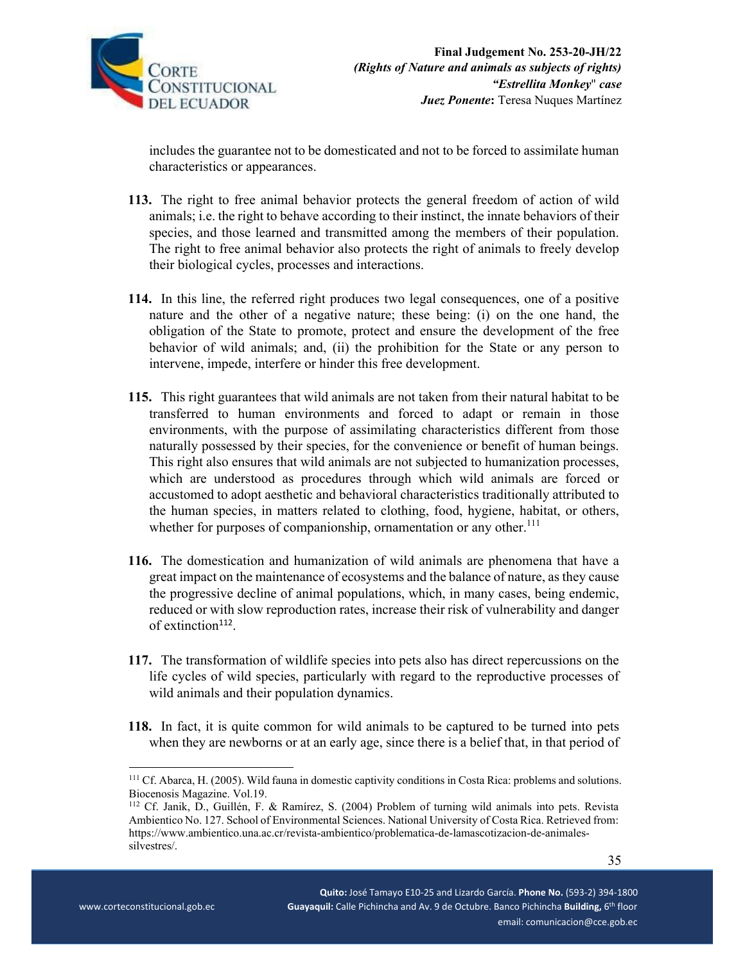

includes the guarantee not to be domesticated and not to be forced to assimilate human characteristics or appearances.

- **113.** The right to free animal behavior protects the general freedom of action of wild animals; i.e. the right to behave according to their instinct, the innate behaviors of their species, and those learned and transmitted among the members of their population. The right to free animal behavior also protects the right of animals to freely develop their biological cycles, processes and interactions.
- **114.** In this line, the referred right produces two legal consequences, one of a positive nature and the other of a negative nature; these being: (i) on the one hand, the obligation of the State to promote, protect and ensure the development of the free behavior of wild animals; and, (ii) the prohibition for the State or any person to intervene, impede, interfere or hinder this free development.
- **115.** This right guarantees that wild animals are not taken from their natural habitat to be transferred to human environments and forced to adapt or remain in those environments, with the purpose of assimilating characteristics different from those naturally possessed by their species, for the convenience or benefit of human beings. This right also ensures that wild animals are not subjected to humanization processes, which are understood as procedures through which wild animals are forced or accustomed to adopt aesthetic and behavioral characteristics traditionally attributed to the human species, in matters related to clothing, food, hygiene, habitat, or others, whether for purposes of companionship, ornamentation or any other.<sup>111</sup>
- **116.** The domestication and humanization of wild animals are phenomena that have a great impact on the maintenance of ecosystems and the balance of nature, as they cause the progressive decline of animal populations, which, in many cases, being endemic, reduced or with slow reproduction rates, increase their risk of vulnerability and danger of extinction<sup>112</sup>.
- **117.** The transformation of wildlife species into pets also has direct repercussions on the life cycles of wild species, particularly with regard to the reproductive processes of wild animals and their population dynamics.
- **118.** In fact, it is quite common for wild animals to be captured to be turned into pets when they are newborns or at an early age, since there is a belief that, in that period of

<sup>111</sup> Cf. Abarca, H. (2005). Wild fauna in domestic captivity conditions in Costa Rica: problems and solutions. Biocenosis Magazine. Vol.19.

<sup>112</sup> Cf. Janik, D., Guillén, F. & Ramírez, S. (2004) Problem of turning wild animals into pets. Revista Ambientico No. 127. School of Environmental Sciences. National University of Costa Rica. Retrieved from: https://www.ambientico.una.ac.cr/revista-ambientico/problematica-de-lamascotizacion-de-animalessilvestres/.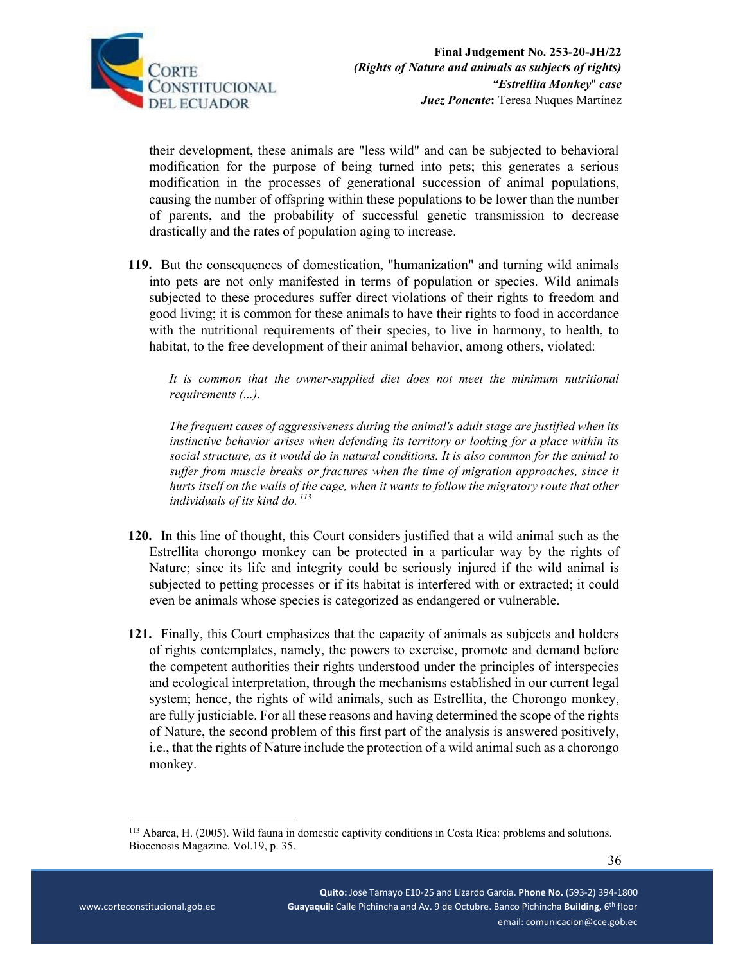

their development, these animals are "less wild" and can be subjected to behavioral modification for the purpose of being turned into pets; this generates a serious modification in the processes of generational succession of animal populations, causing the number of offspring within these populations to be lower than the number of parents, and the probability of successful genetic transmission to decrease drastically and the rates of population aging to increase.

**119.** But the consequences of domestication, "humanization" and turning wild animals into pets are not only manifested in terms of population or species. Wild animals subjected to these procedures suffer direct violations of their rights to freedom and good living; it is common for these animals to have their rights to food in accordance with the nutritional requirements of their species, to live in harmony, to health, to habitat, to the free development of their animal behavior, among others, violated:

*It is common that the owner-supplied diet does not meet the minimum nutritional requirements (...).* 

*The frequent cases of aggressiveness during the animal's adult stage are justified when its instinctive behavior arises when defending its territory or looking for a place within its social structure, as it would do in natural conditions. It is also common for the animal to suffer from muscle breaks or fractures when the time of migration approaches, since it hurts itself on the walls of the cage, when it wants to follow the migratory route that other individuals of its kind do. 113*

- **120.** In this line of thought, this Court considers justified that a wild animal such as the Estrellita chorongo monkey can be protected in a particular way by the rights of Nature; since its life and integrity could be seriously injured if the wild animal is subjected to petting processes or if its habitat is interfered with or extracted; it could even be animals whose species is categorized as endangered or vulnerable.
- **121.** Finally, this Court emphasizes that the capacity of animals as subjects and holders of rights contemplates, namely, the powers to exercise, promote and demand before the competent authorities their rights understood under the principles of interspecies and ecological interpretation, through the mechanisms established in our current legal system; hence, the rights of wild animals, such as Estrellita, the Chorongo monkey, are fully justiciable. For all these reasons and having determined the scope of the rights of Nature, the second problem of this first part of the analysis is answered positively, i.e., that the rights of Nature include the protection of a wild animal such as a chorongo monkey.

<sup>113</sup> Abarca, H. (2005). Wild fauna in domestic captivity conditions in Costa Rica: problems and solutions. Biocenosis Magazine. Vol.19, p. 35.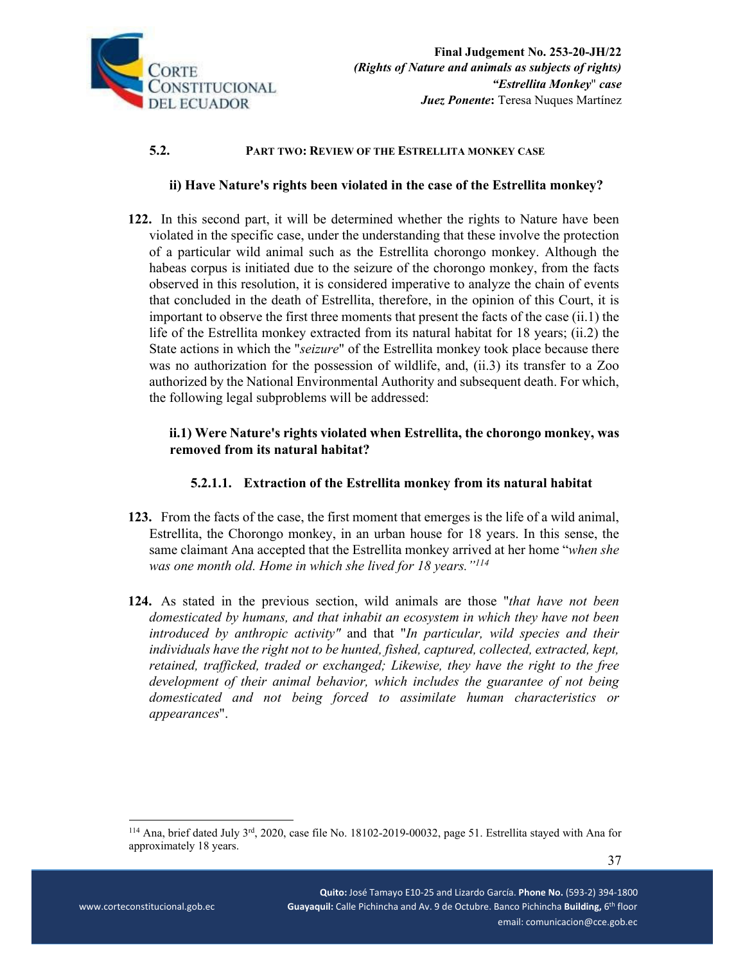

## **5.2. PART TWO: REVIEW OF THE ESTRELLITA MONKEY CASE**

### **ii) Have Nature's rights been violated in the case of the Estrellita monkey?**

**122.** In this second part, it will be determined whether the rights to Nature have been violated in the specific case, under the understanding that these involve the protection of a particular wild animal such as the Estrellita chorongo monkey. Although the habeas corpus is initiated due to the seizure of the chorongo monkey, from the facts observed in this resolution, it is considered imperative to analyze the chain of events that concluded in the death of Estrellita, therefore, in the opinion of this Court, it is important to observe the first three moments that present the facts of the case (ii.1) the life of the Estrellita monkey extracted from its natural habitat for 18 years; (ii.2) the State actions in which the "*seizure*" of the Estrellita monkey took place because there was no authorization for the possession of wildlife, and, (ii.3) its transfer to a Zoo authorized by the National Environmental Authority and subsequent death. For which, the following legal subproblems will be addressed:

## **ii.1) Were Nature's rights violated when Estrellita, the chorongo monkey, was removed from its natural habitat?**

### **5.2.1.1. Extraction of the Estrellita monkey from its natural habitat**

- **123.** From the facts of the case, the first moment that emerges is the life of a wild animal, Estrellita, the Chorongo monkey, in an urban house for 18 years. In this sense, the same claimant Ana accepted that the Estrellita monkey arrived at her home "*when she was one month old. Home in which she lived for 18 years."114*
- **124.** As stated in the previous section, wild animals are those "*that have not been domesticated by humans, and that inhabit an ecosystem in which they have not been introduced by anthropic activity"* and that "*In particular, wild species and their individuals have the right not to be hunted, fished, captured, collected, extracted, kept, retained, trafficked, traded or exchanged; Likewise, they have the right to the free development of their animal behavior, which includes the guarantee of not being domesticated and not being forced to assimilate human characteristics or appearances*".

<sup>114</sup> Ana, brief dated July 3rd, 2020, case file No. 18102-2019-00032, page 51. Estrellita stayed with Ana for approximately 18 years.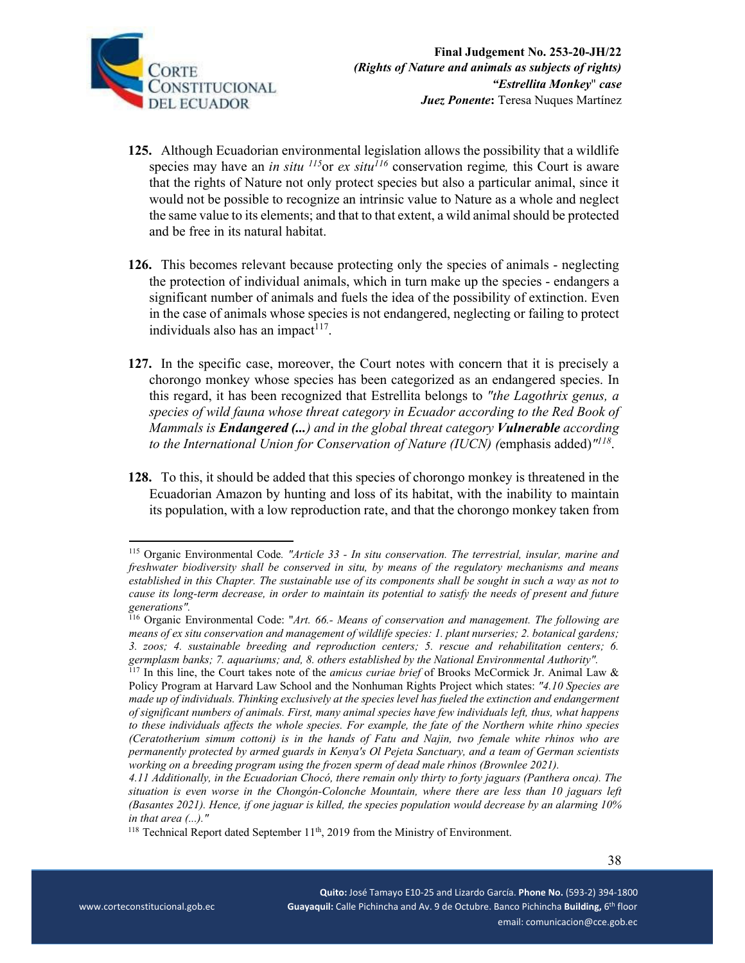

- **125.** Although Ecuadorian environmental legislation allows the possibility that a wildlife species may have an *in situ*  $^{115}$ or *ex situ*<sup> $116$ </sup> conservation regime, this Court is aware that the rights of Nature not only protect species but also a particular animal, since it would not be possible to recognize an intrinsic value to Nature as a whole and neglect the same value to its elements; and that to that extent, a wild animal should be protected and be free in its natural habitat.
- **126.** This becomes relevant because protecting only the species of animals neglecting the protection of individual animals, which in turn make up the species - endangers a significant number of animals and fuels the idea of the possibility of extinction. Even in the case of animals whose species is not endangered, neglecting or failing to protect individuals also has an impact $117$ .
- **127.** In the specific case, moreover, the Court notes with concern that it is precisely a chorongo monkey whose species has been categorized as an endangered species. In this regard, it has been recognized that Estrellita belongs to *"the Lagothrix genus, a species of wild fauna whose threat category in Ecuador according to the Red Book of Mammals is Endangered (...) and in the global threat category Vulnerable according to the International Union for Conservation of Nature (IUCN) (*emphasis added)*"118*.
- **128.** To this, it should be added that this species of chorongo monkey is threatened in the Ecuadorian Amazon by hunting and loss of its habitat, with the inability to maintain its population, with a low reproduction rate, and that the chorongo monkey taken from

<sup>115</sup> Organic Environmental Code*. "Article 33 - In situ conservation. The terrestrial, insular, marine and freshwater biodiversity shall be conserved in situ, by means of the regulatory mechanisms and means established in this Chapter. The sustainable use of its components shall be sought in such a way as not to cause its long-term decrease, in order to maintain its potential to satisfy the needs of present and future generations".* 

<sup>116</sup> Organic Environmental Code: "*Art. 66.- Means of conservation and management. The following are means of ex situ conservation and management of wildlife species: 1. plant nurseries; 2. botanical gardens; 3. zoos; 4. sustainable breeding and reproduction centers; 5. rescue and rehabilitation centers; 6. germplasm banks; 7. aquariums; and, 8. others established by the National Environmental Authority".* 

<sup>117</sup> In this line, the Court takes note of the *amicus curiae brief* of Brooks McCormick Jr. Animal Law & Policy Program at Harvard Law School and the Nonhuman Rights Project which states: *"4.10 Species are made up of individuals. Thinking exclusively at the species level has fueled the extinction and endangerment of significant numbers of animals. First, many animal species have few individuals left, thus, what happens to these individuals affects the whole species. For example, the fate of the Northern white rhino species (Ceratotherium simum cottoni) is in the hands of Fatu and Najin, two female white rhinos who are permanently protected by armed guards in Kenya's Ol Pejeta Sanctuary, and a team of German scientists working on a breeding program using the frozen sperm of dead male rhinos (Brownlee 2021).* 

*<sup>4.11</sup> Additionally, in the Ecuadorian Chocó, there remain only thirty to forty jaguars (Panthera onca). The situation is even worse in the Chongón-Colonche Mountain, where there are less than 10 jaguars left (Basantes 2021). Hence, if one jaguar is killed, the species population would decrease by an alarming 10% in that area (...)."*

 $118$  Technical Report dated September 11<sup>th</sup>, 2019 from the Ministry of Environment.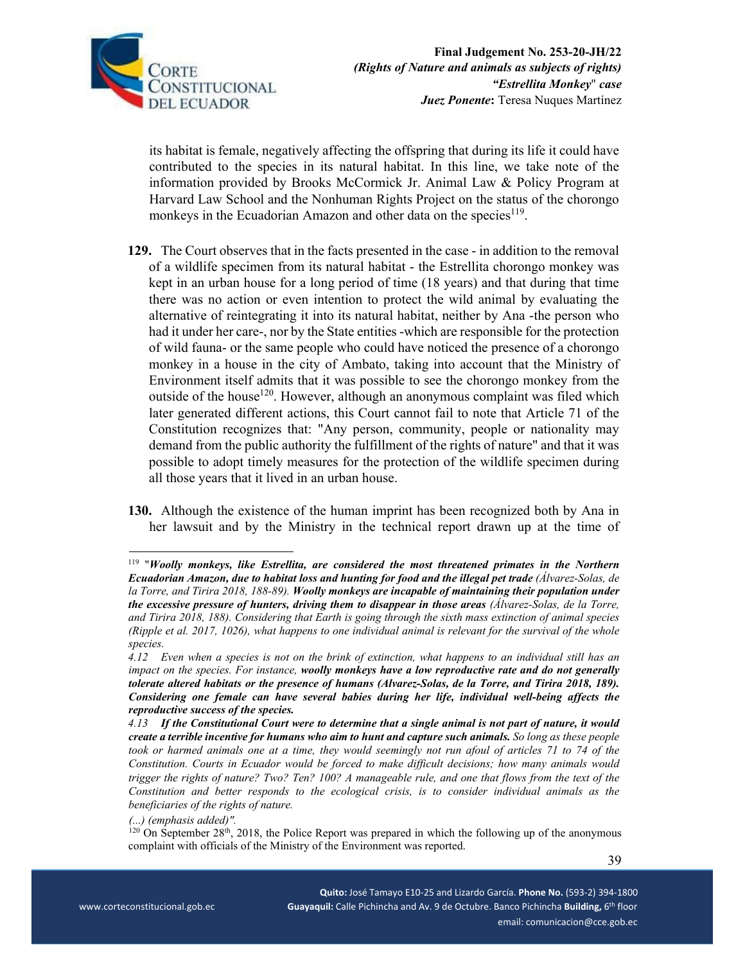

its habitat is female, negatively affecting the offspring that during its life it could have contributed to the species in its natural habitat. In this line, we take note of the information provided by Brooks McCormick Jr. Animal Law & Policy Program at Harvard Law School and the Nonhuman Rights Project on the status of the chorongo monkeys in the Ecuadorian Amazon and other data on the species<sup>119</sup>.

- **129.** The Court observes that in the facts presented in the case in addition to the removal of a wildlife specimen from its natural habitat - the Estrellita chorongo monkey was kept in an urban house for a long period of time (18 years) and that during that time there was no action or even intention to protect the wild animal by evaluating the alternative of reintegrating it into its natural habitat, neither by Ana -the person who had it under her care-, nor by the State entities -which are responsible for the protection of wild fauna- or the same people who could have noticed the presence of a chorongo monkey in a house in the city of Ambato, taking into account that the Ministry of Environment itself admits that it was possible to see the chorongo monkey from the outside of the house<sup>120</sup>. However, although an anonymous complaint was filed which later generated different actions, this Court cannot fail to note that Article 71 of the Constitution recognizes that: "Any person, community, people or nationality may demand from the public authority the fulfillment of the rights of nature" and that it was possible to adopt timely measures for the protection of the wildlife specimen during all those years that it lived in an urban house.
- **130.** Although the existence of the human imprint has been recognized both by Ana in her lawsuit and by the Ministry in the technical report drawn up at the time of

<sup>119</sup> "*Woolly monkeys, like Estrellita, are considered the most threatened primates in the Northern Ecuadorian Amazon, due to habitat loss and hunting for food and the illegal pet trade (Álvarez-Solas, de la Torre, and Tirira 2018, 188-89). Woolly monkeys are incapable of maintaining their population under the excessive pressure of hunters, driving them to disappear in those areas (Álvarez-Solas, de la Torre, and Tirira 2018, 188). Considering that Earth is going through the sixth mass extinction of animal species (Ripple et al. 2017, 1026), what happens to one individual animal is relevant for the survival of the whole species.* 

*<sup>4.12</sup> Even when a species is not on the brink of extinction, what happens to an individual still has an impact on the species. For instance, woolly monkeys have a low reproductive rate and do not generally tolerate altered habitats or the presence of humans (Alvarez-Solas, de la Torre, and Tirira 2018, 189). Considering one female can have several babies during her life, individual well-being affects the reproductive success of the species.* 

*<sup>4.13</sup> If the Constitutional Court were to determine that a single animal is not part of nature, it would create a terrible incentive for humans who aim to hunt and capture such animals. So long as these people*  took or harmed animals one at a time, they would seemingly not run afoul of articles 71 to 74 of the *Constitution. Courts in Ecuador would be forced to make difficult decisions; how many animals would trigger the rights of nature? Two? Ten? 100? A manageable rule, and one that flows from the text of the Constitution and better responds to the ecological crisis, is to consider individual animals as the beneficiaries of the rights of nature.* 

*<sup>(...) (</sup>emphasis added)".*

 $120$  On September 28<sup>th</sup>, 2018, the Police Report was prepared in which the following up of the anonymous complaint with officials of the Ministry of the Environment was reported.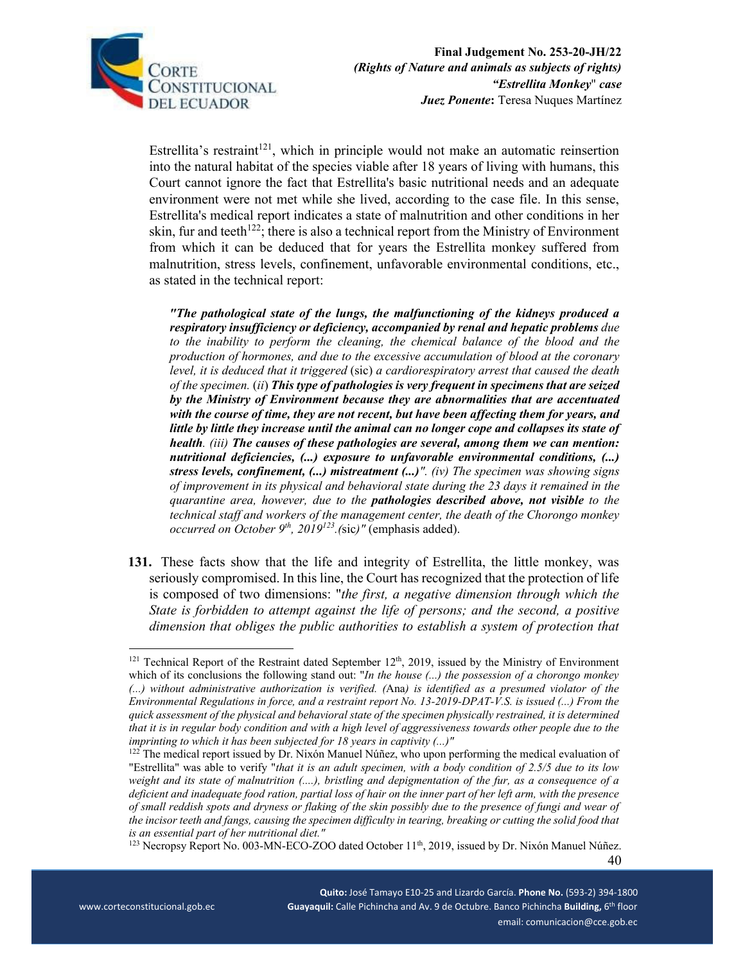

Estrellita's restraint<sup>121</sup>, which in principle would not make an automatic reinsertion into the natural habitat of the species viable after 18 years of living with humans, this Court cannot ignore the fact that Estrellita's basic nutritional needs and an adequate environment were not met while she lived, according to the case file. In this sense, Estrellita's medical report indicates a state of malnutrition and other conditions in her skin, fur and teeth<sup>122</sup>; there is also a technical report from the Ministry of Environment from which it can be deduced that for years the Estrellita monkey suffered from malnutrition, stress levels, confinement, unfavorable environmental conditions, etc., as stated in the technical report:

*"The pathological state of the lungs, the malfunctioning of the kidneys produced a respiratory insufficiency or deficiency, accompanied by renal and hepatic problems due to the inability to perform the cleaning, the chemical balance of the blood and the production of hormones, and due to the excessive accumulation of blood at the coronary level, it is deduced that it triggered* (sic) *a cardiorespiratory arrest that caused the death of the specimen.* (*ii*) *This type of pathologies is very frequent in specimens that are seized by the Ministry of Environment because they are abnormalities that are accentuated with the course of time, they are not recent, but have been affecting them for years, and little by little they increase until the animal can no longer cope and collapses its state of health. (iii) The causes of these pathologies are several, among them we can mention: nutritional deficiencies, (...) exposure to unfavorable environmental conditions, (...) stress levels, confinement, (...) mistreatment (...)". (iv) The specimen was showing signs of improvement in its physical and behavioral state during the 23 days it remained in the quarantine area, however, due to the pathologies described above, not visible to the technical staff and workers of the management center, the death of the Chorongo monkey occurred on October 9th, 2019123.(*sic*)"* (emphasis added).

**131.** These facts show that the life and integrity of Estrellita, the little monkey, was seriously compromised. In this line, the Court has recognized that the protection of life is composed of two dimensions: "*the first, a negative dimension through which the State is forbidden to attempt against the life of persons; and the second, a positive dimension that obliges the public authorities to establish a system of protection that* 

 $121$  Technical Report of the Restraint dated September  $12<sup>th</sup>$ , 2019, issued by the Ministry of Environment which of its conclusions the following stand out: "*In the house (...) the possession of a chorongo monkey (...) without administrative authorization is verified. (*Ana*) is identified as a presumed violator of the Environmental Regulations in force, and a restraint report No. 13-2019-DPAT-V.S. is issued (...) From the quick assessment of the physical and behavioral state of the specimen physically restrained, it is determined that it is in regular body condition and with a high level of aggressiveness towards other people due to the imprinting to which it has been subjected for 18 years in captivity (...)"* 

<sup>&</sup>lt;sup>122</sup> The medical report issued by Dr. Nixón Manuel Núñez, who upon performing the medical evaluation of "Estrellita" was able to verify "*that it is an adult specimen, with a body condition of 2.5/5 due to its low weight and its state of malnutrition (....), bristling and depigmentation of the fur, as a consequence of a deficient and inadequate food ration, partial loss of hair on the inner part of her left arm, with the presence of small reddish spots and dryness or flaking of the skin possibly due to the presence of fungi and wear of the incisor teeth and fangs, causing the specimen difficulty in tearing, breaking or cutting the solid food that is an essential part of her nutritional diet."* 

<sup>&</sup>lt;sup>123</sup> Necropsy Report No. 003-MN-ECO-ZOO dated October 11<sup>th</sup>, 2019, issued by Dr. Nixón Manuel Núñez.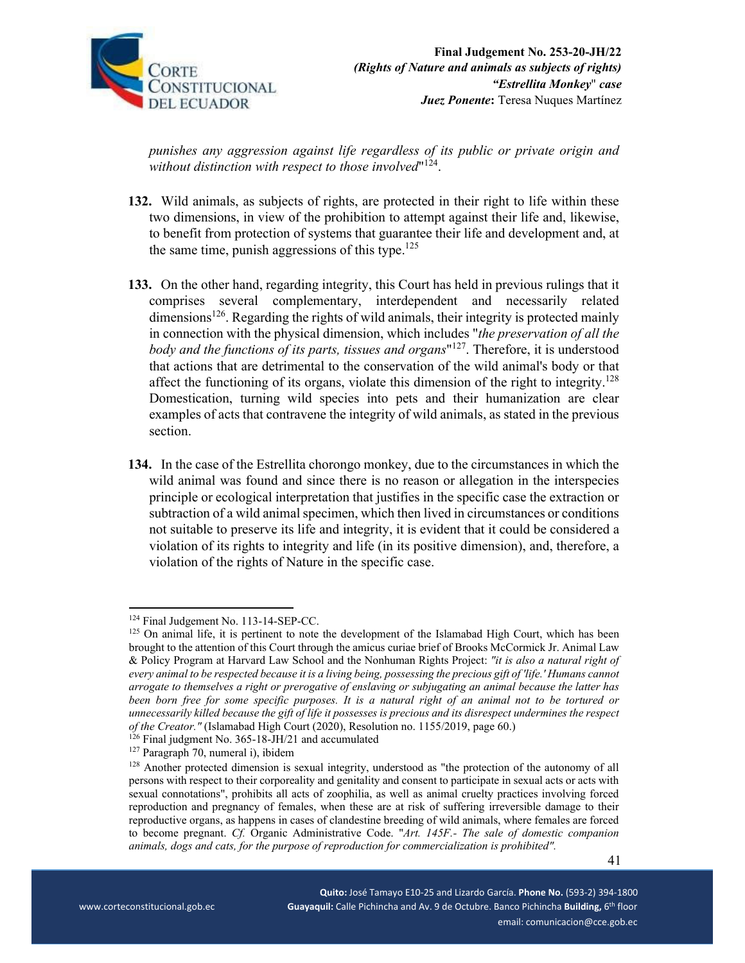

*punishes any aggression against life regardless of its public or private origin and*  without distinction with respect to those involved<sup>"124</sup>.

- **132.** Wild animals, as subjects of rights, are protected in their right to life within these two dimensions, in view of the prohibition to attempt against their life and, likewise, to benefit from protection of systems that guarantee their life and development and, at the same time, punish aggressions of this type. $125$
- **133.** On the other hand, regarding integrity, this Court has held in previous rulings that it comprises several complementary, interdependent and necessarily related dimensions<sup>126</sup>. Regarding the rights of wild animals, their integrity is protected mainly in connection with the physical dimension, which includes "*the preservation of all the body and the functions of its parts, tissues and organs*"127. Therefore, it is understood that actions that are detrimental to the conservation of the wild animal's body or that affect the functioning of its organs, violate this dimension of the right to integrity.<sup>128</sup> Domestication, turning wild species into pets and their humanization are clear examples of acts that contravene the integrity of wild animals, as stated in the previous section.
- **134.** In the case of the Estrellita chorongo monkey, due to the circumstances in which the wild animal was found and since there is no reason or allegation in the interspecies principle or ecological interpretation that justifies in the specific case the extraction or subtraction of a wild animal specimen, which then lived in circumstances or conditions not suitable to preserve its life and integrity, it is evident that it could be considered a violation of its rights to integrity and life (in its positive dimension), and, therefore, a violation of the rights of Nature in the specific case.

 $124$  Final Judgement No. 113-14-SEP-CC.<br> $125$  On animal life, it is pertinent to note the development of the Islamabad High Court, which has been brought to the attention of this Court through the amicus curiae brief of Brooks McCormick Jr. Animal Law & Policy Program at Harvard Law School and the Nonhuman Rights Project: *"it is also a natural right of every animal to be respected because it is a living being, possessing the precious gift of 'life.' Humans cannot arrogate to themselves a right or prerogative of enslaving or subjugating an animal because the latter has been born free for some specific purposes. It is a natural right of an animal not to be tortured or unnecessarily killed because the gift of life it possesses is precious and its disrespect undermines the respect of the Creator."* (Islamabad High Court (2020), Resolution no. 1155/2019, page 60.)

 $^{126}$  Final judgment No. 365-18-JH/21 and accumulated<br><sup>127</sup> Paragraph 70, numeral i), ibidem<br><sup>128</sup> Another protected dimension is sexual integrity, understood as "the protection of the autonomy of all persons with respect to their corporeality and genitality and consent to participate in sexual acts or acts with sexual connotations", prohibits all acts of zoophilia, as well as animal cruelty practices involving forced reproduction and pregnancy of females, when these are at risk of suffering irreversible damage to their reproductive organs, as happens in cases of clandestine breeding of wild animals, where females are forced to become pregnant. *Cf.* Organic Administrative Code. "*Art. 145F.- The sale of domestic companion animals, dogs and cats, for the purpose of reproduction for commercialization is prohibited".*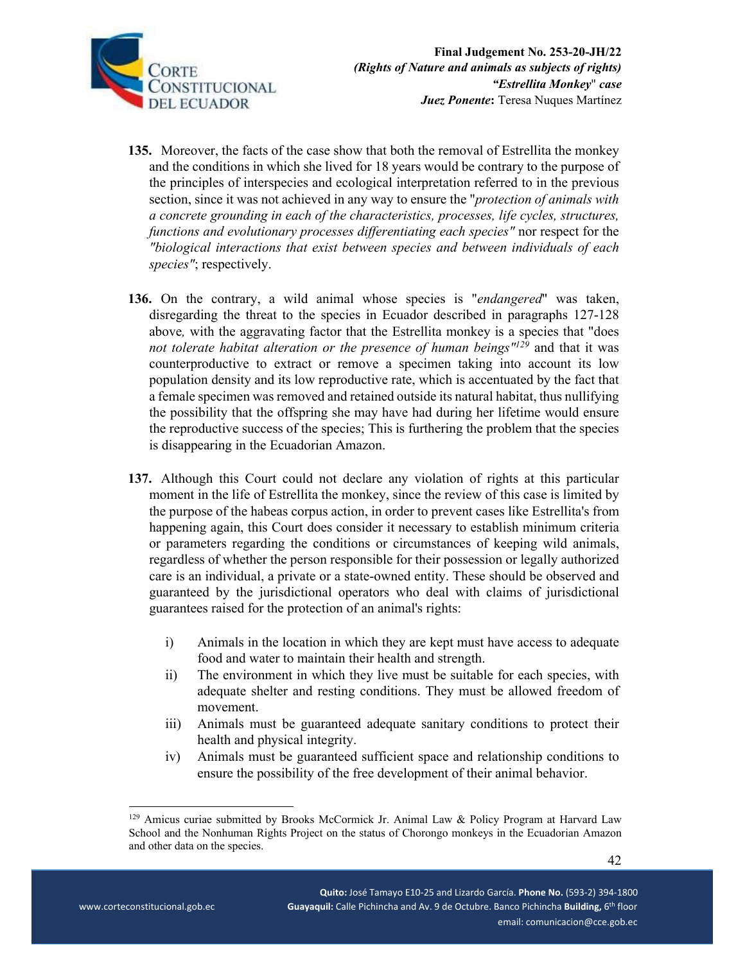

- **135.** Moreover, the facts of the case show that both the removal of Estrellita the monkey and the conditions in which she lived for 18 years would be contrary to the purpose of the principles of interspecies and ecological interpretation referred to in the previous section, since it was not achieved in any way to ensure the "*protection of animals with a concrete grounding in each of the characteristics, processes, life cycles, structures, functions and evolutionary processes differentiating each species"* nor respect for the *"biological interactions that exist between species and between individuals of each species"*; respectively.
- **136.** On the contrary, a wild animal whose species is "*endangered*" was taken, disregarding the threat to the species in Ecuador described in paragraphs 127-128 above*,* with the aggravating factor that the Estrellita monkey is a species that "does *not tolerate habitat alteration or the presence of human beings"129* and that it was counterproductive to extract or remove a specimen taking into account its low population density and its low reproductive rate, which is accentuated by the fact that a female specimen was removed and retained outside its natural habitat, thus nullifying the possibility that the offspring she may have had during her lifetime would ensure the reproductive success of the species; This is furthering the problem that the species is disappearing in the Ecuadorian Amazon.
- **137.** Although this Court could not declare any violation of rights at this particular moment in the life of Estrellita the monkey, since the review of this case is limited by the purpose of the habeas corpus action, in order to prevent cases like Estrellita's from happening again, this Court does consider it necessary to establish minimum criteria or parameters regarding the conditions or circumstances of keeping wild animals, regardless of whether the person responsible for their possession or legally authorized care is an individual, a private or a state-owned entity. These should be observed and guaranteed by the jurisdictional operators who deal with claims of jurisdictional guarantees raised for the protection of an animal's rights:
	- i) Animals in the location in which they are kept must have access to adequate food and water to maintain their health and strength.
	- ii) The environment in which they live must be suitable for each species, with adequate shelter and resting conditions. They must be allowed freedom of movement.
	- iii) Animals must be guaranteed adequate sanitary conditions to protect their health and physical integrity.
	- iv) Animals must be guaranteed sufficient space and relationship conditions to ensure the possibility of the free development of their animal behavior.

<sup>&</sup>lt;sup>129</sup> Amicus curiae submitted by Brooks McCormick Jr. Animal Law & Policy Program at Harvard Law School and the Nonhuman Rights Project on the status of Chorongo monkeys in the Ecuadorian Amazon and other data on the species.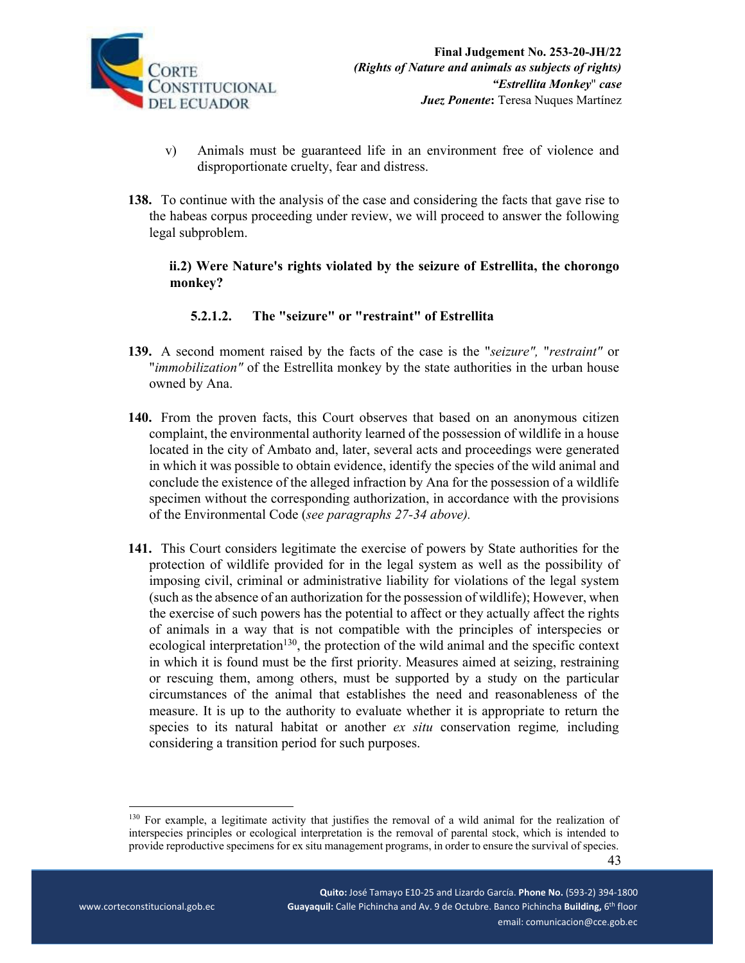

- v) Animals must be guaranteed life in an environment free of violence and disproportionate cruelty, fear and distress.
- **138.** To continue with the analysis of the case and considering the facts that gave rise to the habeas corpus proceeding under review, we will proceed to answer the following legal subproblem.

**ii.2) Were Nature's rights violated by the seizure of Estrellita, the chorongo monkey?** 

# **5.2.1.2. The "seizure" or "restraint" of Estrellita**

- **139.** A second moment raised by the facts of the case is the "*seizure",* "*restraint"* or "*immobilization"* of the Estrellita monkey by the state authorities in the urban house owned by Ana.
- **140.** From the proven facts, this Court observes that based on an anonymous citizen complaint, the environmental authority learned of the possession of wildlife in a house located in the city of Ambato and, later, several acts and proceedings were generated in which it was possible to obtain evidence, identify the species of the wild animal and conclude the existence of the alleged infraction by Ana for the possession of a wildlife specimen without the corresponding authorization, in accordance with the provisions of the Environmental Code (*see paragraphs 27-34 above).*
- **141.** This Court considers legitimate the exercise of powers by State authorities for the protection of wildlife provided for in the legal system as well as the possibility of imposing civil, criminal or administrative liability for violations of the legal system (such as the absence of an authorization for the possession of wildlife); However, when the exercise of such powers has the potential to affect or they actually affect the rights of animals in a way that is not compatible with the principles of interspecies or ecological interpretation<sup>130</sup>, the protection of the wild animal and the specific context in which it is found must be the first priority. Measures aimed at seizing, restraining or rescuing them, among others, must be supported by a study on the particular circumstances of the animal that establishes the need and reasonableness of the measure. It is up to the authority to evaluate whether it is appropriate to return the species to its natural habitat or another *ex situ* conservation regime*,* including considering a transition period for such purposes.

 **Quito:** José Tamayo E10‐25 and Lizardo García. **Phone No.** (593‐2) 394‐1800 \_ \_ \_ \_ www.corteconstitucional.gob.ec **Guayaquil:** Calle Pichincha and Av. 9 de Octubre. Banco Pichincha Building, 6<sup>th</sup> floor email: comunicacion@cce.gob.ec

 43 <sup>130</sup> For example, a legitimate activity that justifies the removal of a wild animal for the realization of interspecies principles or ecological interpretation is the removal of parental stock, which is intended to provide reproductive specimens for ex situ management programs, in order to ensure the survival of species.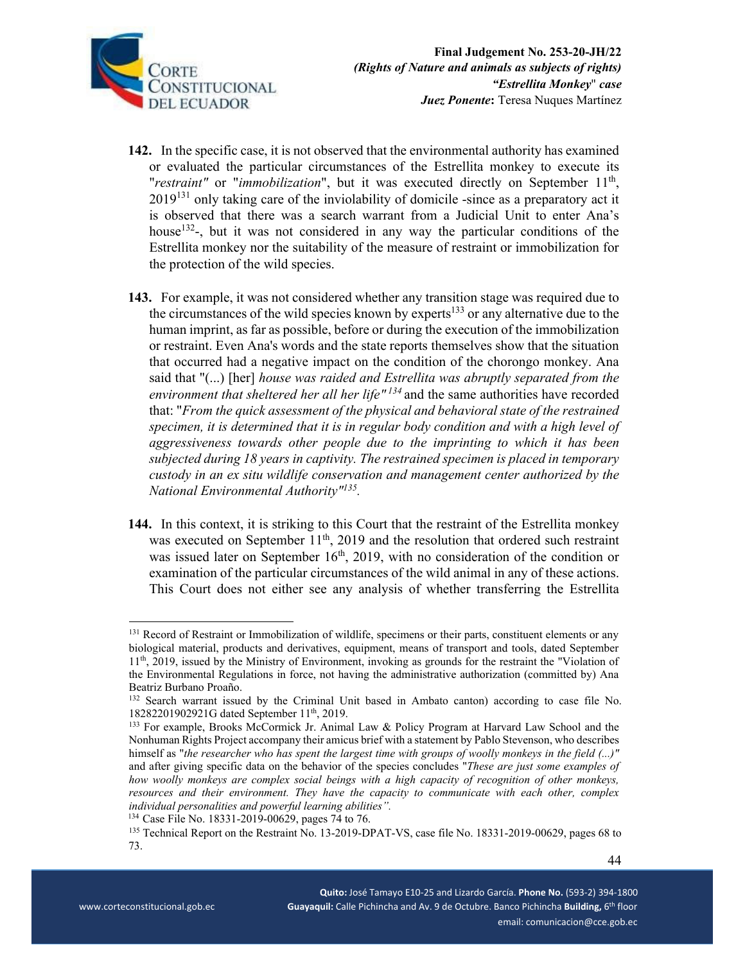

- **142.** In the specific case, it is not observed that the environmental authority has examined or evaluated the particular circumstances of the Estrellita monkey to execute its *"restraint"* or "*immobilization*", but it was executed directly on September 11<sup>th</sup>,  $2019<sup>131</sup>$  only taking care of the inviolability of domicile -since as a preparatory act it is observed that there was a search warrant from a Judicial Unit to enter Ana's house<sup>132</sup>-, but it was not considered in any way the particular conditions of the Estrellita monkey nor the suitability of the measure of restraint or immobilization for the protection of the wild species.
- **143.** For example, it was not considered whether any transition stage was required due to the circumstances of the wild species known by experts<sup>133</sup> or any alternative due to the human imprint, as far as possible, before or during the execution of the immobilization or restraint. Even Ana's words and the state reports themselves show that the situation that occurred had a negative impact on the condition of the chorongo monkey. Ana said that "(...) [her] *house was raided and Estrellita was abruptly separated from the environment that sheltered her all her life" 134* and the same authorities have recorded that: "*From the quick assessment of the physical and behavioral state of the restrained specimen, it is determined that it is in regular body condition and with a high level of aggressiveness towards other people due to the imprinting to which it has been subjected during 18 years in captivity. The restrained specimen is placed in temporary custody in an ex situ wildlife conservation and management center authorized by the National Environmental Authority"135.*
- **144.** In this context, it is striking to this Court that the restraint of the Estrellita monkey was executed on September 11<sup>th</sup>, 2019 and the resolution that ordered such restraint was issued later on September  $16<sup>th</sup>$ , 2019, with no consideration of the condition or examination of the particular circumstances of the wild animal in any of these actions. This Court does not either see any analysis of whether transferring the Estrellita

<sup>&</sup>lt;sup>131</sup> Record of Restraint or Immobilization of wildlife, specimens or their parts, constituent elements or any biological material, products and derivatives, equipment, means of transport and tools, dated September 11th, 2019, issued by the Ministry of Environment, invoking as grounds for the restraint the "Violation of the Environmental Regulations in force, not having the administrative authorization (committed by) Ana Beatriz Burbano Proaño.

<sup>&</sup>lt;sup>132</sup> Search warrant issued by the Criminal Unit based in Ambato canton) according to case file No. 18282201902921G dated September  $11<sup>th</sup>$ , 2019.

<sup>&</sup>lt;sup>133</sup> For example, Brooks McCormick Jr. Animal Law & Policy Program at Harvard Law School and the Nonhuman Rights Project accompany their amicus brief with a statement by Pablo Stevenson, who describes himself as "*the researcher who has spent the largest time with groups of woolly monkeys in the field (...)"*  and after giving specific data on the behavior of the species concludes "*These are just some examples of how woolly monkeys are complex social beings with a high capacity of recognition of other monkeys, resources and their environment. They have the capacity to communicate with each other, complex individual personalities and powerful learning abilities".*

<sup>&</sup>lt;sup>135</sup> Technical Report on the Restraint No. 13-2019-DPAT-VS, case file No. 18331-2019-00629, pages 68 to 73.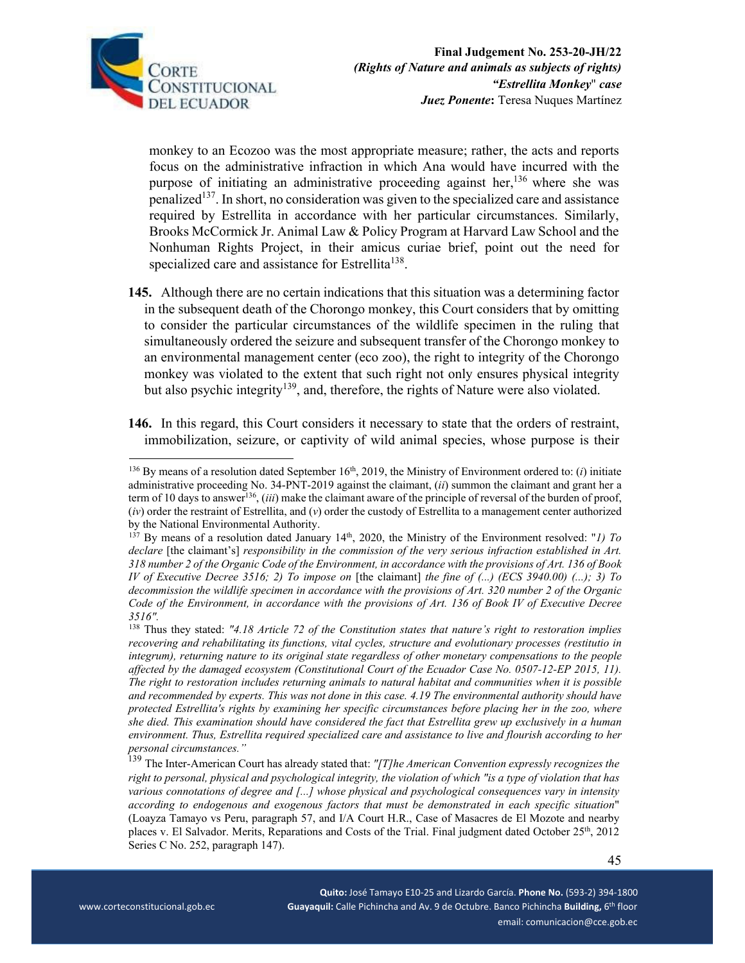

monkey to an Ecozoo was the most appropriate measure; rather, the acts and reports focus on the administrative infraction in which Ana would have incurred with the purpose of initiating an administrative proceeding against her,  $136$  where she was penalized<sup>137</sup>. In short, no consideration was given to the specialized care and assistance required by Estrellita in accordance with her particular circumstances. Similarly, Brooks McCormick Jr. Animal Law & Policy Program at Harvard Law School and the Nonhuman Rights Project, in their amicus curiae brief, point out the need for specialized care and assistance for Estrellita<sup>138</sup>.

- **145.** Although there are no certain indications that this situation was a determining factor in the subsequent death of the Chorongo monkey, this Court considers that by omitting to consider the particular circumstances of the wildlife specimen in the ruling that simultaneously ordered the seizure and subsequent transfer of the Chorongo monkey to an environmental management center (eco zoo), the right to integrity of the Chorongo monkey was violated to the extent that such right not only ensures physical integrity but also psychic integrity<sup>139</sup>, and, therefore, the rights of Nature were also violated.
- **146.** In this regard, this Court considers it necessary to state that the orders of restraint, immobilization, seizure, or captivity of wild animal species, whose purpose is their

 $136$  By means of a resolution dated September 16<sup>th</sup>, 2019, the Ministry of Environment ordered to: (*i*) initiate administrative proceeding No. 34-PNT-2019 against the claimant, (*ii*) summon the claimant and grant her a term of 10 days to answer<sup>136</sup>, *(iii)* make the claimant aware of the principle of reversal of the burden of proof, (*iv*) order the restraint of Estrellita, and (*v*) order the custody of Estrellita to a management center authorized by the National Environmental Authority.

 $137$  By means of a resolution dated January 14<sup>th</sup>, 2020, the Ministry of the Environment resolved: "*1) To declare* [the claimant's] *responsibility in the commission of the very serious infraction established in Art. 318 number 2 of the Organic Code of the Environment, in accordance with the provisions of Art. 136 of Book IV of Executive Decree 3516; 2) To impose on* [the claimant] *the fine of (...) (ECS 3940.00) (...); 3) To decommission the wildlife specimen in accordance with the provisions of Art. 320 number 2 of the Organic Code of the Environment, in accordance with the provisions of Art. 136 of Book IV of Executive Decree 3516".*

<sup>138</sup> Thus they stated: *"4.18 Article 72 of the Constitution states that nature's right to restoration implies recovering and rehabilitating its functions, vital cycles, structure and evolutionary processes (restitutio in integrum), returning nature to its original state regardless of other monetary compensations to the people affected by the damaged ecosystem (Constitutional Court of the Ecuador Case No. 0507-12-EP 2015, 11). The right to restoration includes returning animals to natural habitat and communities when it is possible and recommended by experts. This was not done in this case. 4.19 The environmental authority should have protected Estrellita's rights by examining her specific circumstances before placing her in the zoo, where she died. This examination should have considered the fact that Estrellita grew up exclusively in a human environment. Thus, Estrellita required specialized care and assistance to live and flourish according to her personal circumstances."*

<sup>139</sup> The Inter-American Court has already stated that: *"[T]he American Convention expressly recognizes the right to personal, physical and psychological integrity, the violation of which "is a type of violation that has various connotations of degree and [...] whose physical and psychological consequences vary in intensity according to endogenous and exogenous factors that must be demonstrated in each specific situation*" (Loayza Tamayo vs Peru, paragraph 57, and I/A Court H.R., Case of Masacres de El Mozote and nearby places v. El Salvador. Merits, Reparations and Costs of the Trial. Final judgment dated October 25th, 2012 Series C No. 252, paragraph 147).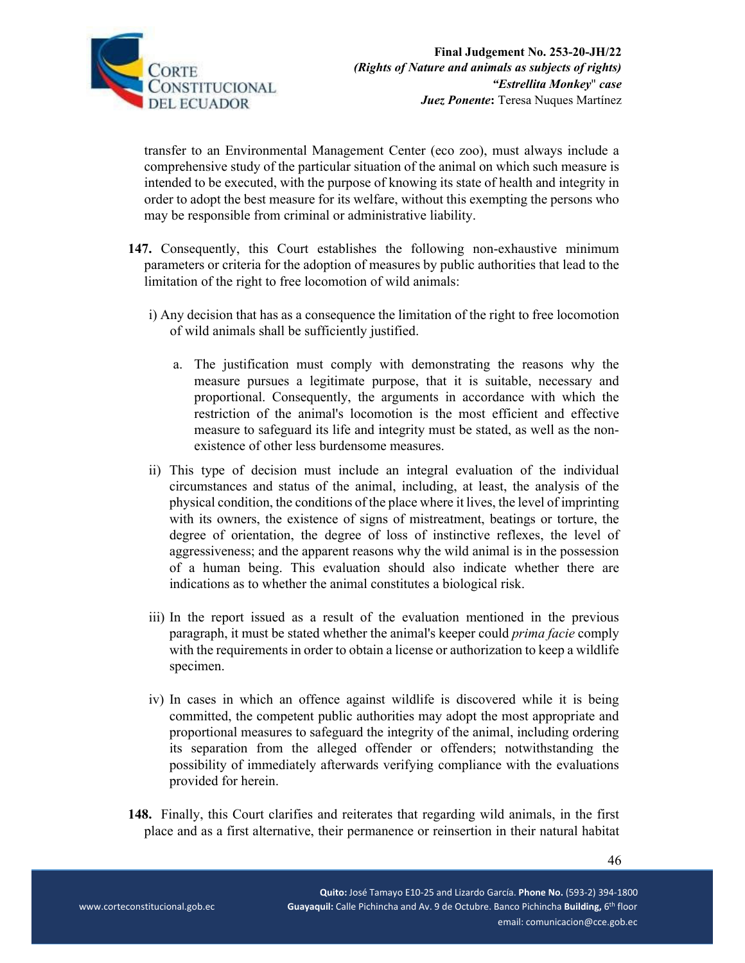

transfer to an Environmental Management Center (eco zoo), must always include a comprehensive study of the particular situation of the animal on which such measure is intended to be executed, with the purpose of knowing its state of health and integrity in order to adopt the best measure for its welfare, without this exempting the persons who may be responsible from criminal or administrative liability.

- **147.** Consequently, this Court establishes the following non-exhaustive minimum parameters or criteria for the adoption of measures by public authorities that lead to the limitation of the right to free locomotion of wild animals:
	- i) Any decision that has as a consequence the limitation of the right to free locomotion of wild animals shall be sufficiently justified.
		- a. The justification must comply with demonstrating the reasons why the measure pursues a legitimate purpose, that it is suitable, necessary and proportional. Consequently, the arguments in accordance with which the restriction of the animal's locomotion is the most efficient and effective measure to safeguard its life and integrity must be stated, as well as the nonexistence of other less burdensome measures.
	- ii) This type of decision must include an integral evaluation of the individual circumstances and status of the animal, including, at least, the analysis of the physical condition, the conditions of the place where it lives, the level of imprinting with its owners, the existence of signs of mistreatment, beatings or torture, the degree of orientation, the degree of loss of instinctive reflexes, the level of aggressiveness; and the apparent reasons why the wild animal is in the possession of a human being. This evaluation should also indicate whether there are indications as to whether the animal constitutes a biological risk.
	- iii) In the report issued as a result of the evaluation mentioned in the previous paragraph, it must be stated whether the animal's keeper could *prima facie* comply with the requirements in order to obtain a license or authorization to keep a wildlife specimen.
	- iv) In cases in which an offence against wildlife is discovered while it is being committed, the competent public authorities may adopt the most appropriate and proportional measures to safeguard the integrity of the animal, including ordering its separation from the alleged offender or offenders; notwithstanding the possibility of immediately afterwards verifying compliance with the evaluations provided for herein.
- **148.** Finally, this Court clarifies and reiterates that regarding wild animals, in the first place and as a first alternative, their permanence or reinsertion in their natural habitat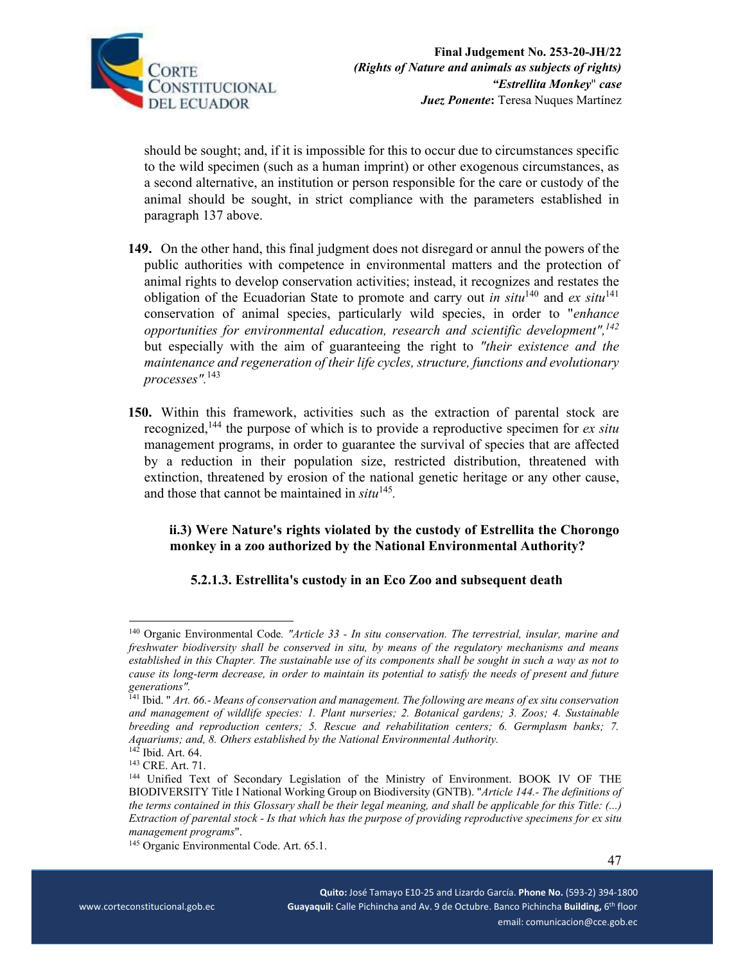

should be sought; and, if it is impossible for this to occur due to circumstances specific to the wild specimen (such as a human imprint) or other exogenous circumstances, as a second alternative, an institution or person responsible for the care or custody of the animal should be sought, in strict compliance with the parameters established in paragraph 137 above.

- **149.** On the other hand, this final judgment does not disregard or annul the powers of the public authorities with competence in environmental matters and the protection of animal rights to develop conservation activities; instead, it recognizes and restates the obligation of the Ecuadorian State to promote and carry out *in situ*<sup>140</sup> and *ex situ*<sup>141</sup> conservation of animal species, particularly wild species, in order to "*enhance opportunities for environmental education, research and scientific development",142* but especially with the aim of guaranteeing the right to *"their existence and the maintenance and regeneration of their life cycles, structure, functions and evolutionary processes".*143
- **150.** Within this framework, activities such as the extraction of parental stock are recognized,144 the purpose of which is to provide a reproductive specimen for *ex situ*  management programs, in order to guarantee the survival of species that are affected by a reduction in their population size, restricted distribution, threatened with extinction, threatened by erosion of the national genetic heritage or any other cause, and those that cannot be maintained in *situ*<sup>145</sup>*.*

## **ii.3) Were Nature's rights violated by the custody of Estrellita the Chorongo monkey in a zoo authorized by the National Environmental Authority?**

# **5.2.1.3. Estrellita's custody in an Eco Zoo and subsequent death**

<sup>140</sup> Organic Environmental Code*. "Article 33 - In situ conservation. The terrestrial, insular, marine and freshwater biodiversity shall be conserved in situ, by means of the regulatory mechanisms and means established in this Chapter. The sustainable use of its components shall be sought in such a way as not to cause its long-term decrease, in order to maintain its potential to satisfy the needs of present and future generations".* 

<sup>141</sup> Ibid. " *Art. 66.- Means of conservation and management. The following are means of ex situ conservation and management of wildlife species: 1. Plant nurseries; 2. Botanical gardens; 3. Zoos; 4. Sustainable breeding and reproduction centers; 5. Rescue and rehabilitation centers; 6. Germplasm banks; 7. Aquariums; and, 8. Others established by the National Environmental Authority.*<br><sup>142</sup> Ibid. Art. 64.

<sup>&</sup>lt;sup>143</sup> CRE. Art. 71.<br><sup>144</sup> Unified Text of Secondary Legislation of the Ministry of Environment. BOOK IV OF THE BIODIVERSITY Title I National Working Group on Biodiversity (GNTB). "*Article 144.- The definitions of the terms contained in this Glossary shall be their legal meaning, and shall be applicable for this Title: (...) Extraction of parental stock - Is that which has the purpose of providing reproductive specimens for ex situ management programs*". 145 Organic Environmental Code. Art. 65.1.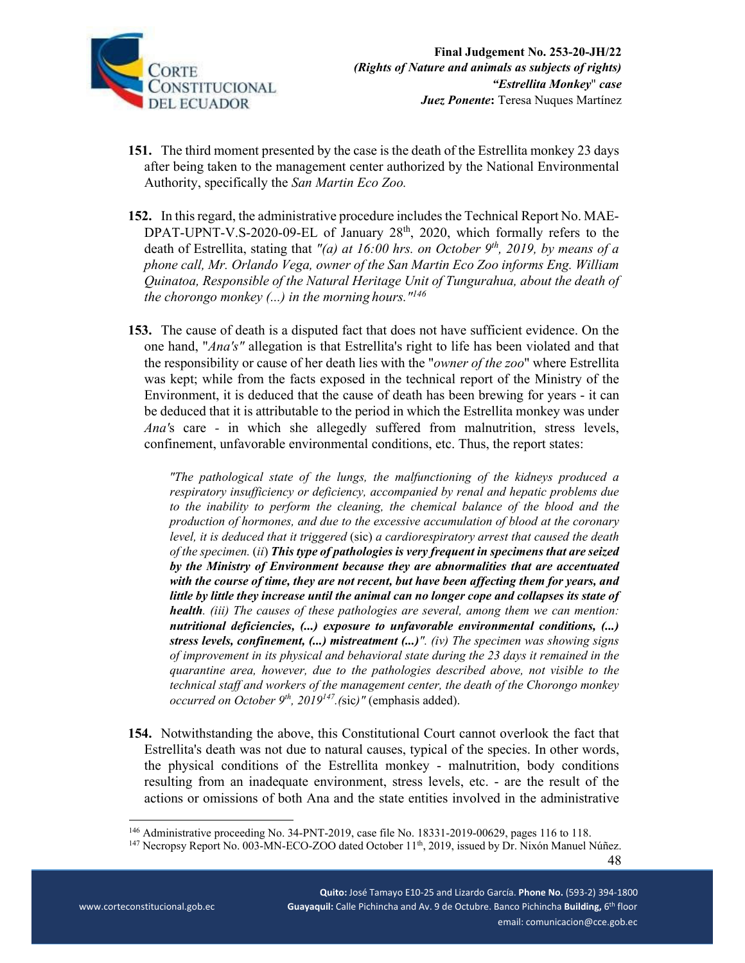

- **151.** The third moment presented by the case is the death of the Estrellita monkey 23 days after being taken to the management center authorized by the National Environmental Authority, specifically the *San Martin Eco Zoo.*
- **152.** In this regard, the administrative procedure includes the Technical Report No. MAE-DPAT-UPNT-V.S-2020-09-EL of January  $28<sup>th</sup>$ , 2020, which formally refers to the death of Estrellita, stating that "(a) at 16:00 hrs. on October 9<sup>th</sup>, 2019, by means of a *phone call, Mr. Orlando Vega, owner of the San Martin Eco Zoo informs Eng. William Quinatoa, Responsible of the Natural Heritage Unit of Tungurahua, about the death of the chorongo monkey (...) in the morning hours."146*
- **153.** The cause of death is a disputed fact that does not have sufficient evidence. On the one hand, "*Ana's"* allegation is that Estrellita's right to life has been violated and that the responsibility or cause of her death lies with the "*owner of the zoo*" where Estrellita was kept; while from the facts exposed in the technical report of the Ministry of the Environment, it is deduced that the cause of death has been brewing for years - it can be deduced that it is attributable to the period in which the Estrellita monkey was under *Ana'*s care *-* in which she allegedly suffered from malnutrition, stress levels, confinement, unfavorable environmental conditions, etc. Thus, the report states:

*"The pathological state of the lungs, the malfunctioning of the kidneys produced a respiratory insufficiency or deficiency, accompanied by renal and hepatic problems due to the inability to perform the cleaning, the chemical balance of the blood and the production of hormones, and due to the excessive accumulation of blood at the coronary level, it is deduced that it triggered* (sic) *a cardiorespiratory arrest that caused the death of the specimen.* (*ii*) *This type of pathologies is very frequent in specimens that are seized by the Ministry of Environment because they are abnormalities that are accentuated with the course of time, they are not recent, but have been affecting them for years, and little by little they increase until the animal can no longer cope and collapses its state of health. (iii) The causes of these pathologies are several, among them we can mention: nutritional deficiencies, (...) exposure to unfavorable environmental conditions, (...) stress levels, confinement, (...) mistreatment (...)". (iv) The specimen was showing signs of improvement in its physical and behavioral state during the 23 days it remained in the quarantine area, however, due to the pathologies described above, not visible to the technical staff and workers of the management center, the death of the Chorongo monkey occurred on October 9th, 2019147.(*sic*)"* (emphasis added).

**154.** Notwithstanding the above, this Constitutional Court cannot overlook the fact that Estrellita's death was not due to natural causes, typical of the species. In other words, the physical conditions of the Estrellita monkey - malnutrition, body conditions resulting from an inadequate environment, stress levels, etc. - are the result of the actions or omissions of both Ana and the state entities involved in the administrative

 **Quito:** José Tamayo E10‐25 and Lizardo García. **Phone No.** (593‐2) 394‐1800 \_ \_ \_ \_ www.corteconstitucional.gob.ec **Superman Cuayaquil:** Calle Pichincha and Av. 9 de Octubre. Banco Pichincha Building, 6<sup>th</sup> floor email: comunicacion@cce.gob.ec

<sup>&</sup>lt;sup>146</sup> Administrative proceeding No. 34-PNT-2019, case file No. 18331-2019-00629, pages 116 to 118.<br><sup>147</sup> Necropsy Report No. 003-MN-ECO-ZOO dated October 11<sup>th</sup>, 2019, issued by Dr. Nixón Manuel Núñez.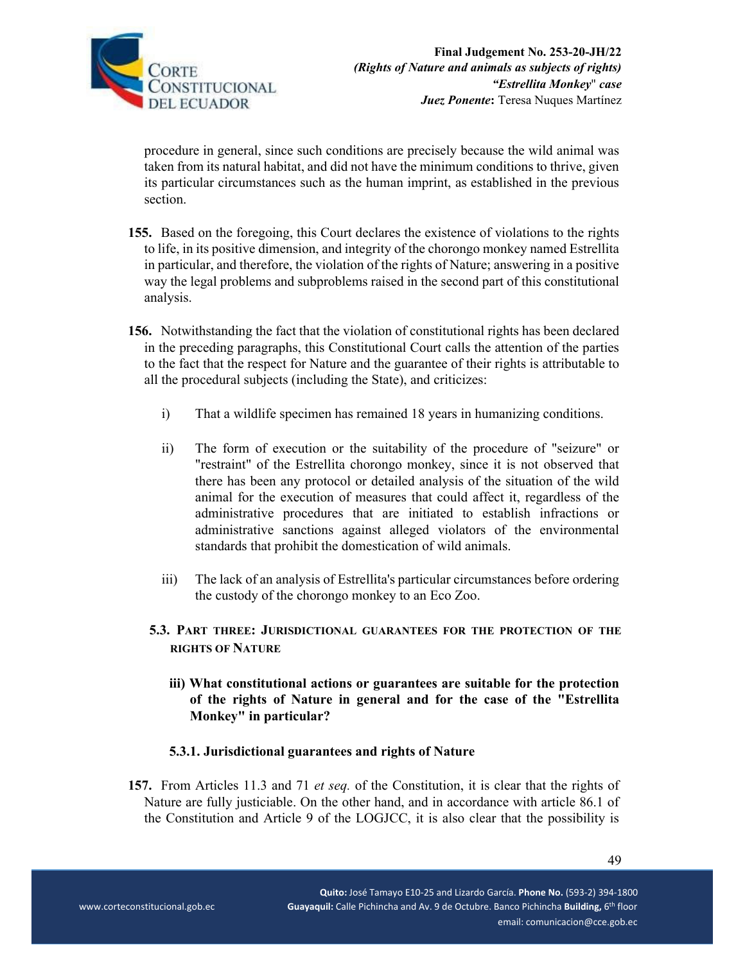

procedure in general, since such conditions are precisely because the wild animal was taken from its natural habitat, and did not have the minimum conditions to thrive, given its particular circumstances such as the human imprint, as established in the previous section.

- **155.** Based on the foregoing, this Court declares the existence of violations to the rights to life, in its positive dimension, and integrity of the chorongo monkey named Estrellita in particular, and therefore, the violation of the rights of Nature; answering in a positive way the legal problems and subproblems raised in the second part of this constitutional analysis.
- **156.** Notwithstanding the fact that the violation of constitutional rights has been declared in the preceding paragraphs, this Constitutional Court calls the attention of the parties to the fact that the respect for Nature and the guarantee of their rights is attributable to all the procedural subjects (including the State), and criticizes:
	- i) That a wildlife specimen has remained 18 years in humanizing conditions.
	- ii) The form of execution or the suitability of the procedure of "seizure" or "restraint" of the Estrellita chorongo monkey, since it is not observed that there has been any protocol or detailed analysis of the situation of the wild animal for the execution of measures that could affect it, regardless of the administrative procedures that are initiated to establish infractions or administrative sanctions against alleged violators of the environmental standards that prohibit the domestication of wild animals.
	- iii) The lack of an analysis of Estrellita's particular circumstances before ordering the custody of the chorongo monkey to an Eco Zoo.
	- **5.3. PART THREE: JURISDICTIONAL GUARANTEES FOR THE PROTECTION OF THE RIGHTS OF NATURE** 
		- **iii) What constitutional actions or guarantees are suitable for the protection of the rights of Nature in general and for the case of the "Estrellita Monkey" in particular?**

# **5.3.1. Jurisdictional guarantees and rights of Nature**

**157.** From Articles 11.3 and 71 *et seq.* of the Constitution, it is clear that the rights of Nature are fully justiciable. On the other hand, and in accordance with article 86.1 of the Constitution and Article 9 of the LOGJCC, it is also clear that the possibility is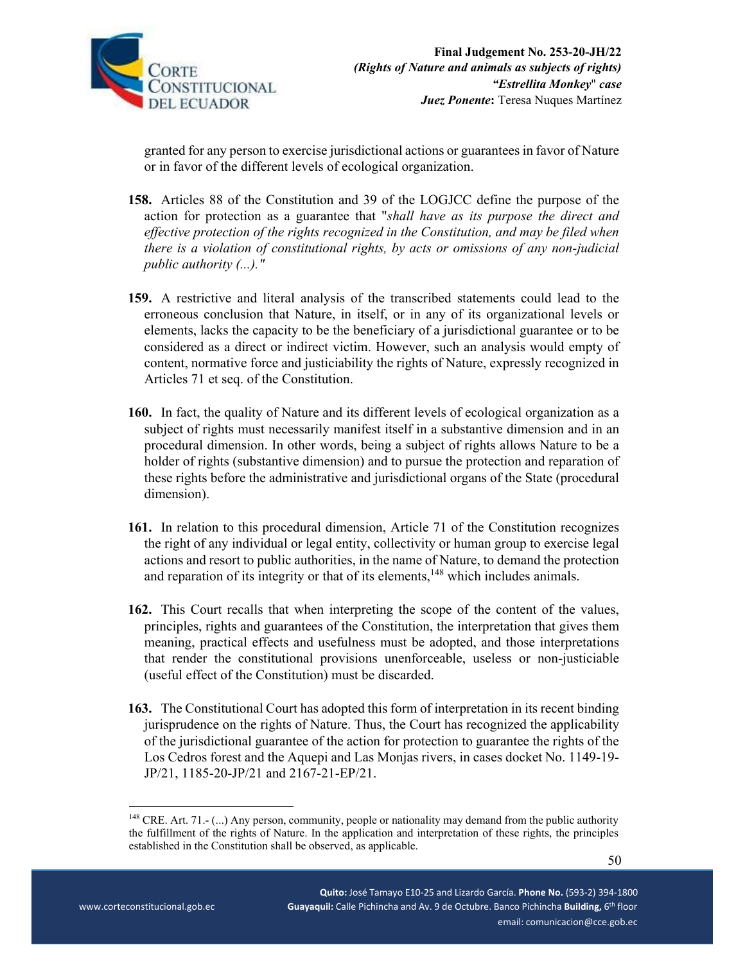

granted for any person to exercise jurisdictional actions or guarantees in favor of Nature or in favor of the different levels of ecological organization.

- **158.** Articles 88 of the Constitution and 39 of the LOGJCC define the purpose of the action for protection as a guarantee that "*shall have as its purpose the direct and effective protection of the rights recognized in the Constitution, and may be filed when there is a violation of constitutional rights, by acts or omissions of any non-judicial public authority (...)."*
- **159.** A restrictive and literal analysis of the transcribed statements could lead to the erroneous conclusion that Nature, in itself, or in any of its organizational levels or elements, lacks the capacity to be the beneficiary of a jurisdictional guarantee or to be considered as a direct or indirect victim. However, such an analysis would empty of content, normative force and justiciability the rights of Nature, expressly recognized in Articles 71 et seq. of the Constitution.
- **160.** In fact, the quality of Nature and its different levels of ecological organization as a subject of rights must necessarily manifest itself in a substantive dimension and in an procedural dimension. In other words, being a subject of rights allows Nature to be a holder of rights (substantive dimension) and to pursue the protection and reparation of these rights before the administrative and jurisdictional organs of the State (procedural dimension).
- **161.** In relation to this procedural dimension, Article 71 of the Constitution recognizes the right of any individual or legal entity, collectivity or human group to exercise legal actions and resort to public authorities, in the name of Nature, to demand the protection and reparation of its integrity or that of its elements,<sup>148</sup> which includes animals.
- **162.** This Court recalls that when interpreting the scope of the content of the values, principles, rights and guarantees of the Constitution, the interpretation that gives them meaning, practical effects and usefulness must be adopted, and those interpretations that render the constitutional provisions unenforceable, useless or non-justiciable (useful effect of the Constitution) must be discarded.
- **163.** The Constitutional Court has adopted this form of interpretation in its recent binding jurisprudence on the rights of Nature. Thus, the Court has recognized the applicability of the jurisdictional guarantee of the action for protection to guarantee the rights of the Los Cedros forest and the Aquepi and Las Monjas rivers, in cases docket No. 1149-19- JP/21, 1185-20-JP/21 and 2167-21-EP/21.

<sup>&</sup>lt;sup>148</sup> CRE. Art. 71.- (...) Any person, community, people or nationality may demand from the public authority the fulfillment of the rights of Nature. In the application and interpretation of these rights, the principles established in the Constitution shall be observed, as applicable.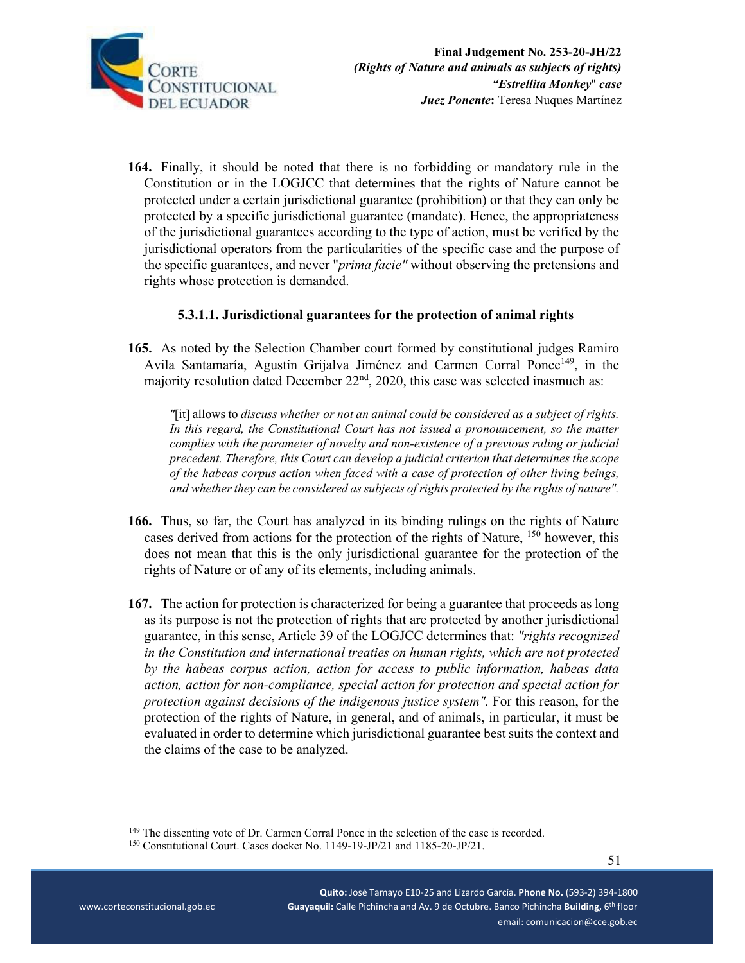

**164.** Finally, it should be noted that there is no forbidding or mandatory rule in the Constitution or in the LOGJCC that determines that the rights of Nature cannot be protected under a certain jurisdictional guarantee (prohibition) or that they can only be protected by a specific jurisdictional guarantee (mandate). Hence, the appropriateness of the jurisdictional guarantees according to the type of action, must be verified by the jurisdictional operators from the particularities of the specific case and the purpose of the specific guarantees, and never "*prima facie"* without observing the pretensions and rights whose protection is demanded.

## **5.3.1.1. Jurisdictional guarantees for the protection of animal rights**

**165.** As noted by the Selection Chamber court formed by constitutional judges Ramiro Avila Santamaría, Agustín Grijalva Jiménez and Carmen Corral Ponce<sup>149</sup>, in the majority resolution dated December  $22<sup>nd</sup>$ , 2020, this case was selected inasmuch as:

*"*[it] allows to *discuss whether or not an animal could be considered as a subject of rights. In this regard, the Constitutional Court has not issued a pronouncement, so the matter complies with the parameter of novelty and non-existence of a previous ruling or judicial precedent. Therefore, this Court can develop a judicial criterion that determines the scope of the habeas corpus action when faced with a case of protection of other living beings, and whether they can be considered as subjects of rights protected by the rights of nature".* 

- **166.** Thus, so far, the Court has analyzed in its binding rulings on the rights of Nature cases derived from actions for the protection of the rights of Nature, <sup>150</sup> however, this does not mean that this is the only jurisdictional guarantee for the protection of the rights of Nature or of any of its elements, including animals.
- **167.** The action for protection is characterized for being a guarantee that proceeds as long as its purpose is not the protection of rights that are protected by another jurisdictional guarantee, in this sense, Article 39 of the LOGJCC determines that: *"rights recognized in the Constitution and international treaties on human rights, which are not protected by the habeas corpus action, action for access to public information, habeas data action, action for non-compliance, special action for protection and special action for protection against decisions of the indigenous justice system".* For this reason, for the protection of the rights of Nature, in general, and of animals, in particular, it must be evaluated in order to determine which jurisdictional guarantee best suits the context and the claims of the case to be analyzed.

<sup>&</sup>lt;sup>149</sup> The dissenting vote of Dr. Carmen Corral Ponce in the selection of the case is recorded. <sup>150</sup> Constitutional Court. Cases docket No. 1149-19-JP/21 and 1185-20-JP/21.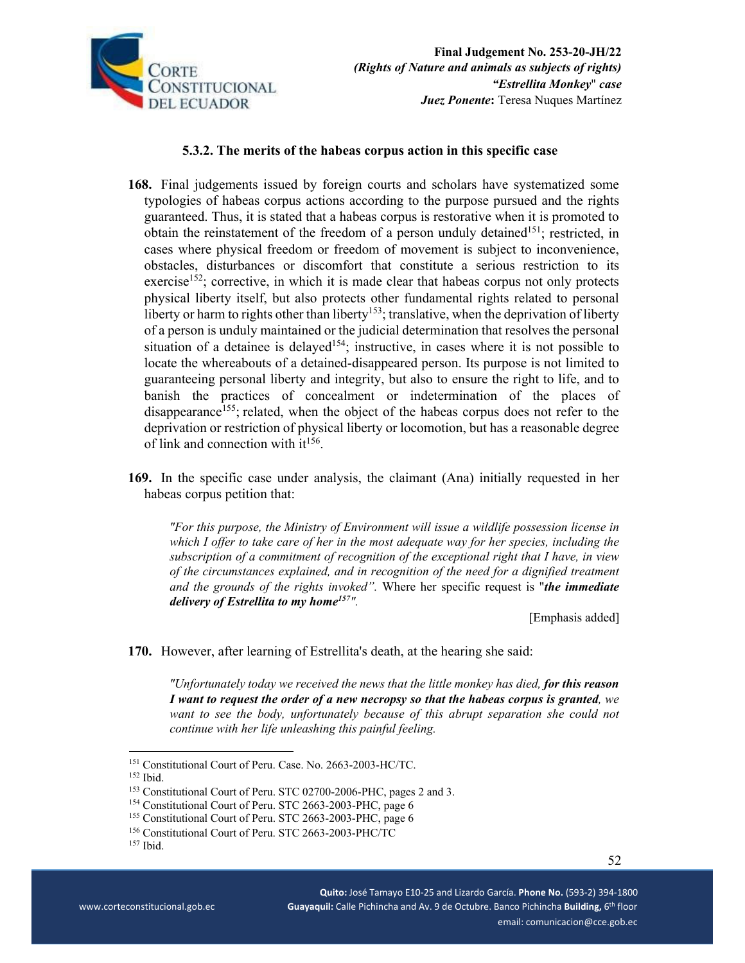

### **5.3.2. The merits of the habeas corpus action in this specific case**

- **168.** Final judgements issued by foreign courts and scholars have systematized some typologies of habeas corpus actions according to the purpose pursued and the rights guaranteed. Thus, it is stated that a habeas corpus is restorative when it is promoted to obtain the reinstatement of the freedom of a person unduly detained<sup>151</sup>; restricted, in cases where physical freedom or freedom of movement is subject to inconvenience, obstacles, disturbances or discomfort that constitute a serious restriction to its exercise<sup>152</sup>; corrective, in which it is made clear that habeas corpus not only protects physical liberty itself, but also protects other fundamental rights related to personal liberty or harm to rights other than liberty<sup>153</sup>; translative, when the deprivation of liberty of a person is unduly maintained or the judicial determination that resolves the personal situation of a detainee is delayed<sup>154</sup>; instructive, in cases where it is not possible to locate the whereabouts of a detained-disappeared person. Its purpose is not limited to guaranteeing personal liberty and integrity, but also to ensure the right to life, and to banish the practices of concealment or indetermination of the places of disappearance<sup>155</sup>; related, when the object of the habeas corpus does not refer to the deprivation or restriction of physical liberty or locomotion, but has a reasonable degree of link and connection with  $it^{156}$ .
- **169.** In the specific case under analysis, the claimant (Ana) initially requested in her habeas corpus petition that:

*"For this purpose, the Ministry of Environment will issue a wildlife possession license in which I offer to take care of her in the most adequate way for her species, including the subscription of a commitment of recognition of the exceptional right that I have, in view of the circumstances explained, and in recognition of the need for a dignified treatment and the grounds of the rights invoked".* Where her specific request is "*the immediate delivery of Estrellita to my home157".*

[Emphasis added]

**170.** However, after learning of Estrellita's death, at the hearing she said:

*"Unfortunately today we received the news that the little monkey has died, for this reason I want to request the order of a new necropsy so that the habeas corpus is granted, we*  want to see the body, unfortunately because of this abrupt separation she could not *continue with her life unleashing this painful feeling.*

<sup>&</sup>lt;sup>151</sup> Constitutional Court of Peru. Case. No. 2663-2003-HC/TC.<br><sup>152</sup> Ibid.<br><sup>153</sup> Constitutional Court of Peru. STC 02700-2006-PHC, pages 2 and 3.<br><sup>154</sup> Constitutional Court of Peru. STC 2663-2003-PHC, page 6<br><sup>155</sup> Constit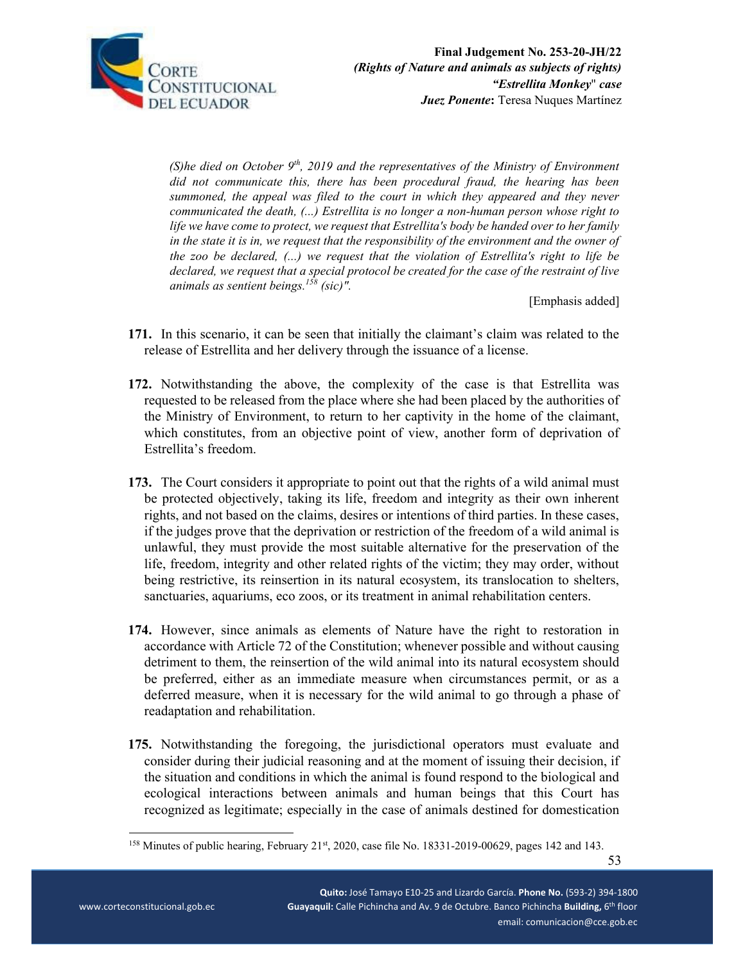

*(S)he died on October 9th, 2019 and the representatives of the Ministry of Environment did not communicate this, there has been procedural fraud, the hearing has been summoned, the appeal was filed to the court in which they appeared and they never communicated the death, (...) Estrellita is no longer a non-human person whose right to life we have come to protect, we request that Estrellita's body be handed over to her family in the state it is in, we request that the responsibility of the environment and the owner of the zoo be declared, (...) we request that the violation of Estrellita's right to life be declared, we request that a special protocol be created for the case of the restraint of live animals as sentient beings.158 (sic)".* 

[Emphasis added]

- **171.** In this scenario, it can be seen that initially the claimant's claim was related to the release of Estrellita and her delivery through the issuance of a license.
- **172.** Notwithstanding the above, the complexity of the case is that Estrellita was requested to be released from the place where she had been placed by the authorities of the Ministry of Environment, to return to her captivity in the home of the claimant, which constitutes, from an objective point of view, another form of deprivation of Estrellita's freedom.
- **173.** The Court considers it appropriate to point out that the rights of a wild animal must be protected objectively, taking its life, freedom and integrity as their own inherent rights, and not based on the claims, desires or intentions of third parties. In these cases, if the judges prove that the deprivation or restriction of the freedom of a wild animal is unlawful, they must provide the most suitable alternative for the preservation of the life, freedom, integrity and other related rights of the victim; they may order, without being restrictive, its reinsertion in its natural ecosystem, its translocation to shelters, sanctuaries, aquariums, eco zoos, or its treatment in animal rehabilitation centers.
- **174.** However, since animals as elements of Nature have the right to restoration in accordance with Article 72 of the Constitution; whenever possible and without causing detriment to them, the reinsertion of the wild animal into its natural ecosystem should be preferred, either as an immediate measure when circumstances permit, or as a deferred measure, when it is necessary for the wild animal to go through a phase of readaptation and rehabilitation.
- **175.** Notwithstanding the foregoing, the jurisdictional operators must evaluate and consider during their judicial reasoning and at the moment of issuing their decision, if the situation and conditions in which the animal is found respond to the biological and ecological interactions between animals and human beings that this Court has recognized as legitimate; especially in the case of animals destined for domestication

<sup>&</sup>lt;sup>158</sup> Minutes of public hearing, February 21<sup>st</sup>, 2020, case file No. 18331-2019-00629, pages 142 and 143.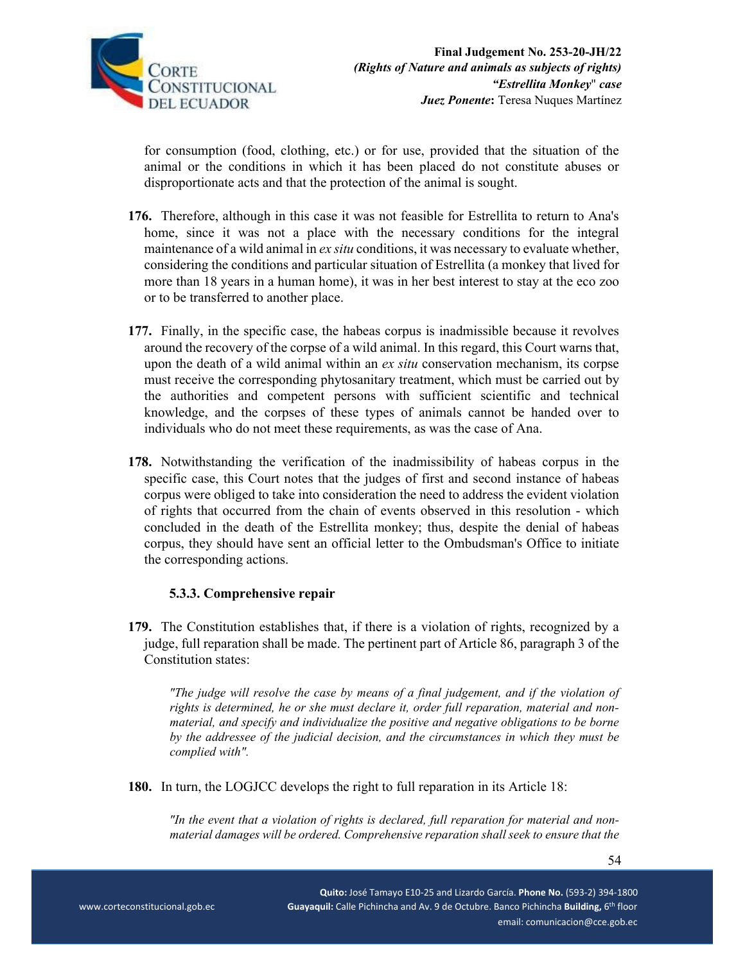

for consumption (food, clothing, etc.) or for use, provided that the situation of the animal or the conditions in which it has been placed do not constitute abuses or disproportionate acts and that the protection of the animal is sought.

- **176.** Therefore, although in this case it was not feasible for Estrellita to return to Ana's home, since it was not a place with the necessary conditions for the integral maintenance of a wild animal in *ex situ* conditions, it was necessary to evaluate whether, considering the conditions and particular situation of Estrellita (a monkey that lived for more than 18 years in a human home), it was in her best interest to stay at the eco zoo or to be transferred to another place.
- **177.** Finally, in the specific case, the habeas corpus is inadmissible because it revolves around the recovery of the corpse of a wild animal. In this regard, this Court warns that, upon the death of a wild animal within an *ex situ* conservation mechanism, its corpse must receive the corresponding phytosanitary treatment, which must be carried out by the authorities and competent persons with sufficient scientific and technical knowledge, and the corpses of these types of animals cannot be handed over to individuals who do not meet these requirements, as was the case of Ana.
- **178.** Notwithstanding the verification of the inadmissibility of habeas corpus in the specific case, this Court notes that the judges of first and second instance of habeas corpus were obliged to take into consideration the need to address the evident violation of rights that occurred from the chain of events observed in this resolution - which concluded in the death of the Estrellita monkey; thus, despite the denial of habeas corpus, they should have sent an official letter to the Ombudsman's Office to initiate the corresponding actions.

### **5.3.3. Comprehensive repair**

**179.** The Constitution establishes that, if there is a violation of rights, recognized by a judge, full reparation shall be made. The pertinent part of Article 86, paragraph 3 of the Constitution states:

*"The judge will resolve the case by means of a final judgement, and if the violation of rights is determined, he or she must declare it, order full reparation, material and nonmaterial, and specify and individualize the positive and negative obligations to be borne by the addressee of the judicial decision, and the circumstances in which they must be complied with".* 

**180.** In turn, the LOGJCC develops the right to full reparation in its Article 18:

*"In the event that a violation of rights is declared, full reparation for material and nonmaterial damages will be ordered. Comprehensive reparation shall seek to ensure that the*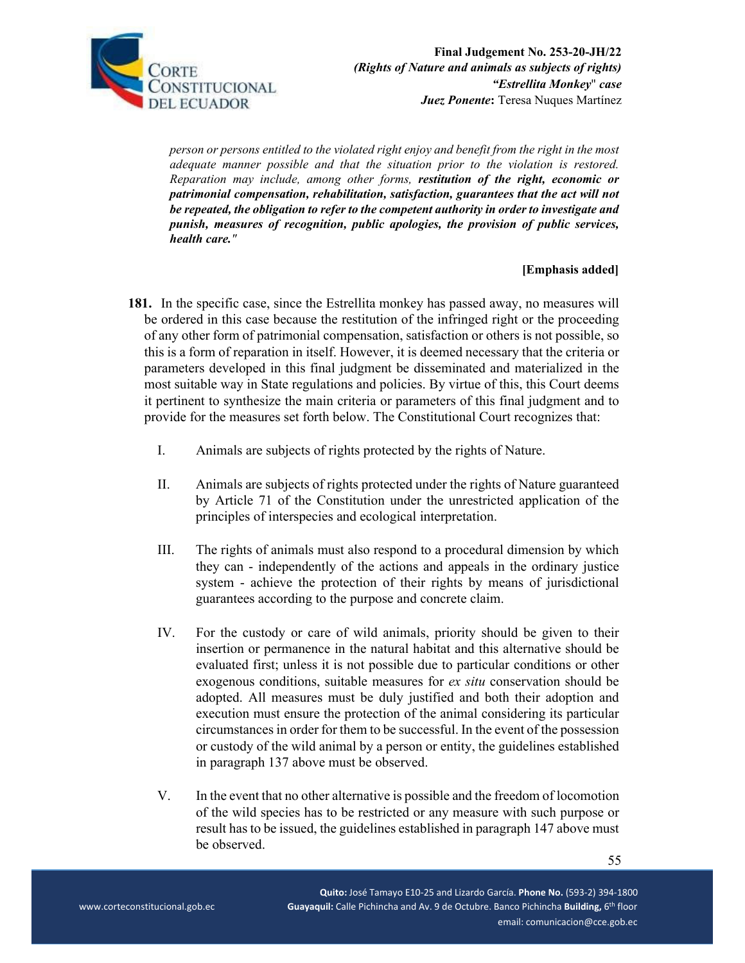

*person or persons entitled to the violated right enjoy and benefit from the right in the most adequate manner possible and that the situation prior to the violation is restored. Reparation may include, among other forms, restitution of the right, economic or patrimonial compensation, rehabilitation, satisfaction, guarantees that the act will not be repeated, the obligation to refer to the competent authority in order to investigate and punish, measures of recognition, public apologies, the provision of public services, health care."* 

#### **[Emphasis added]**

- **181.** In the specific case, since the Estrellita monkey has passed away, no measures will be ordered in this case because the restitution of the infringed right or the proceeding of any other form of patrimonial compensation, satisfaction or others is not possible, so this is a form of reparation in itself. However, it is deemed necessary that the criteria or parameters developed in this final judgment be disseminated and materialized in the most suitable way in State regulations and policies. By virtue of this, this Court deems it pertinent to synthesize the main criteria or parameters of this final judgment and to provide for the measures set forth below. The Constitutional Court recognizes that:
	- I. Animals are subjects of rights protected by the rights of Nature.
	- II. Animals are subjects of rights protected under the rights of Nature guaranteed by Article 71 of the Constitution under the unrestricted application of the principles of interspecies and ecological interpretation.
	- III. The rights of animals must also respond to a procedural dimension by which they can - independently of the actions and appeals in the ordinary justice system - achieve the protection of their rights by means of jurisdictional guarantees according to the purpose and concrete claim.
	- IV. For the custody or care of wild animals, priority should be given to their insertion or permanence in the natural habitat and this alternative should be evaluated first; unless it is not possible due to particular conditions or other exogenous conditions, suitable measures for *ex situ* conservation should be adopted. All measures must be duly justified and both their adoption and execution must ensure the protection of the animal considering its particular circumstances in order for them to be successful. In the event of the possession or custody of the wild animal by a person or entity, the guidelines established in paragraph 137 above must be observed.
	- V. In the event that no other alternative is possible and the freedom of locomotion of the wild species has to be restricted or any measure with such purpose or result has to be issued, the guidelines established in paragraph 147 above must be observed.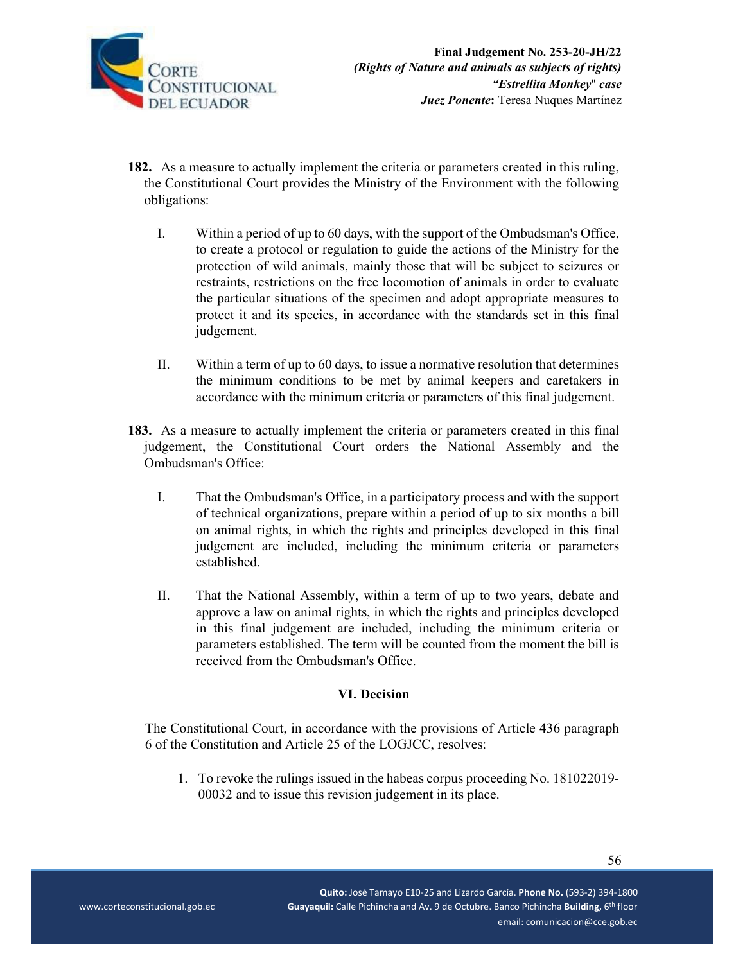

- **182.** As a measure to actually implement the criteria or parameters created in this ruling, the Constitutional Court provides the Ministry of the Environment with the following obligations:
	- I. Within a period of up to 60 days, with the support of the Ombudsman's Office, to create a protocol or regulation to guide the actions of the Ministry for the protection of wild animals, mainly those that will be subject to seizures or restraints, restrictions on the free locomotion of animals in order to evaluate the particular situations of the specimen and adopt appropriate measures to protect it and its species, in accordance with the standards set in this final judgement.
	- II. Within a term of up to 60 days, to issue a normative resolution that determines the minimum conditions to be met by animal keepers and caretakers in accordance with the minimum criteria or parameters of this final judgement.
- **183.** As a measure to actually implement the criteria or parameters created in this final judgement, the Constitutional Court orders the National Assembly and the Ombudsman's Office:
	- I. That the Ombudsman's Office, in a participatory process and with the support of technical organizations, prepare within a period of up to six months a bill on animal rights, in which the rights and principles developed in this final judgement are included, including the minimum criteria or parameters established.
	- II. That the National Assembly, within a term of up to two years, debate and approve a law on animal rights, in which the rights and principles developed in this final judgement are included, including the minimum criteria or parameters established. The term will be counted from the moment the bill is received from the Ombudsman's Office.

# **VI. Decision**

The Constitutional Court, in accordance with the provisions of Article 436 paragraph 6 of the Constitution and Article 25 of the LOGJCC, resolves:

1. To revoke the rulings issued in the habeas corpus proceeding No. 181022019- 00032 and to issue this revision judgement in its place.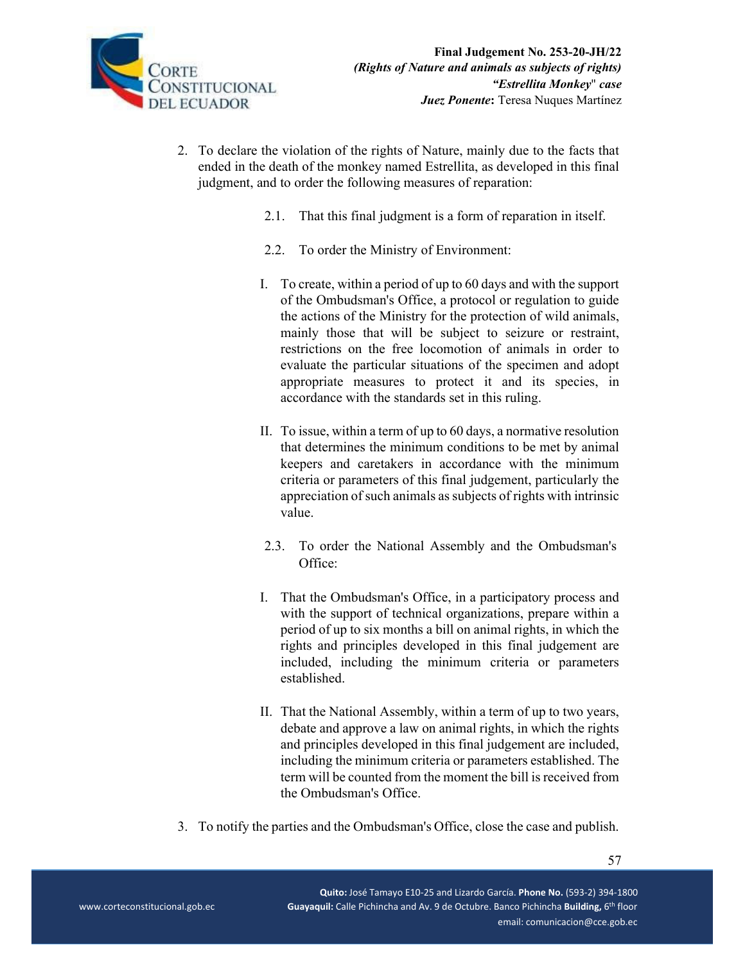

- 2. To declare the violation of the rights of Nature, mainly due to the facts that ended in the death of the monkey named Estrellita, as developed in this final judgment, and to order the following measures of reparation:
	- 2.1. That this final judgment is a form of reparation in itself.
	- 2.2. To order the Ministry of Environment:
	- I. To create, within a period of up to 60 days and with the support of the Ombudsman's Office, a protocol or regulation to guide the actions of the Ministry for the protection of wild animals, mainly those that will be subject to seizure or restraint, restrictions on the free locomotion of animals in order to evaluate the particular situations of the specimen and adopt appropriate measures to protect it and its species, in accordance with the standards set in this ruling.
	- II. To issue, within a term of up to 60 days, a normative resolution that determines the minimum conditions to be met by animal keepers and caretakers in accordance with the minimum criteria or parameters of this final judgement, particularly the appreciation of such animals as subjects of rights with intrinsic value.
	- 2.3. To order the National Assembly and the Ombudsman's Office:
	- I. That the Ombudsman's Office, in a participatory process and with the support of technical organizations, prepare within a period of up to six months a bill on animal rights, in which the rights and principles developed in this final judgement are included, including the minimum criteria or parameters established.
	- II. That the National Assembly, within a term of up to two years, debate and approve a law on animal rights, in which the rights and principles developed in this final judgement are included, including the minimum criteria or parameters established. The term will be counted from the moment the bill is received from the Ombudsman's Office.
- 3. To notify the parties and the Ombudsman's Office, close the case and publish.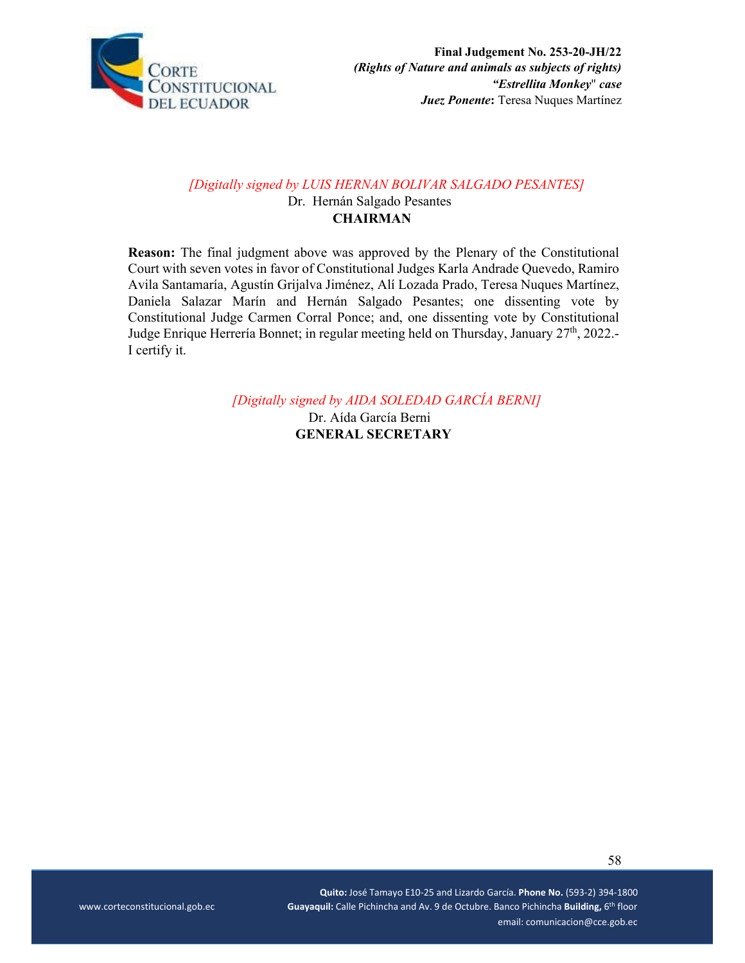

# *[Digitally signed by LUIS HERNAN BOLIVAR SALGADO PESANTES]*

Dr. Hernán Salgado Pesantes **CHAIRMAN** 

**Reason:** The final judgment above was approved by the Plenary of the Constitutional Court with seven votes in favor of Constitutional Judges Karla Andrade Quevedo, Ramiro Avila Santamaría, Agustín Grijalva Jiménez, Alí Lozada Prado, Teresa Nuques Martínez, Daniela Salazar Marín and Hernán Salgado Pesantes; one dissenting vote by Constitutional Judge Carmen Corral Ponce; and, one dissenting vote by Constitutional Judge Enrique Herrería Bonnet; in regular meeting held on Thursday, January 27<sup>th</sup>, 2022.-I certify it.

*[Digitally signed by AIDA SOLEDAD GARCÍA BERNI]* 

Dr. Aída García Berni **GENERAL SECRETARY**

58

 **Quito:** José Tamayo E10‐25 and Lizardo García. **Phone No.** (593‐2) 394‐1800 \_ \_ \_ \_ www.corteconstitucional.gob.ec **Guayaquil:** Calle Pichincha and Av. 9 de Octubre. Banco Pichincha Building, 6<sup>th</sup> floor email: comunicacion@cce.gob.ec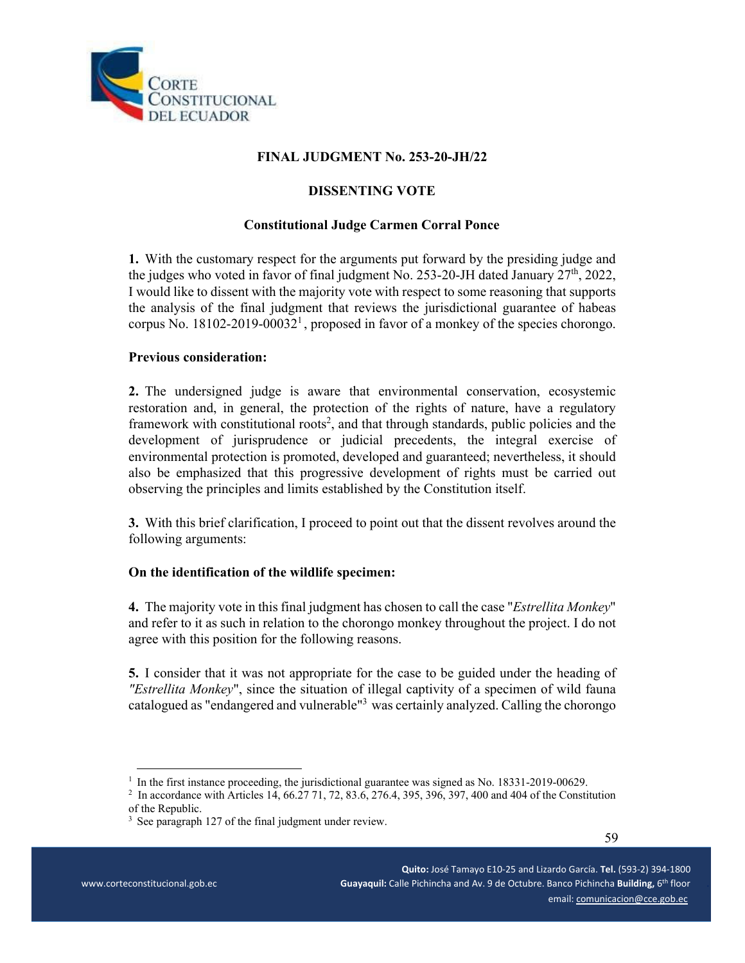

# **FINAL JUDGMENT No. 253-20-JH/22**

### **DISSENTING VOTE**

### **Constitutional Judge Carmen Corral Ponce**

**1.** With the customary respect for the arguments put forward by the presiding judge and the judges who voted in favor of final judgment No. 253-20-JH dated January  $27<sup>th</sup>$ , 2022, I would like to dissent with the majority vote with respect to some reasoning that supports the analysis of the final judgment that reviews the jurisdictional guarantee of habeas corpus No. 18102-2019-00032<sup>1</sup>, proposed in favor of a monkey of the species chorongo.

### **Previous consideration:**

**2.** The undersigned judge is aware that environmental conservation, ecosystemic restoration and, in general, the protection of the rights of nature, have a regulatory framework with constitutional roots<sup>2</sup>, and that through standards, public policies and the development of jurisprudence or judicial precedents, the integral exercise of environmental protection is promoted, developed and guaranteed; nevertheless, it should also be emphasized that this progressive development of rights must be carried out observing the principles and limits established by the Constitution itself.

**3.** With this brief clarification, I proceed to point out that the dissent revolves around the following arguments:

### **On the identification of the wildlife specimen:**

**4.** The majority vote in this final judgment has chosen to call the case "*Estrellita Monkey*" and refer to it as such in relation to the chorongo monkey throughout the project. I do not agree with this position for the following reasons.

**5.** I consider that it was not appropriate for the case to be guided under the heading of *"Estrellita Monkey*", since the situation of illegal captivity of a specimen of wild fauna catalogued as "endangered and vulnerable"<sup>3</sup> was certainly analyzed. Calling the chorongo

<sup>&</sup>lt;sup>1</sup> In the first instance proceeding, the jurisdictional guarantee was signed as No. 18331-2019-00629.

<sup>2</sup> In accordance with Articles 14, 66.27 71, 72, 83.6, 276.4, 395, 396, 397, 400 and 404 of the Constitution of the Republic.

<sup>&</sup>lt;sup>3</sup> See paragraph 127 of the final judgment under review.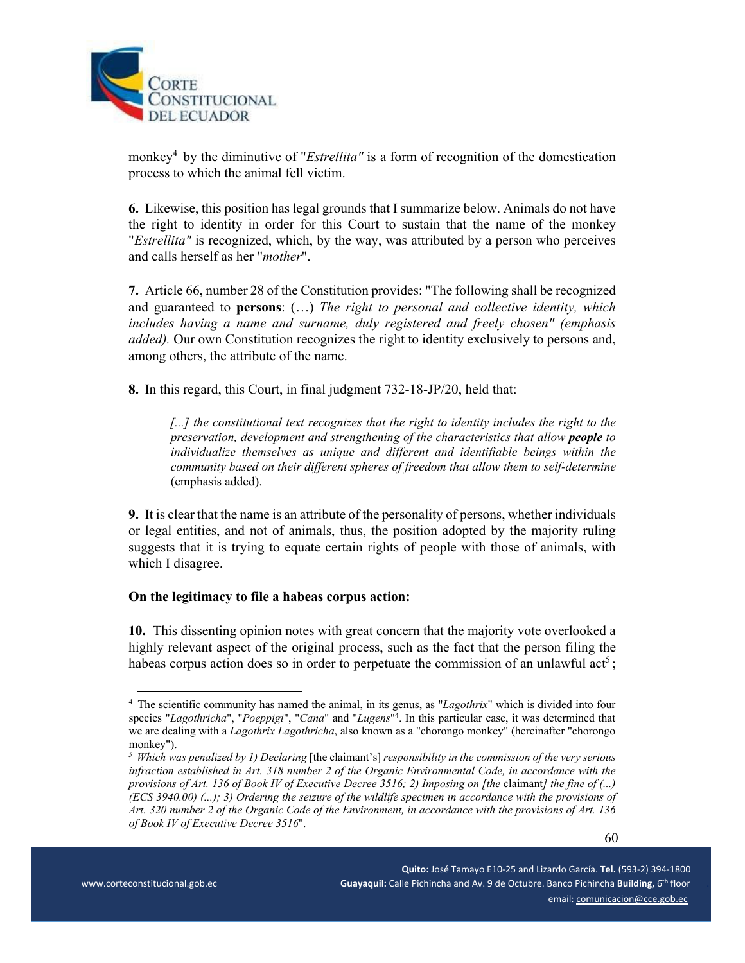

monkey<sup>4</sup> by the diminutive of "*Estrellita"* is a form of recognition of the domestication process to which the animal fell victim.

**6.** Likewise, this position has legal grounds that I summarize below. Animals do not have the right to identity in order for this Court to sustain that the name of the monkey "*Estrellita"* is recognized, which, by the way, was attributed by a person who perceives and calls herself as her "*mother*".

**7.** Article 66, number 28 of the Constitution provides: "The following shall be recognized and guaranteed to **persons**: (…) *The right to personal and collective identity, which includes having a name and surname, duly registered and freely chosen" (emphasis added).* Our own Constitution recognizes the right to identity exclusively to persons and, among others, the attribute of the name.

**8.** In this regard, this Court, in final judgment 732-18-JP/20, held that:

*[...] the constitutional text recognizes that the right to identity includes the right to the preservation, development and strengthening of the characteristics that allow people to individualize themselves as unique and different and identifiable beings within the community based on their different spheres of freedom that allow them to self-determine*  (emphasis added).

**9.** It is clear that the name is an attribute of the personality of persons, whether individuals or legal entities, and not of animals, thus, the position adopted by the majority ruling suggests that it is trying to equate certain rights of people with those of animals, with which I disagree.

#### **On the legitimacy to file a habeas corpus action:**

**10.** This dissenting opinion notes with great concern that the majority vote overlooked a highly relevant aspect of the original process, such as the fact that the person filing the habeas corpus action does so in order to perpetuate the commission of an unlawful act<sup>5</sup>;

<sup>&</sup>lt;sup>4</sup> The scientific community has named the animal, in its genus, as "*Lagothrix*" which is divided into four species "*Lagothricha*", "*Poeppigi*", "*Cana*" and "*Lugens*"4 . In this particular case, it was determined that we are dealing with a *Lagothrix Lagothricha*, also known as a "chorongo monkey" (hereinafter "chorongo monkey").

<sup>&</sup>lt;sup>5</sup> *Which was penalized by 1) Declaring* [the claimant's] *responsibility in the commission of the very serious infraction established in Art. 318 number 2 of the Organic Environmental Code, in accordance with the provisions of Art. 136 of Book IV of Executive Decree 3516; 2) Imposing on [the claimant] the fine of (...) (ECS 3940.00) (...); 3) Ordering the seizure of the wildlife specimen in accordance with the provisions of Art. 320 number 2 of the Organic Code of the Environment, in accordance with the provisions of Art. 136 of Book IV of Executive Decree 3516*".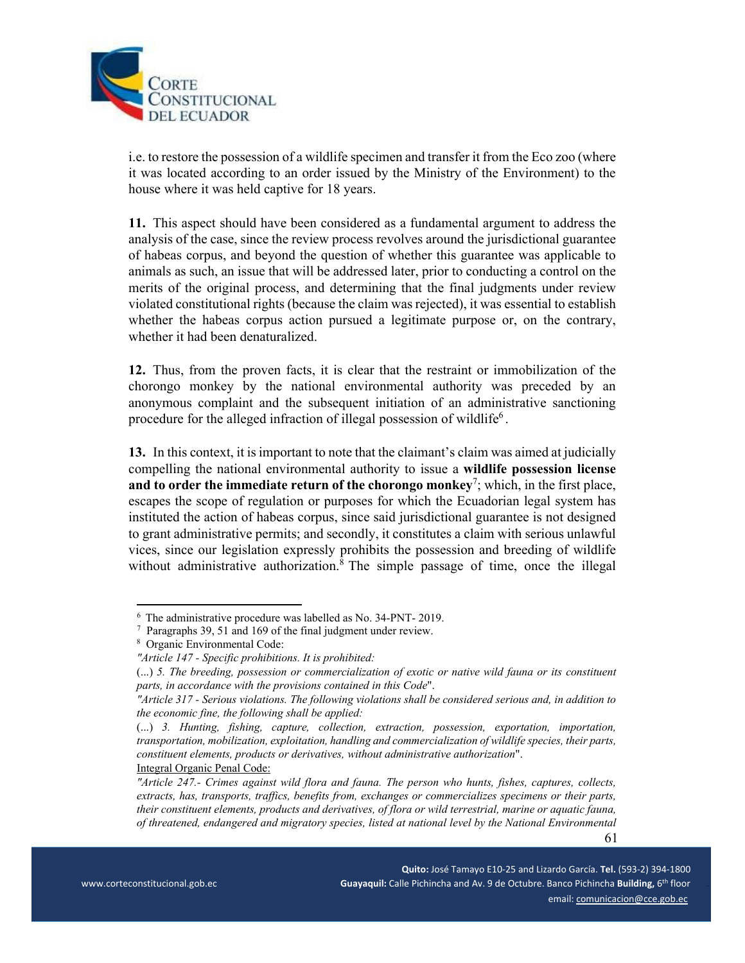

i.e. to restore the possession of a wildlife specimen and transfer it from the Eco zoo (where it was located according to an order issued by the Ministry of the Environment) to the house where it was held captive for 18 years.

**11.** This aspect should have been considered as a fundamental argument to address the analysis of the case, since the review process revolves around the jurisdictional guarantee of habeas corpus, and beyond the question of whether this guarantee was applicable to animals as such, an issue that will be addressed later, prior to conducting a control on the merits of the original process, and determining that the final judgments under review violated constitutional rights (because the claim was rejected), it was essential to establish whether the habeas corpus action pursued a legitimate purpose or, on the contrary, whether it had been denaturalized.

**12.** Thus, from the proven facts, it is clear that the restraint or immobilization of the chorongo monkey by the national environmental authority was preceded by an anonymous complaint and the subsequent initiation of an administrative sanctioning procedure for the alleged infraction of illegal possession of wildlife<sup>6</sup>.

**13.** In this context, it is important to note that the claimant's claim was aimed at judicially compelling the national environmental authority to issue a **wildlife possession license**  and to order the immediate return of the chorongo monkey<sup>7</sup>; which, in the first place, escapes the scope of regulation or purposes for which the Ecuadorian legal system has instituted the action of habeas corpus, since said jurisdictional guarantee is not designed to grant administrative permits; and secondly, it constitutes a claim with serious unlawful vices, since our legislation expressly prohibits the possession and breeding of wildlife without administrative authorization.<sup>8</sup> The simple passage of time, once the illegal

<sup>&</sup>lt;sup>6</sup> The administrative procedure was labelled as No. 34-PNT- 2019.

<sup>7</sup> Paragraphs 39, 51 and 169 of the final judgment under review.

<sup>8</sup> Organic Environmental Code:

*<sup>&</sup>quot;Article 147 - Specific prohibitions. It is prohibited:* 

<sup>(...)</sup> *5. The breeding, possession or commercialization of exotic or native wild fauna or its constituent parts, in accordance with the provisions contained in this Code*".

*<sup>&</sup>quot;Article 317 - Serious violations. The following violations shall be considered serious and, in addition to the economic fine, the following shall be applied:* 

<sup>(...)</sup> *3. Hunting, fishing, capture, collection, extraction, possession, exportation, importation, transportation, mobilization, exploitation, handling and commercialization of wildlife species, their parts, constituent elements, products or derivatives, without administrative authorization*". Integral Organic Penal Code:

 61 *"Article 247.- Crimes against wild flora and fauna. The person who hunts, fishes, captures, collects, extracts, has, transports, traffics, benefits from, exchanges or commercializes specimens or their parts, their constituent elements, products and derivatives, of flora or wild terrestrial, marine or aquatic fauna, of threatened, endangered and migratory species, listed at national level by the National Environmental*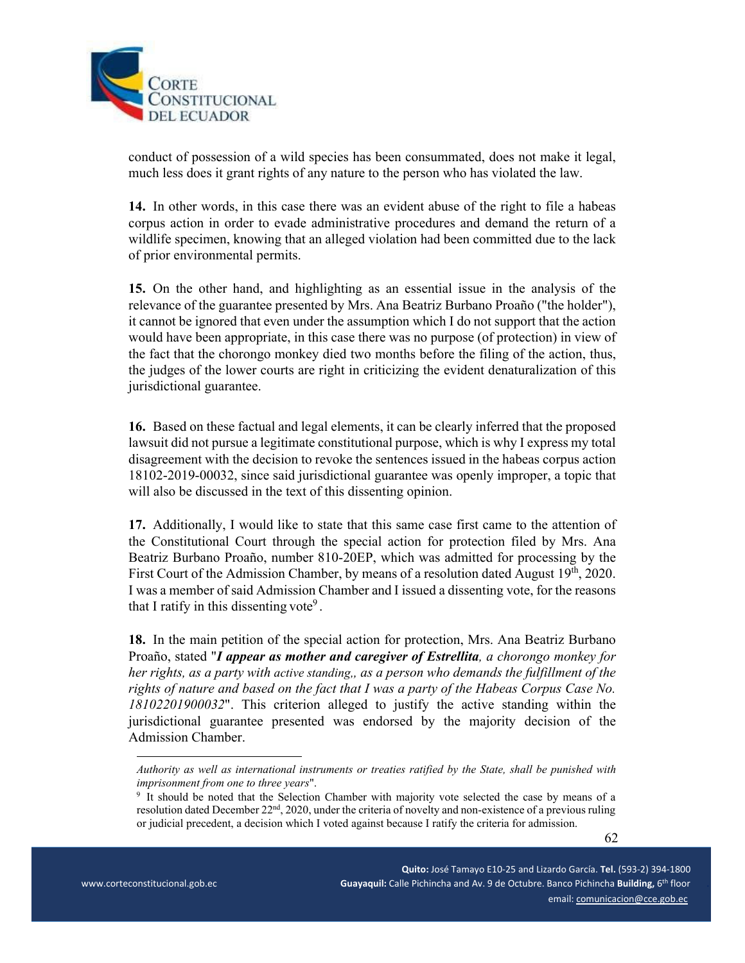

conduct of possession of a wild species has been consummated, does not make it legal, much less does it grant rights of any nature to the person who has violated the law.

**14.** In other words, in this case there was an evident abuse of the right to file a habeas corpus action in order to evade administrative procedures and demand the return of a wildlife specimen, knowing that an alleged violation had been committed due to the lack of prior environmental permits.

**15.** On the other hand, and highlighting as an essential issue in the analysis of the relevance of the guarantee presented by Mrs. Ana Beatriz Burbano Proaño ("the holder"), it cannot be ignored that even under the assumption which I do not support that the action would have been appropriate, in this case there was no purpose (of protection) in view of the fact that the chorongo monkey died two months before the filing of the action, thus, the judges of the lower courts are right in criticizing the evident denaturalization of this jurisdictional guarantee.

**16.** Based on these factual and legal elements, it can be clearly inferred that the proposed lawsuit did not pursue a legitimate constitutional purpose, which is why I express my total disagreement with the decision to revoke the sentences issued in the habeas corpus action 18102-2019-00032, since said jurisdictional guarantee was openly improper, a topic that will also be discussed in the text of this dissenting opinion.

**17.** Additionally, I would like to state that this same case first came to the attention of the Constitutional Court through the special action for protection filed by Mrs. Ana Beatriz Burbano Proaño, number 810-20EP, which was admitted for processing by the First Court of the Admission Chamber, by means of a resolution dated August 19<sup>th</sup>, 2020. I was a member of said Admission Chamber and I issued a dissenting vote, for the reasons that I ratify in this dissenting vote<sup>9</sup>.

**18.** In the main petition of the special action for protection, Mrs. Ana Beatriz Burbano Proaño, stated "*I appear as mother and caregiver of Estrellita, a chorongo monkey for her rights, as a party with active standing,, as a person who demands the fulfillment of the rights of nature and based on the fact that I was a party of the Habeas Corpus Case No. 18102201900032*". This criterion alleged to justify the active standing within the jurisdictional guarantee presented was endorsed by the majority decision of the Admission Chamber.

*Authority as well as international instruments or treaties ratified by the State, shall be punished with imprisonment from one to three years".* 

<sup>&</sup>lt;sup>9</sup> It should be noted that the Selection Chamber with majority vote selected the case by means of a resolution dated December 22<sup>nd</sup>, 2020, under the criteria of novelty and non-existence of a previous ruling or judicial precedent, a decision which I voted against because I ratify the criteria for admission.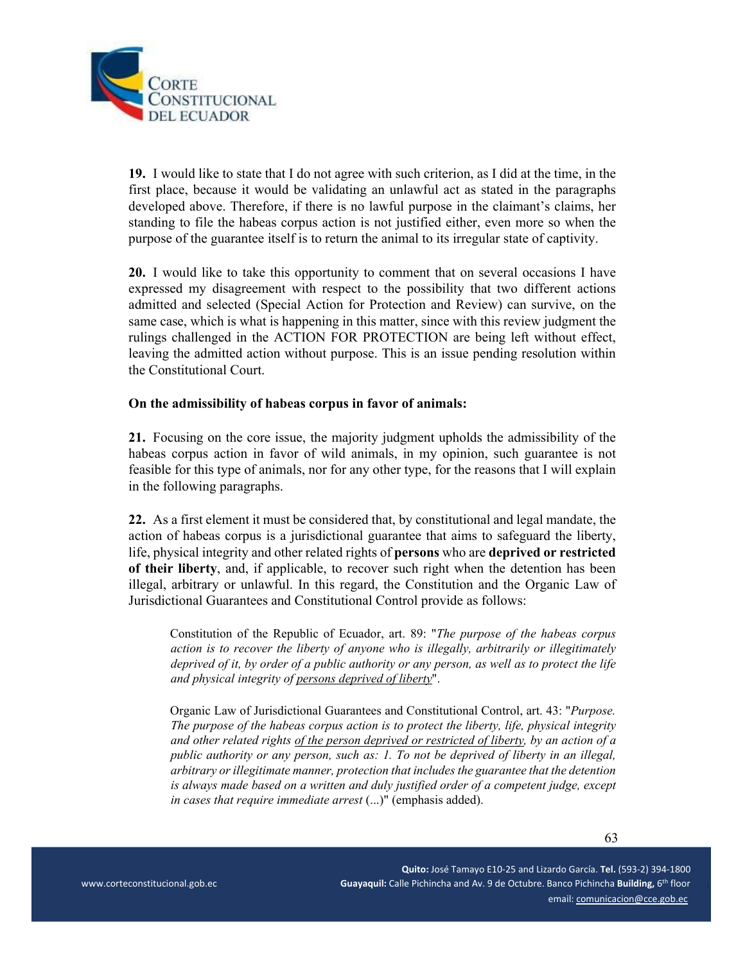

**19.** I would like to state that I do not agree with such criterion, as I did at the time, in the first place, because it would be validating an unlawful act as stated in the paragraphs developed above. Therefore, if there is no lawful purpose in the claimant's claims, her standing to file the habeas corpus action is not justified either, even more so when the purpose of the guarantee itself is to return the animal to its irregular state of captivity.

**20.** I would like to take this opportunity to comment that on several occasions I have expressed my disagreement with respect to the possibility that two different actions admitted and selected (Special Action for Protection and Review) can survive, on the same case, which is what is happening in this matter, since with this review judgment the rulings challenged in the ACTION FOR PROTECTION are being left without effect, leaving the admitted action without purpose. This is an issue pending resolution within the Constitutional Court.

#### **On the admissibility of habeas corpus in favor of animals:**

**21.** Focusing on the core issue, the majority judgment upholds the admissibility of the habeas corpus action in favor of wild animals, in my opinion, such guarantee is not feasible for this type of animals, nor for any other type, for the reasons that I will explain in the following paragraphs.

**22.** As a first element it must be considered that, by constitutional and legal mandate, the action of habeas corpus is a jurisdictional guarantee that aims to safeguard the liberty, life, physical integrity and other related rights of **persons** who are **deprived or restricted of their liberty**, and, if applicable, to recover such right when the detention has been illegal, arbitrary or unlawful. In this regard, the Constitution and the Organic Law of Jurisdictional Guarantees and Constitutional Control provide as follows:

Constitution of the Republic of Ecuador, art. 89: "*The purpose of the habeas corpus action is to recover the liberty of anyone who is illegally, arbitrarily or illegitimately deprived of it, by order of a public authority or any person, as well as to protect the life and physical integrity of persons deprived of liberty*".

Organic Law of Jurisdictional Guarantees and Constitutional Control, art. 43: "*Purpose. The purpose of the habeas corpus action is to protect the liberty, life, physical integrity and other related rights of the person deprived or restricted of liberty, by an action of a public authority or any person, such as: 1. To not be deprived of liberty in an illegal, arbitrary or illegitimate manner, protection that includes the guarantee that the detention is always made based on a written and duly justified order of a competent judge, except in cases that require immediate arrest* (...)" (emphasis added).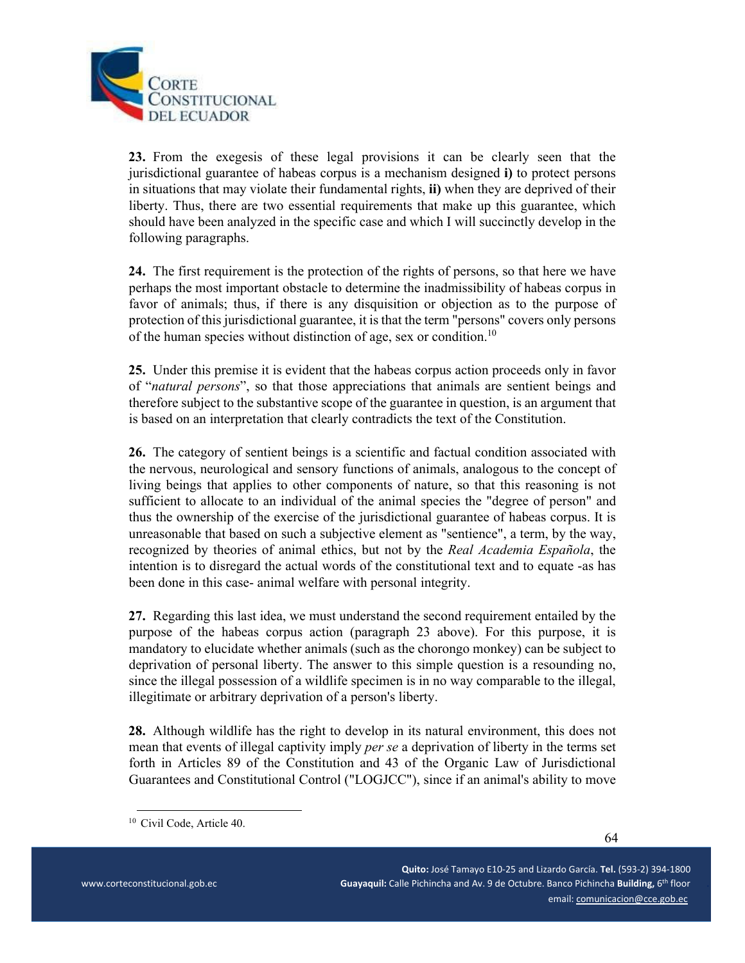

**23.** From the exegesis of these legal provisions it can be clearly seen that the jurisdictional guarantee of habeas corpus is a mechanism designed **i)** to protect persons in situations that may violate their fundamental rights, **ii)** when they are deprived of their liberty. Thus, there are two essential requirements that make up this guarantee, which should have been analyzed in the specific case and which I will succinctly develop in the following paragraphs.

**24.** The first requirement is the protection of the rights of persons, so that here we have perhaps the most important obstacle to determine the inadmissibility of habeas corpus in favor of animals; thus, if there is any disquisition or objection as to the purpose of protection of this jurisdictional guarantee, it is that the term "persons" covers only persons of the human species without distinction of age, sex or condition.<sup>10</sup>

**25.** Under this premise it is evident that the habeas corpus action proceeds only in favor of "*natural persons*", so that those appreciations that animals are sentient beings and therefore subject to the substantive scope of the guarantee in question, is an argument that is based on an interpretation that clearly contradicts the text of the Constitution.

**26.** The category of sentient beings is a scientific and factual condition associated with the nervous, neurological and sensory functions of animals, analogous to the concept of living beings that applies to other components of nature, so that this reasoning is not sufficient to allocate to an individual of the animal species the "degree of person" and thus the ownership of the exercise of the jurisdictional guarantee of habeas corpus. It is unreasonable that based on such a subjective element as "sentience", a term, by the way, recognized by theories of animal ethics, but not by the *Real Academia Española*, the intention is to disregard the actual words of the constitutional text and to equate -as has been done in this case- animal welfare with personal integrity.

**27.** Regarding this last idea, we must understand the second requirement entailed by the purpose of the habeas corpus action (paragraph 23 above). For this purpose, it is mandatory to elucidate whether animals (such as the chorongo monkey) can be subject to deprivation of personal liberty. The answer to this simple question is a resounding no, since the illegal possession of a wildlife specimen is in no way comparable to the illegal, illegitimate or arbitrary deprivation of a person's liberty.

**28.** Although wildlife has the right to develop in its natural environment, this does not mean that events of illegal captivity imply *per se* a deprivation of liberty in the terms set forth in Articles 89 of the Constitution and 43 of the Organic Law of Jurisdictional Guarantees and Constitutional Control ("LOGJCC"), since if an animal's ability to move

<sup>&</sup>lt;sup>10</sup> Civil Code, Article 40.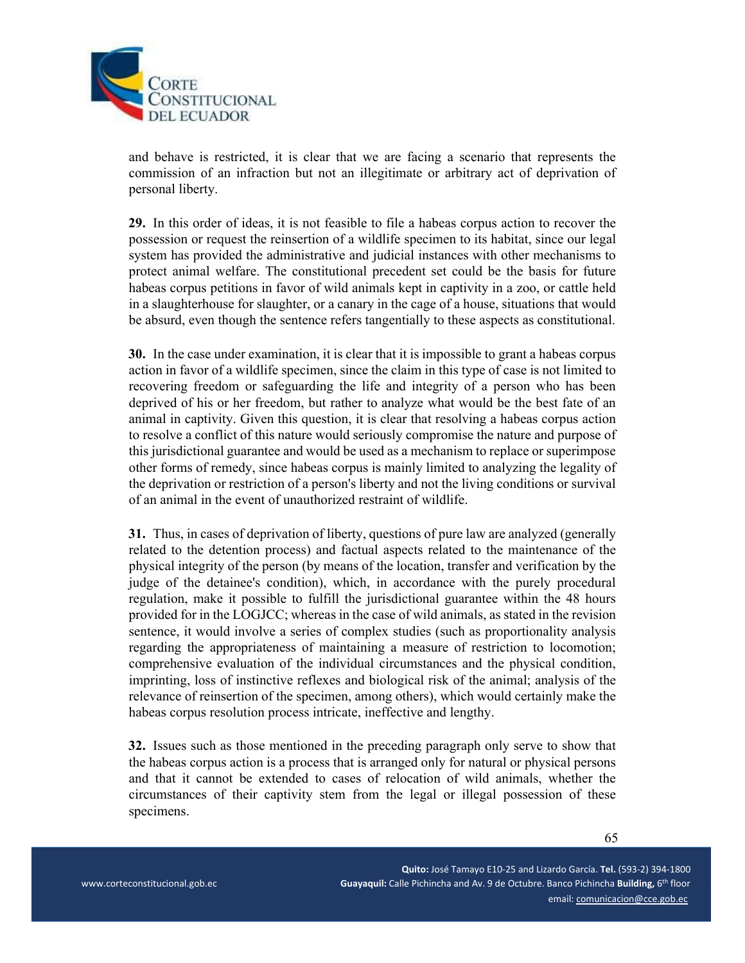

and behave is restricted, it is clear that we are facing a scenario that represents the commission of an infraction but not an illegitimate or arbitrary act of deprivation of personal liberty.

**29.** In this order of ideas, it is not feasible to file a habeas corpus action to recover the possession or request the reinsertion of a wildlife specimen to its habitat, since our legal system has provided the administrative and judicial instances with other mechanisms to protect animal welfare. The constitutional precedent set could be the basis for future habeas corpus petitions in favor of wild animals kept in captivity in a zoo, or cattle held in a slaughterhouse for slaughter, or a canary in the cage of a house, situations that would be absurd, even though the sentence refers tangentially to these aspects as constitutional.

**30.** In the case under examination, it is clear that it is impossible to grant a habeas corpus action in favor of a wildlife specimen, since the claim in this type of case is not limited to recovering freedom or safeguarding the life and integrity of a person who has been deprived of his or her freedom, but rather to analyze what would be the best fate of an animal in captivity. Given this question, it is clear that resolving a habeas corpus action to resolve a conflict of this nature would seriously compromise the nature and purpose of this jurisdictional guarantee and would be used as a mechanism to replace or superimpose other forms of remedy, since habeas corpus is mainly limited to analyzing the legality of the deprivation or restriction of a person's liberty and not the living conditions or survival of an animal in the event of unauthorized restraint of wildlife.

**31.** Thus, in cases of deprivation of liberty, questions of pure law are analyzed (generally related to the detention process) and factual aspects related to the maintenance of the physical integrity of the person (by means of the location, transfer and verification by the judge of the detainee's condition), which, in accordance with the purely procedural regulation, make it possible to fulfill the jurisdictional guarantee within the 48 hours provided for in the LOGJCC; whereas in the case of wild animals, as stated in the revision sentence, it would involve a series of complex studies (such as proportionality analysis regarding the appropriateness of maintaining a measure of restriction to locomotion; comprehensive evaluation of the individual circumstances and the physical condition, imprinting, loss of instinctive reflexes and biological risk of the animal; analysis of the relevance of reinsertion of the specimen, among others), which would certainly make the habeas corpus resolution process intricate, ineffective and lengthy.

**32.** Issues such as those mentioned in the preceding paragraph only serve to show that the habeas corpus action is a process that is arranged only for natural or physical persons and that it cannot be extended to cases of relocation of wild animals, whether the circumstances of their captivity stem from the legal or illegal possession of these specimens.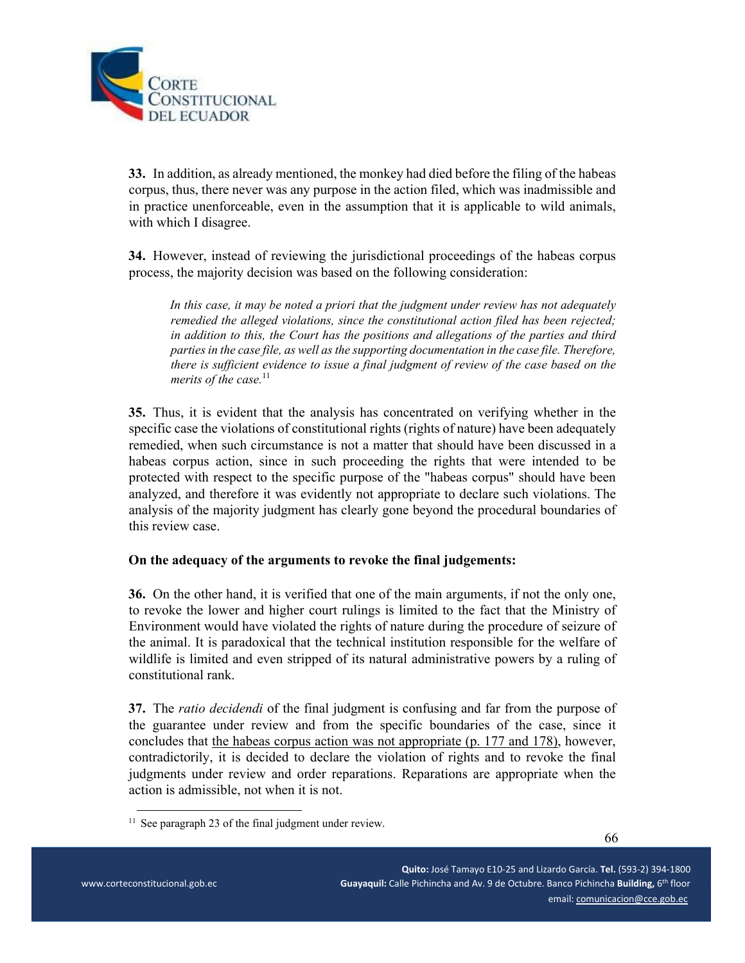

**33.** In addition, as already mentioned, the monkey had died before the filing of the habeas corpus, thus, there never was any purpose in the action filed, which was inadmissible and in practice unenforceable, even in the assumption that it is applicable to wild animals, with which I disagree.

**34.** However, instead of reviewing the jurisdictional proceedings of the habeas corpus process, the majority decision was based on the following consideration:

*In this case, it may be noted a priori that the judgment under review has not adequately remedied the alleged violations, since the constitutional action filed has been rejected; in addition to this, the Court has the positions and allegations of the parties and third parties in the case file, as well as the supporting documentation in the case file. Therefore, there is sufficient evidence to issue a final judgment of review of the case based on the merits of the case.*<sup>11</sup>

**35.** Thus, it is evident that the analysis has concentrated on verifying whether in the specific case the violations of constitutional rights (rights of nature) have been adequately remedied, when such circumstance is not a matter that should have been discussed in a habeas corpus action, since in such proceeding the rights that were intended to be protected with respect to the specific purpose of the "habeas corpus" should have been analyzed, and therefore it was evidently not appropriate to declare such violations. The analysis of the majority judgment has clearly gone beyond the procedural boundaries of this review case.

#### **On the adequacy of the arguments to revoke the final judgements:**

**36.** On the other hand, it is verified that one of the main arguments, if not the only one, to revoke the lower and higher court rulings is limited to the fact that the Ministry of Environment would have violated the rights of nature during the procedure of seizure of the animal. It is paradoxical that the technical institution responsible for the welfare of wildlife is limited and even stripped of its natural administrative powers by a ruling of constitutional rank.

**37.** The *ratio decidendi* of the final judgment is confusing and far from the purpose of the guarantee under review and from the specific boundaries of the case, since it concludes that the habeas corpus action was not appropriate (p. 177 and 178), however, contradictorily, it is decided to declare the violation of rights and to revoke the final judgments under review and order reparations. Reparations are appropriate when the action is admissible, not when it is not.

 $11$  See paragraph 23 of the final judgment under review.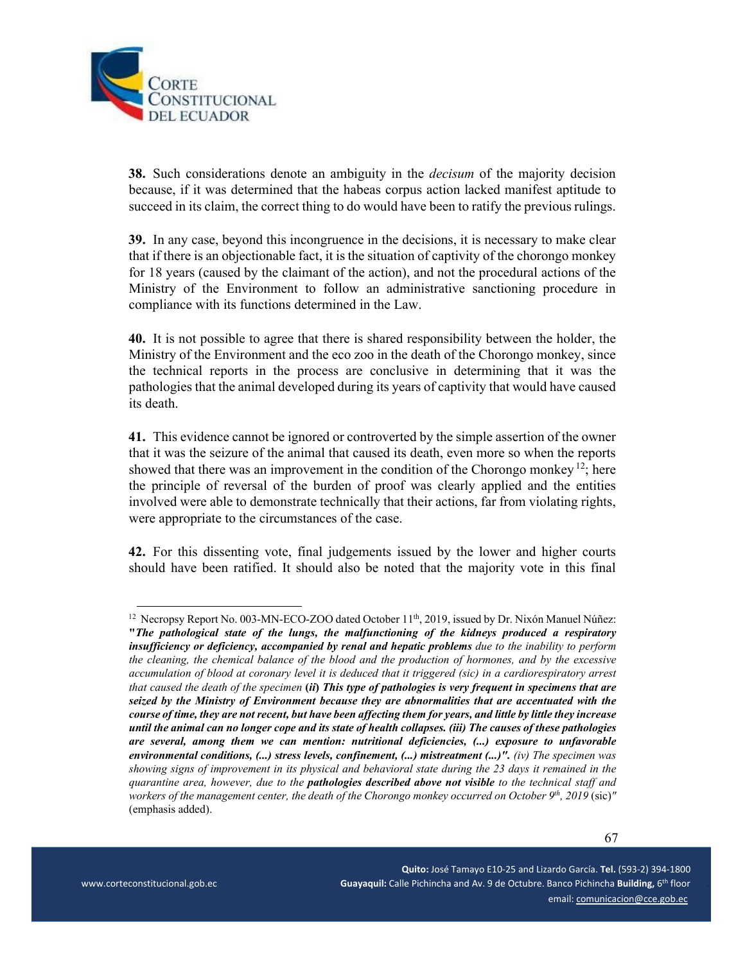

**38.** Such considerations denote an ambiguity in the *decisum* of the majority decision because, if it was determined that the habeas corpus action lacked manifest aptitude to succeed in its claim, the correct thing to do would have been to ratify the previous rulings.

**39.** In any case, beyond this incongruence in the decisions, it is necessary to make clear that if there is an objectionable fact, it is the situation of captivity of the chorongo monkey for 18 years (caused by the claimant of the action), and not the procedural actions of the Ministry of the Environment to follow an administrative sanctioning procedure in compliance with its functions determined in the Law.

**40.** It is not possible to agree that there is shared responsibility between the holder, the Ministry of the Environment and the eco zoo in the death of the Chorongo monkey, since the technical reports in the process are conclusive in determining that it was the pathologies that the animal developed during its years of captivity that would have caused its death.

**41.** This evidence cannot be ignored or controverted by the simple assertion of the owner that it was the seizure of the animal that caused its death, even more so when the reports showed that there was an improvement in the condition of the Chorongo monkey  $12$ ; here the principle of reversal of the burden of proof was clearly applied and the entities involved were able to demonstrate technically that their actions, far from violating rights, were appropriate to the circumstances of the case.

**42.** For this dissenting vote, final judgements issued by the lower and higher courts should have been ratified. It should also be noted that the majority vote in this final

 $12$  Necropsy Report No. 003-MN-ECO-ZOO dated October  $11<sup>th</sup>$ , 2019, issued by Dr. Nixón Manuel Núñez: **"***The pathological state of the lungs, the malfunctioning of the kidneys produced a respiratory insufficiency or deficiency, accompanied by renal and hepatic problems due to the inability to perform the cleaning, the chemical balance of the blood and the production of hormones, and by the excessive accumulation of blood at coronary level it is deduced that it triggered (sic) in a cardiorespiratory arrest that caused the death of the specimen* **(***ii***)** *This type of pathologies is very frequent in specimens that are seized by the Ministry of Environment because they are abnormalities that are accentuated with the course of time, they are not recent, but have been affecting them for years, and little by little they increase until the animal can no longer cope and its state of health collapses. (iii) The causes of these pathologies are several, among them we can mention: nutritional deficiencies, (...) exposure to unfavorable environmental conditions, (...) stress levels, confinement, (...) mistreatment (...)". (iv) The specimen was showing signs of improvement in its physical and behavioral state during the 23 days it remained in the quarantine area, however, due to the pathologies described above not visible to the technical staff and workers of the management center, the death of the Chorongo monkey occurred on October 9th, 2019* (sic)*"*  (emphasis added).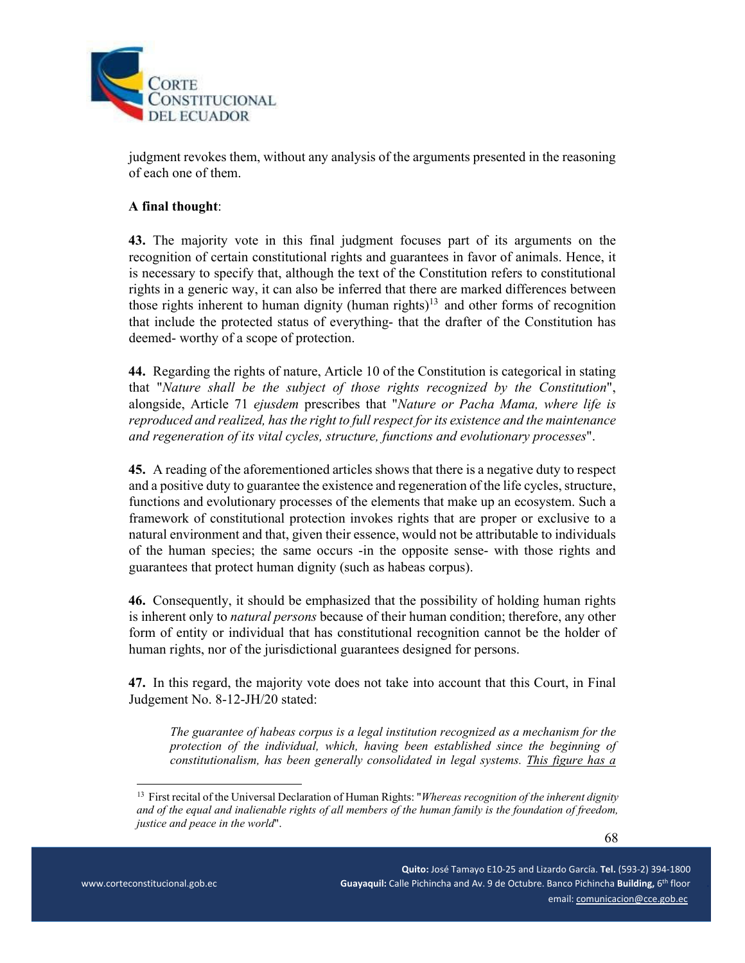

judgment revokes them, without any analysis of the arguments presented in the reasoning of each one of them.

## **A final thought**:

**43.** The majority vote in this final judgment focuses part of its arguments on the recognition of certain constitutional rights and guarantees in favor of animals. Hence, it is necessary to specify that, although the text of the Constitution refers to constitutional rights in a generic way, it can also be inferred that there are marked differences between those rights inherent to human dignity (human rights)<sup>13</sup> and other forms of recognition that include the protected status of everything- that the drafter of the Constitution has deemed- worthy of a scope of protection.

**44.** Regarding the rights of nature, Article 10 of the Constitution is categorical in stating that "*Nature shall be the subject of those rights recognized by the Constitution*", alongside, Article 71 *ejusdem* prescribes that "*Nature or Pacha Mama, where life is reproduced and realized, has the right to full respect for its existence and the maintenance and regeneration of its vital cycles, structure, functions and evolutionary processes*".

**45.** A reading of the aforementioned articles shows that there is a negative duty to respect and a positive duty to guarantee the existence and regeneration of the life cycles, structure, functions and evolutionary processes of the elements that make up an ecosystem. Such a framework of constitutional protection invokes rights that are proper or exclusive to a natural environment and that, given their essence, would not be attributable to individuals of the human species; the same occurs -in the opposite sense- with those rights and guarantees that protect human dignity (such as habeas corpus).

**46.** Consequently, it should be emphasized that the possibility of holding human rights is inherent only to *natural persons* because of their human condition; therefore, any other form of entity or individual that has constitutional recognition cannot be the holder of human rights, nor of the jurisdictional guarantees designed for persons.

**47.** In this regard, the majority vote does not take into account that this Court, in Final Judgement No. 8-12-JH/20 stated:

*The guarantee of habeas corpus is a legal institution recognized as a mechanism for the protection of the individual, which, having been established since the beginning of constitutionalism, has been generally consolidated in legal systems. This figure has a* 

<sup>&</sup>lt;sup>13</sup> First recital of the Universal Declaration of Human Rights: "*Whereas recognition of the inherent dignity and of the equal and inalienable rights of all members of the human family is the foundation of freedom, justice and peace in the world*".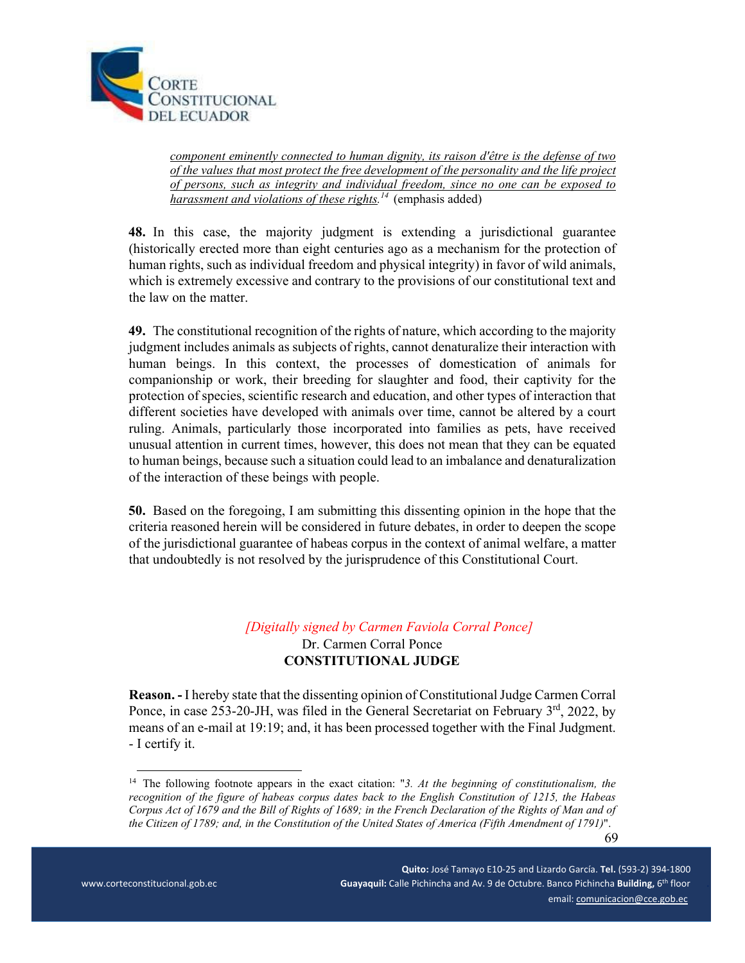

*component eminently connected to human dignity, its raison d'être is the defense of two of the values that most protect the free development of the personality and the life project of persons, such as integrity and individual freedom, since no one can be exposed to harassment and violations of these rights.<sup>14</sup>* (emphasis added)

**48.** In this case, the majority judgment is extending a jurisdictional guarantee (historically erected more than eight centuries ago as a mechanism for the protection of human rights, such as individual freedom and physical integrity) in favor of wild animals, which is extremely excessive and contrary to the provisions of our constitutional text and the law on the matter.

**49.** The constitutional recognition of the rights of nature, which according to the majority judgment includes animals as subjects of rights, cannot denaturalize their interaction with human beings. In this context, the processes of domestication of animals for companionship or work, their breeding for slaughter and food, their captivity for the protection of species, scientific research and education, and other types of interaction that different societies have developed with animals over time, cannot be altered by a court ruling. Animals, particularly those incorporated into families as pets, have received unusual attention in current times, however, this does not mean that they can be equated to human beings, because such a situation could lead to an imbalance and denaturalization of the interaction of these beings with people.

**50.** Based on the foregoing, I am submitting this dissenting opinion in the hope that the criteria reasoned herein will be considered in future debates, in order to deepen the scope of the jurisdictional guarantee of habeas corpus in the context of animal welfare, a matter that undoubtedly is not resolved by the jurisprudence of this Constitutional Court.

# *[Digitally signed by Carmen Faviola Corral Ponce]*  Dr. Carmen Corral Ponce **CONSTITUTIONAL JUDGE**

**Reason. -** I hereby state that the dissenting opinion of Constitutional Judge Carmen Corral Ponce, in case 253-20-JH, was filed in the General Secretariat on February  $3<sup>rd</sup>$ , 2022, by means of an e-mail at 19:19; and, it has been processed together with the Final Judgment. - I certify it.

 69 <sup>14</sup> The following footnote appears in the exact citation: "3. At the beginning of constitutionalism, the *recognition of the figure of habeas corpus dates back to the English Constitution of 1215, the Habeas Corpus Act of 1679 and the Bill of Rights of 1689; in the French Declaration of the Rights of Man and of the Citizen of 1789; and, in the Constitution of the United States of America (Fifth Amendment of 1791)*".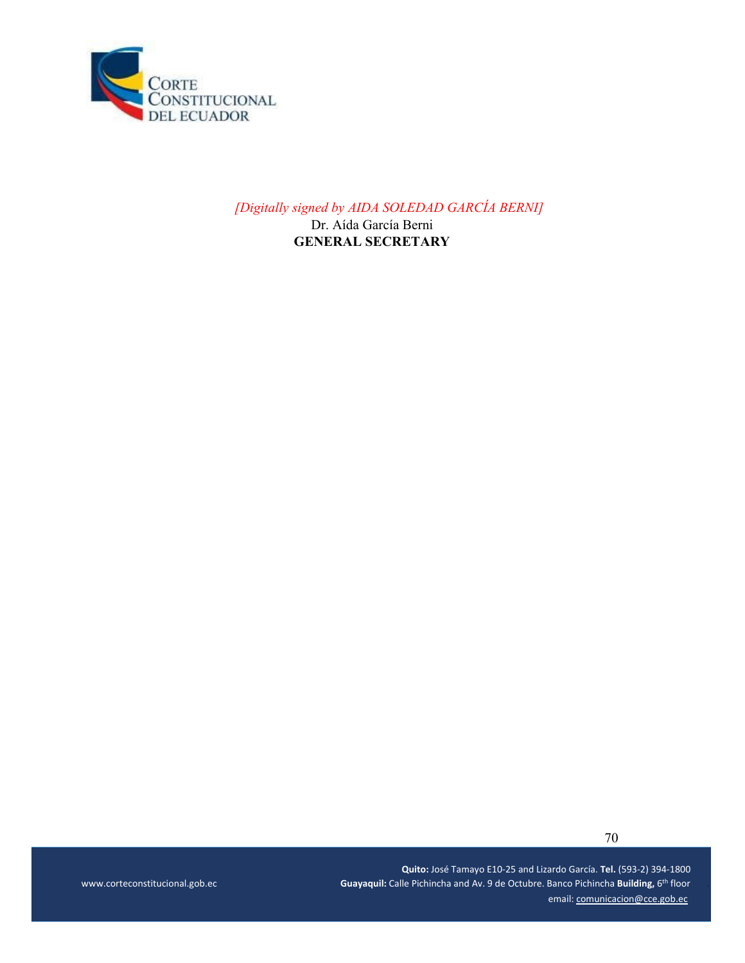

*[Digitally signed by AIDA SOLEDAD GARCÍA BERNI]* 

Dr. Aída García Berni **GENERAL SECRETARY** 

 **Quito:** José Tamayo E10‐25 and Lizardo García. **Tel.** (593‐2) 394‐1800 \_ \_ \_ \_ www.corteconstitucional.gob.ec **Supper Constituctional.gob.ec Calle Pichincha and Av. 9 de Octubre. Banco Pichincha Building, 6<sup>th</sup> floor** email: comunicacion@cce.gob.ec